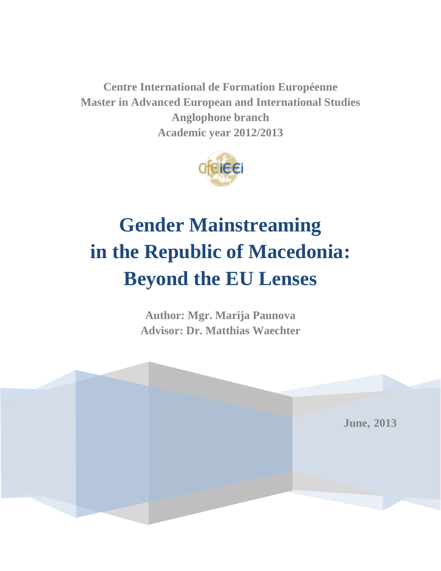**Centre International de Formation Européenne Master in Advanced European and International Studies Anglophone branch Academic year 2012/2013** 



# **Gender Mainstreaming in the Republic of Macedonia: Beyond the EU Lenses**

**Author: Mgr. Marija Paunova Advisor: Dr. Matthias Waechter** 

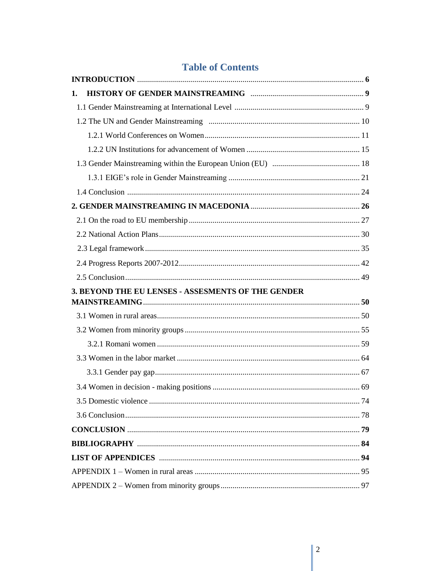### **Table of Contents**

| 1.                                                 |  |
|----------------------------------------------------|--|
|                                                    |  |
|                                                    |  |
|                                                    |  |
|                                                    |  |
|                                                    |  |
|                                                    |  |
|                                                    |  |
|                                                    |  |
|                                                    |  |
|                                                    |  |
|                                                    |  |
|                                                    |  |
|                                                    |  |
|                                                    |  |
| 3. BEYOND THE EU LENSES - ASSESMENTS OF THE GENDER |  |
|                                                    |  |
|                                                    |  |
|                                                    |  |
|                                                    |  |
|                                                    |  |
|                                                    |  |
|                                                    |  |
|                                                    |  |
|                                                    |  |
|                                                    |  |
|                                                    |  |
|                                                    |  |
|                                                    |  |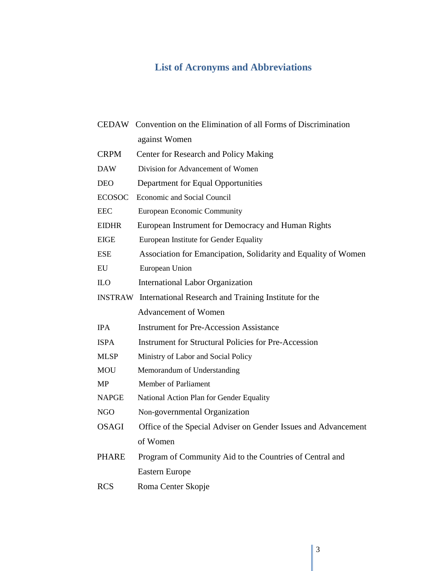## **List of Acronyms and Abbreviations**

|               | CEDAW Convention on the Elimination of all Forms of Discrimination   |
|---------------|----------------------------------------------------------------------|
|               | against Women                                                        |
| <b>CRPM</b>   | Center for Research and Policy Making                                |
| <b>DAW</b>    | Division for Advancement of Women                                    |
| <b>DEO</b>    | Department for Equal Opportunities                                   |
| <b>ECOSOC</b> | Economic and Social Council                                          |
| <b>EEC</b>    | European Economic Community                                          |
| <b>EIDHR</b>  | European Instrument for Democracy and Human Rights                   |
| EIGE          | European Institute for Gender Equality                               |
| <b>ESE</b>    | Association for Emancipation, Solidarity and Equality of Women       |
| EU            | European Union                                                       |
| <b>ILO</b>    | <b>International Labor Organization</b>                              |
|               | <b>INSTRAW</b> International Research and Training Institute for the |
|               | <b>Advancement of Women</b>                                          |
| <b>IPA</b>    | <b>Instrument for Pre-Accession Assistance</b>                       |
| <b>ISPA</b>   | <b>Instrument for Structural Policies for Pre-Accession</b>          |
| <b>MLSP</b>   | Ministry of Labor and Social Policy                                  |
| <b>MOU</b>    | Memorandum of Understanding                                          |
| MP            | Member of Parliament                                                 |
| <b>NAPGE</b>  | National Action Plan for Gender Equality                             |
| <b>NGO</b>    | Non-governmental Organization                                        |
| <b>OSAGI</b>  | Office of the Special Adviser on Gender Issues and Advancement       |
|               | of Women                                                             |
| <b>PHARE</b>  | Program of Community Aid to the Countries of Central and             |
|               | <b>Eastern Europe</b>                                                |
| <b>RCS</b>    | Roma Center Skopje                                                   |
|               |                                                                      |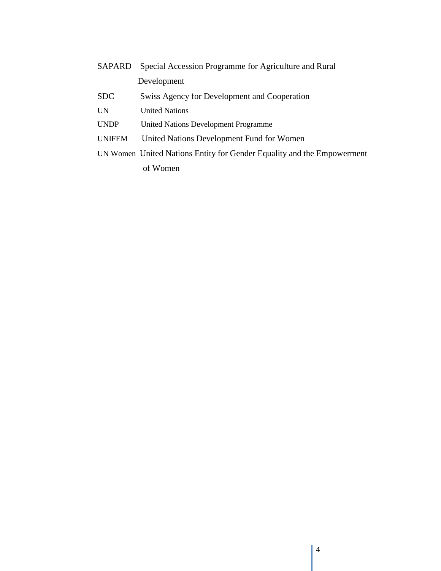| <b>SAPARD</b> Special Accession Programme for Agriculture and Rural |
|---------------------------------------------------------------------|
| Development                                                         |

- SDC Swiss Agency for Development and Cooperation
- UN United Nations
- UNDP United Nations Development Programme
- UNIFEM United Nations Development Fund for Women
- UN Women United Nations Entity for Gender Equality and the Empowerment of Women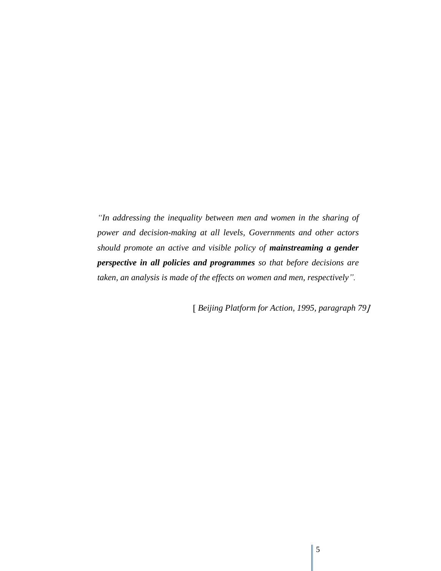*"In addressing the inequality between men and women in the sharing of power and decision-making at all levels, Governments and other actors should promote an active and visible policy of mainstreaming a gender perspective in all policies and programmes so that before decisions are taken, an analysis is made of the effects on women and men, respectively".* 

*Beijing Platform for Action, 1995, paragraph 79*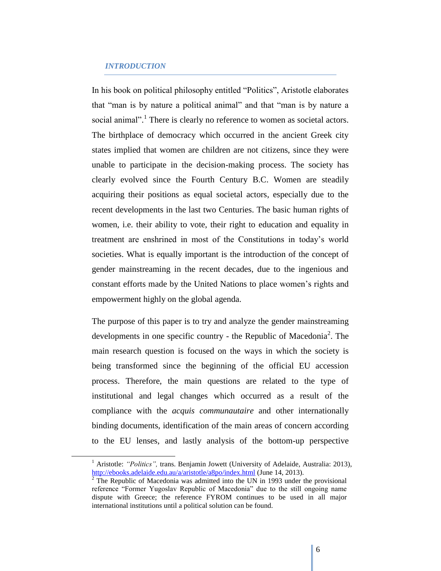#### *INTRODUCTION*

 $\overline{a}$ 

In his book on political philosophy entitled "Politics", Aristotle elaborates that "man is by nature a political animal" and that "man is by nature a social animal".<sup>1</sup> There is clearly no reference to women as societal actors. The birthplace of democracy which occurred in the ancient Greek city states implied that women are children are not citizens, since they were unable to participate in the decision-making process. The society has clearly evolved since the Fourth Century B.C. Women are steadily acquiring their positions as equal societal actors, especially due to the recent developments in the last two Centuries. The basic human rights of women, i.e. their ability to vote, their right to education and equality in treatment are enshrined in most of the Constitutions in today"s world societies. What is equally important is the introduction of the concept of gender mainstreaming in the recent decades, due to the ingenious and constant efforts made by the United Nations to place women"s rights and empowerment highly on the global agenda.

The purpose of this paper is to try and analyze the gender mainstreaming developments in one specific country - the Republic of Macedonia<sup>2</sup>. The main research question is focused on the ways in which the society is being transformed since the beginning of the official EU accession process. Therefore, the main questions are related to the type of institutional and legal changes which occurred as a result of the compliance with the *acquis communautaire* and other internationally binding documents, identification of the main areas of concern according to the EU lenses, and lastly analysis of the bottom-up perspective

<sup>&</sup>lt;sup>1</sup> Aristotle: "Politics", trans. Benjamin Jowett (University of Adelaide, Australia: 2013), <http://ebooks.adelaide.edu.au/a/aristotle/a8po/index.html> (June 14, 2013).

 $\frac{2}{1}$  The Republic of Macedonia was admitted into the UN in 1993 under the provisional reference "Former Yugoslav Republic of Macedonia" due to the still ongoing name dispute with Greece; the reference FYROM continues to be used in all major international institutions until a political solution can be found.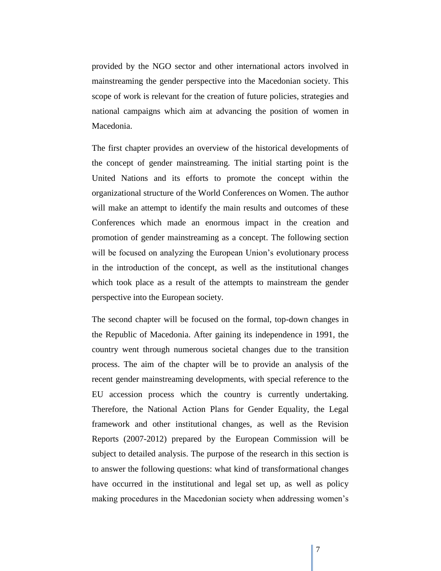provided by the NGO sector and other international actors involved in mainstreaming the gender perspective into the Macedonian society. This scope of work is relevant for the creation of future policies, strategies and national campaigns which aim at advancing the position of women in Macedonia.

The first chapter provides an overview of the historical developments of the concept of gender mainstreaming. The initial starting point is the United Nations and its efforts to promote the concept within the organizational structure of the World Conferences on Women. The author will make an attempt to identify the main results and outcomes of these Conferences which made an enormous impact in the creation and promotion of gender mainstreaming as a concept. The following section will be focused on analyzing the European Union's evolutionary process in the introduction of the concept, as well as the institutional changes which took place as a result of the attempts to mainstream the gender perspective into the European society.

The second chapter will be focused on the formal, top-down changes in the Republic of Macedonia. After gaining its independence in 1991, the country went through numerous societal changes due to the transition process. The aim of the chapter will be to provide an analysis of the recent gender mainstreaming developments, with special reference to the EU accession process which the country is currently undertaking. Therefore, the National Action Plans for Gender Equality, the Legal framework and other institutional changes, as well as the Revision Reports (2007-2012) prepared by the European Commission will be subject to detailed analysis. The purpose of the research in this section is to answer the following questions: what kind of transformational changes have occurred in the institutional and legal set up, as well as policy making procedures in the Macedonian society when addressing women"s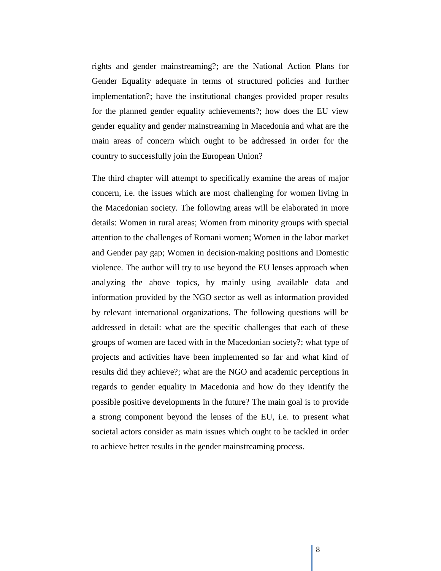rights and gender mainstreaming?; are the National Action Plans for Gender Equality adequate in terms of structured policies and further implementation?; have the institutional changes provided proper results for the planned gender equality achievements?; how does the EU view gender equality and gender mainstreaming in Macedonia and what are the main areas of concern which ought to be addressed in order for the country to successfully join the European Union?

The third chapter will attempt to specifically examine the areas of major concern, i.e. the issues which are most challenging for women living in the Macedonian society. The following areas will be elaborated in more details: Women in rural areas; Women from minority groups with special attention to the challenges of Romani women; Women in the labor market and Gender pay gap; Women in decision-making positions and Domestic violence. The author will try to use beyond the EU lenses approach when analyzing the above topics, by mainly using available data and information provided by the NGO sector as well as information provided by relevant international organizations. The following questions will be addressed in detail: what are the specific challenges that each of these groups of women are faced with in the Macedonian society?; what type of projects and activities have been implemented so far and what kind of results did they achieve?; what are the NGO and academic perceptions in regards to gender equality in Macedonia and how do they identify the possible positive developments in the future? The main goal is to provide a strong component beyond the lenses of the EU, i.e. to present what societal actors consider as main issues which ought to be tackled in order to achieve better results in the gender mainstreaming process.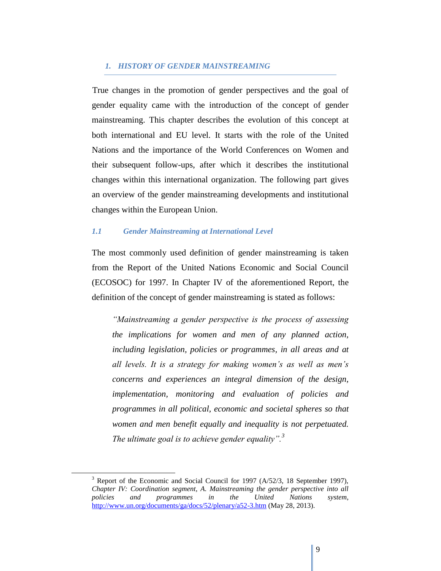#### *1. HISTORY OF GENDER MAINSTREAMING*

True changes in the promotion of gender perspectives and the goal of gender equality came with the introduction of the concept of gender mainstreaming. This chapter describes the evolution of this concept at both international and EU level. It starts with the role of the United Nations and the importance of the World Conferences on Women and their subsequent follow-ups, after which it describes the institutional changes within this international organization. The following part gives an overview of the gender mainstreaming developments and institutional changes within the European Union.

#### *1.1 Gender Mainstreaming at International Level*

The most commonly used definition of gender mainstreaming is taken from the Report of the United Nations Economic and Social Council (ECOSOC) for 1997. In Chapter IV of the aforementioned Report, the definition of the concept of gender mainstreaming is stated as follows:

*"Mainstreaming a gender perspective is the process of assessing the implications for women and men of any planned action, including legislation, policies or programmes, in all areas and at all levels. It is a strategy for making women's as well as men's concerns and experiences an integral dimension of the design, implementation, monitoring and evaluation of policies and programmes in all political, economic and societal spheres so that women and men benefit equally and inequality is not perpetuated. The ultimate goal is to achieve gender equality".<sup>3</sup>*

 $3$  Report of the Economic and Social Council for 1997 (A/52/3, 18 September 1997), *Chapter IV: Coordination segment, A. Mainstreaming the gender perspective into all policies and programmes in the United Nations system*, <http://www.un.org/documents/ga/docs/52/plenary/a52-3.htm> (May 28, 2013).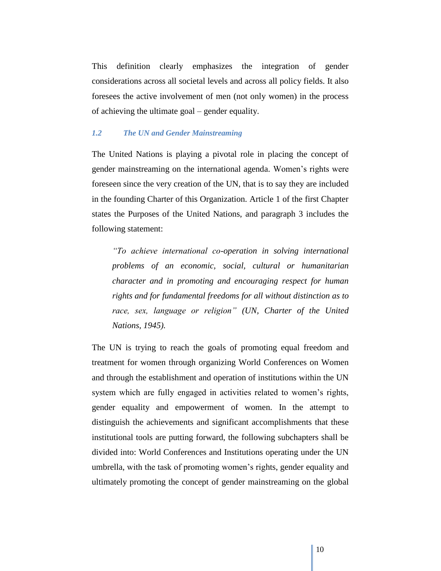This definition clearly emphasizes the integration of gender considerations across all societal levels and across all policy fields. It also foresees the active involvement of men (not only women) in the process of achieving the ultimate goal – gender equality.

#### *1.2 The UN and Gender Mainstreaming*

The United Nations is playing a pivotal role in placing the concept of gender mainstreaming on the international agenda. Women"s rights were foreseen since the very creation of the UN, that is to say they are included in the founding Charter of this Organization. Article 1 of the first Chapter states the Purposes of the United Nations, and paragraph 3 includes the following statement:

*"To achieve international co-operation in solving international problems of an economic, social, cultural or humanitarian character and in promoting and encouraging respect for human rights and for fundamental freedoms for all without distinction as to race, sex, language or religion" (UN, Charter of the United Nations, 1945).* 

The UN is trying to reach the goals of promoting equal freedom and treatment for women through organizing World Conferences on Women and through the establishment and operation of institutions within the UN system which are fully engaged in activities related to women's rights, gender equality and empowerment of women. In the attempt to distinguish the achievements and significant accomplishments that these institutional tools are putting forward, the following subchapters shall be divided into: World Conferences and Institutions operating under the UN umbrella, with the task of promoting women"s rights, gender equality and ultimately promoting the concept of gender mainstreaming on the global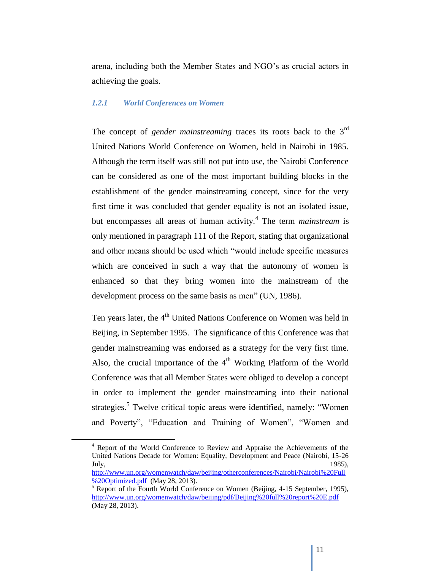arena, including both the Member States and NGO"s as crucial actors in achieving the goals.

#### *1.2.1 World Conferences on Women*

The concept of *gender mainstreaming* traces its roots back to the 3<sup>rd</sup> United Nations World Conference on Women, held in Nairobi in 1985. Although the term itself was still not put into use, the Nairobi Conference can be considered as one of the most important building blocks in the establishment of the gender mainstreaming concept, since for the very first time it was concluded that gender equality is not an isolated issue, but encompasses all areas of human activity.<sup>4</sup> The term *mainstream* is only mentioned in paragraph 111 of the Report, stating that organizational and other means should be used which "would include specific measures which are conceived in such a way that the autonomy of women is enhanced so that they bring women into the mainstream of the development process on the same basis as men" (UN, 1986).

Ten years later, the 4<sup>th</sup> United Nations Conference on Women was held in Beijing, in September 1995. The significance of this Conference was that gender mainstreaming was endorsed as a strategy for the very first time. Also, the crucial importance of the  $4<sup>th</sup>$  Working Platform of the World Conference was that all Member States were obliged to develop a concept in order to implement the gender mainstreaming into their national strategies.<sup>5</sup> Twelve critical topic areas were identified, namely: "Women and Poverty", "Education and Training of Women", "Women and

<sup>4</sup> Report of the World Conference to Review and Appraise the Achievements of the United Nations Decade for Women: Equality, Development and Peace (Nairobi, 15-26 July,  $1985$ ,  $1985$ ,  $1985$ ,  $1985$ ,  $1985$ ,  $1985$ ,  $1985$ ,  $1985$ ,  $1985$ ,  $1985$ ,  $1985$ ,  $1985$ ,  $1985$ ,  $1985$ ,  $1985$ ,  $1985$ ,  $1985$ ,  $1985$ ,  $1985$ ,  $1985$ ,  $1985$ ,  $1985$ ,  $1985$ ,  $1985$ ,  $1985$ ,  $1985$ ,  $1985$ ,

[http://www.un.org/womenwatch/daw/beijing/otherconferences/Nairobi/Nairobi%20Full](http://www.un.org/womenwatch/daw/beijing/otherconferences/Nairobi/Nairobi%20Full%20Optimized.pdf) [%20Optimized.pdf](http://www.un.org/womenwatch/daw/beijing/otherconferences/Nairobi/Nairobi%20Full%20Optimized.pdf) (May 28, 2013).

 $<sup>5</sup>$  Report of the Fourth World Conference on Women (Beijing, 4-15 September, 1995),</sup> <http://www.un.org/womenwatch/daw/beijing/pdf/Beijing%20full%20report%20E.pdf> (May 28, 2013).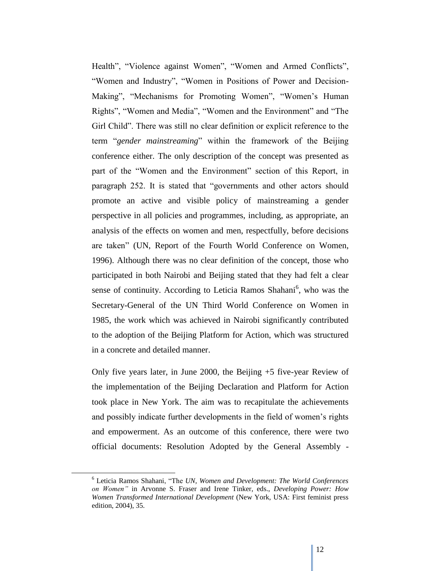Health", "Violence against Women", "Women and Armed Conflicts", "Women and Industry", "Women in Positions of Power and Decision-Making", "Mechanisms for Promoting Women", "Women"s Human Rights", "Women and Media", "Women and the Environment" and "The Girl Child". There was still no clear definition or explicit reference to the term "*gender mainstreaming*" within the framework of the Beijing conference either. The only description of the concept was presented as part of the "Women and the Environment" section of this Report, in paragraph 252. It is stated that "governments and other actors should promote an active and visible policy of mainstreaming a gender perspective in all policies and programmes, including, as appropriate, an analysis of the effects on women and men, respectfully, before decisions are taken" (UN, Report of the Fourth World Conference on Women, 1996). Although there was no clear definition of the concept, those who participated in both Nairobi and Beijing stated that they had felt a clear sense of continuity. According to Leticia Ramos Shahani<sup>6</sup>, who was the Secretary-General of the UN Third World Conference on Women in 1985, the work which was achieved in Nairobi significantly contributed to the adoption of the Beijing Platform for Action, which was structured in a concrete and detailed manner.

Only five years later, in June 2000, the Beijing +5 five-year Review of the implementation of the Beijing Declaration and Platform for Action took place in New York. The aim was to recapitulate the achievements and possibly indicate further developments in the field of women"s rights and empowerment. As an outcome of this conference, there were two official documents: Resolution Adopted by the General Assembly -

<sup>6</sup> Leticia Ramos Shahani, "The *UN, Women and Development: The World Conferences on Women"* in Arvonne S. Fraser and Irene Tinker, eds., *Developing Power: How Women Transformed International Development* (New York, USA: First feminist press edition, 2004), 35.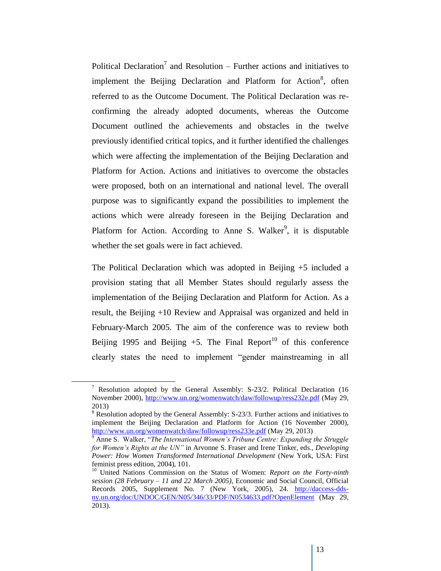Political Declaration<sup>7</sup> and Resolution – Further actions and initiatives to implement the Beijing Declaration and Platform for Action<sup>8</sup>, often referred to as the Outcome Document. The Political Declaration was reconfirming the already adopted documents, whereas the Outcome Document outlined the achievements and obstacles in the twelve previously identified critical topics, and it further identified the challenges which were affecting the implementation of the Beijing Declaration and Platform for Action. Actions and initiatives to overcome the obstacles were proposed, both on an international and national level. The overall purpose was to significantly expand the possibilities to implement the actions which were already foreseen in the Beijing Declaration and Platform for Action. According to Anne S. Walker<sup>9</sup>, it is disputable whether the set goals were in fact achieved.

The Political Declaration which was adopted in Beijing +5 included a provision stating that all Member States should regularly assess the implementation of the Beijing Declaration and Platform for Action. As a result, the Beijing +10 Review and Appraisal was organized and held in February-March 2005. The aim of the conference was to review both Beijing 1995 and Beijing  $+5$ . The Final Report<sup>10</sup> of this conference clearly states the need to implement "gender mainstreaming in all

<sup>&</sup>lt;sup>7</sup> Resolution adopted by the General Assembly: S-23/2. Political Declaration (16 November 2000),<http://www.un.org/womenwatch/daw/followup/ress232e.pdf> (May 29, 2013)

<sup>&</sup>lt;sup>8</sup> Resolution adopted by the General Assembly: S-23/3. Further actions and initiatives to implement the Beijing Declaration and Platform for Action (16 November 2000), <http://www.un.org/womenwatch/daw/followup/ress233e.pdf> (May 29, 2013)

<sup>9</sup> Anne S. Walker, "*The International Women's Tribune Centre: Expanding the Struggle for Women's Rights at the UN"* in Arvonne S. Fraser and Irene Tinker, eds., *Developing Power: How Women Transformed International Development* (New York, USA: First feminist press edition, 2004), 101.

<sup>10</sup> United Nations Commission on the Status of Women: *Report on the Forty-ninth session (28 February – 11 and 22 March 2005),* Economic and Social Council, Official Records 2005, Supplement No. 7 (New York, 2005), 24. [http://daccess-dds](http://daccess-dds-ny.un.org/doc/UNDOC/GEN/N05/346/33/PDF/N0534633.pdf?OpenElement)[ny.un.org/doc/UNDOC/GEN/N05/346/33/PDF/N0534633.pdf?OpenElement](http://daccess-dds-ny.un.org/doc/UNDOC/GEN/N05/346/33/PDF/N0534633.pdf?OpenElement) (May 29, 2013).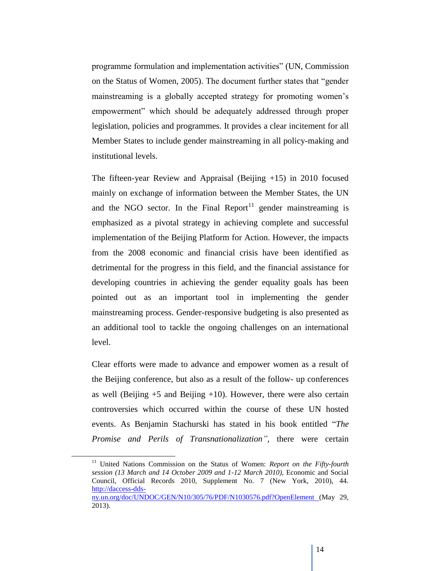programme formulation and implementation activities" (UN, Commission on the Status of Women, 2005). The document further states that "gender mainstreaming is a globally accepted strategy for promoting women"s empowerment" which should be adequately addressed through proper legislation, policies and programmes. It provides a clear incitement for all Member States to include gender mainstreaming in all policy-making and institutional levels.

The fifteen-year Review and Appraisal (Beijing +15) in 2010 focused mainly on exchange of information between the Member States, the UN and the NGO sector. In the Final Report<sup>11</sup> gender mainstreaming is emphasized as a pivotal strategy in achieving complete and successful implementation of the Beijing Platform for Action. However, the impacts from the 2008 economic and financial crisis have been identified as detrimental for the progress in this field, and the financial assistance for developing countries in achieving the gender equality goals has been pointed out as an important tool in implementing the gender mainstreaming process. Gender-responsive budgeting is also presented as an additional tool to tackle the ongoing challenges on an international level.

Clear efforts were made to advance and empower women as a result of the Beijing conference, but also as a result of the follow- up conferences as well (Beijing  $+5$  and Beijing  $+10$ ). However, there were also certain controversies which occurred within the course of these UN hosted events. As Benjamin Stachurski has stated in his book entitled "*The Promise and Perils of Transnationalization"*, there were certain

<sup>&</sup>lt;sup>11</sup> United Nations Commission on the Status of Women: *Report on the Fifty-fourth session (13 March and 14 October 2009 and 1-12 March 2010),* Economic and Social Council, Official Records 2010, Supplement No. 7 (New York, 2010), 44. [http://daccess-dds](http://daccess-dds-ny.un.org/doc/UNDOC/GEN/N10/305/76/PDF/N1030576.pdf?OpenElement)[ny.un.org/doc/UNDOC/GEN/N10/305/76/PDF/N1030576.pdf?OpenElement](http://daccess-dds-ny.un.org/doc/UNDOC/GEN/N10/305/76/PDF/N1030576.pdf?OpenElement) (May 29, 2013).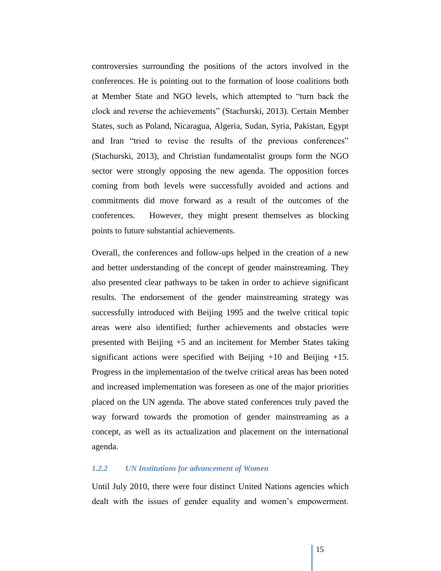controversies surrounding the positions of the actors involved in the conferences. He is pointing out to the formation of loose coalitions both at Member State and NGO levels, which attempted to "turn back the clock and reverse the achievements" (Stachurski, 2013). Certain Member States, such as Poland, Nicaragua, Algeria, Sudan, Syria, Pakistan, Egypt and Iran "tried to revise the results of the previous conferences" (Stachurski, 2013), and Christian fundamentalist groups form the NGO sector were strongly opposing the new agenda. The opposition forces coming from both levels were successfully avoided and actions and commitments did move forward as a result of the outcomes of the conferences. However, they might present themselves as blocking points to future substantial achievements.

Overall, the conferences and follow-ups helped in the creation of a new and better understanding of the concept of gender mainstreaming. They also presented clear pathways to be taken in order to achieve significant results. The endorsement of the gender mainstreaming strategy was successfully introduced with Beijing 1995 and the twelve critical topic areas were also identified; further achievements and obstacles were presented with Beijing +5 and an incitement for Member States taking significant actions were specified with Beijing  $+10$  and Beijing  $+15$ . Progress in the implementation of the twelve critical areas has been noted and increased implementation was foreseen as one of the major priorities placed on the UN agenda. The above stated conferences truly paved the way forward towards the promotion of gender mainstreaming as a concept, as well as its actualization and placement on the international agenda.

#### *1.2.2 UN Institutions for advancement of Women*

Until July 2010, there were four distinct United Nations agencies which dealt with the issues of gender equality and women's empowerment.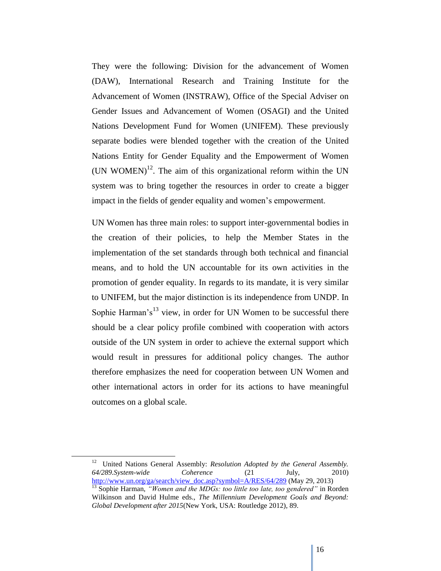They were the following: Division for the advancement of Women (DAW), International Research and Training Institute for the Advancement of Women (INSTRAW), Office of the Special Adviser on Gender Issues and Advancement of Women (OSAGI) and the United Nations Development Fund for Women (UNIFEM). These previously separate bodies were blended together with the creation of the United Nations Entity for Gender Equality and the Empowerment of Women (UN WOMEN)<sup>12</sup>. The aim of this organizational reform within the UN system was to bring together the resources in order to create a bigger impact in the fields of gender equality and women's empowerment.

UN Women has three main roles: to support inter-governmental bodies in the creation of their policies, to help the Member States in the implementation of the set standards through both technical and financial means, and to hold the UN accountable for its own activities in the promotion of gender equality. In regards to its mandate, it is very similar to UNIFEM, but the major distinction is its independence from UNDP. In Sophie Harman's<sup>13</sup> view, in order for UN Women to be successful there should be a clear policy profile combined with cooperation with actors outside of the UN system in order to achieve the external support which would result in pressures for additional policy changes. The author therefore emphasizes the need for cooperation between UN Women and other international actors in order for its actions to have meaningful outcomes on a global scale.

<sup>12</sup> United Nations General Assembly: *Resolution Adopted by the General Assembly*. *64/289.System-wide Coherence* (21 July, 2010) [http://www.un.org/ga/search/view\\_doc.asp?symbol=A/RES/64/289](http://www.un.org/ga/search/view_doc.asp?symbol=A/RES/64/289) (May 29, 2013)

<sup>&</sup>lt;sup>13</sup> Sophie Harman, *"Women and the MDGs: too little too late, too gendered"* in Rorden Wilkinson and David Hulme eds., *The Millennium Development Goals and Beyond: Global Development after 2015*(New York, USA: Routledge 2012), 89.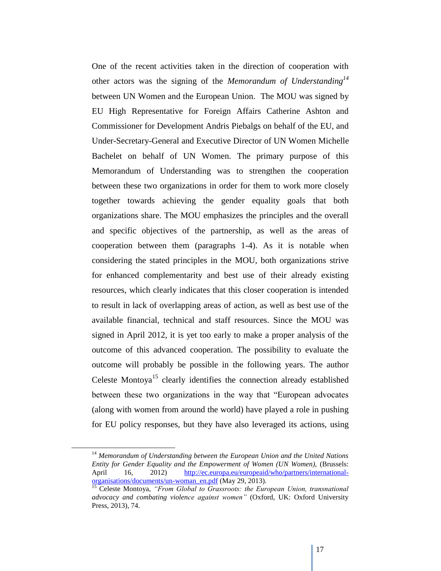One of the recent activities taken in the direction of cooperation with other actors was the signing of the *Memorandum of Understanding<sup>14</sup>* between UN Women and the European Union. The MOU was signed by EU High Representative for Foreign Affairs Catherine Ashton and Commissioner for Development Andris Piebalgs on behalf of the EU, and Under-Secretary-General and Executive Director of UN Women Michelle Bachelet on behalf of UN Women. The primary purpose of this Memorandum of Understanding was to strengthen the cooperation between these two organizations in order for them to work more closely together towards achieving the gender equality goals that both organizations share. The MOU emphasizes the principles and the overall and specific objectives of the partnership, as well as the areas of cooperation between them (paragraphs 1-4). As it is notable when considering the stated principles in the MOU, both organizations strive for enhanced complementarity and best use of their already existing resources, which clearly indicates that this closer cooperation is intended to result in lack of overlapping areas of action, as well as best use of the available financial, technical and staff resources. Since the MOU was signed in April 2012, it is yet too early to make a proper analysis of the outcome of this advanced cooperation. The possibility to evaluate the outcome will probably be possible in the following years. The author Celeste Montoya<sup>15</sup> clearly identifies the connection already established between these two organizations in the way that "European advocates (along with women from around the world) have played a role in pushing for EU policy responses, but they have also leveraged its actions, using

<sup>14</sup> *Memorandum of Understanding between the European Union and the United Nations Entity for Gender Equality and the Empowerment of Women (UN Women),* (Brussels: April 16, 2012) [http://ec.europa.eu/europeaid/who/partners/international](http://ec.europa.eu/europeaid/who/partners/international-organisations/documents/un-woman_en.pdf)[organisations/documents/un-woman\\_en.pdf](http://ec.europa.eu/europeaid/who/partners/international-organisations/documents/un-woman_en.pdf) (May 29, 2013).

<sup>15</sup> Celeste Montoya, *"From Global to Grassroots: the European Union, transnational advocacy and combating violence against women"* (Oxford, UK: Oxford University Press, 2013), 74.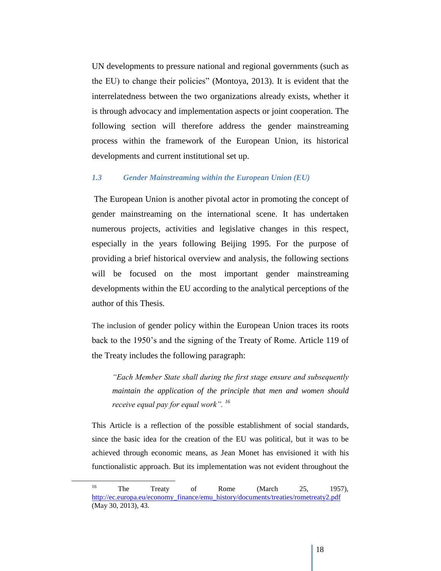UN developments to pressure national and regional governments (such as the EU) to change their policies" (Montoya, 2013). It is evident that the interrelatedness between the two organizations already exists, whether it is through advocacy and implementation aspects or joint cooperation. The following section will therefore address the gender mainstreaming process within the framework of the European Union, its historical developments and current institutional set up.

#### *1.3 Gender Mainstreaming within the European Union (EU)*

The European Union is another pivotal actor in promoting the concept of gender mainstreaming on the international scene. It has undertaken numerous projects, activities and legislative changes in this respect, especially in the years following Beijing 1995. For the purpose of providing a brief historical overview and analysis, the following sections will be focused on the most important gender mainstreaming developments within the EU according to the analytical perceptions of the author of this Thesis.

The inclusion of gender policy within the European Union traces its roots back to the 1950"s and the signing of the Treaty of Rome. Article 119 of the Treaty includes the following paragraph:

*"Each Member State shall during the first stage ensure and subsequently maintain the application of the principle that men and women should receive equal pay for equal work". <sup>16</sup>*

This Article is a reflection of the possible establishment of social standards, since the basic idea for the creation of the EU was political, but it was to be achieved through economic means, as Jean Monet has envisioned it with his functionalistic approach. But its implementation was not evident throughout the

<sup>&</sup>lt;sup>16</sup> The Treaty of Rome (March 25, 1957), [http://ec.europa.eu/economy\\_finance/emu\\_history/documents/treaties/rometreaty2.pdf](http://ec.europa.eu/economy_finance/emu_history/documents/treaties/rometreaty2.pdf)  (May 30, 2013), 43.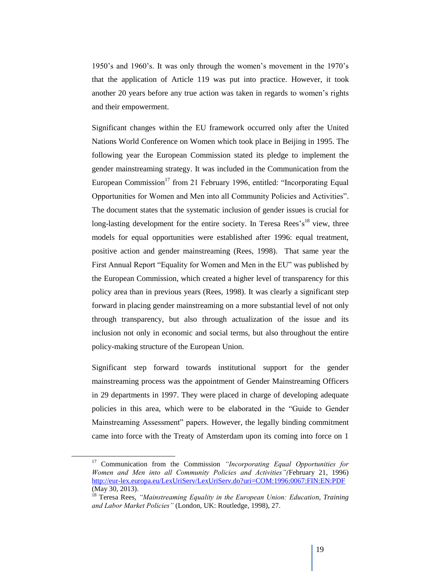1950"s and 1960"s. It was only through the women"s movement in the 1970"s that the application of Article 119 was put into practice. However, it took another 20 years before any true action was taken in regards to women"s rights and their empowerment.

Significant changes within the EU framework occurred only after the United Nations World Conference on Women which took place in Beijing in 1995. The following year the European Commission stated its pledge to implement the gender mainstreaming strategy. It was included in the Communication from the European Commission<sup>17</sup> from 21 February 1996, entitled: "Incorporating Equal Opportunities for Women and Men into all Community Policies and Activities". The document states that the systematic inclusion of gender issues is crucial for long-lasting development for the entire society. In Teresa Rees's<sup>18</sup> view, three models for equal opportunities were established after 1996: equal treatment, positive action and gender mainstreaming (Rees, 1998). That same year the First Annual Report "Equality for Women and Men in the EU" was published by the European Commission, which created a higher level of transparency for this policy area than in previous years (Rees, 1998). It was clearly a significant step forward in placing gender mainstreaming on a more substantial level of not only through transparency, but also through actualization of the issue and its inclusion not only in economic and social terms, but also throughout the entire policy-making structure of the European Union.

Significant step forward towards institutional support for the gender mainstreaming process was the appointment of Gender Mainstreaming Officers in 29 departments in 1997. They were placed in charge of developing adequate policies in this area, which were to be elaborated in the "Guide to Gender Mainstreaming Assessment" papers. However, the legally binding commitment came into force with the Treaty of Amsterdam upon its coming into force on 1

<sup>17</sup> Communication from the Commission *"Incorporating Equal Opportunities for Women and Men into all Community Policies and Activities"(*February 21, 1996) <http://eur-lex.europa.eu/LexUriServ/LexUriServ.do?uri=COM:1996:0067:FIN:EN:PDF> (May 30, 2013).

<sup>&</sup>lt;sup>18</sup> Teresa Rees, "Mainstreaming Equality in the European Union: Education, Training *and Labor Market Policies"* (London, UK: Routledge, 1998), 27.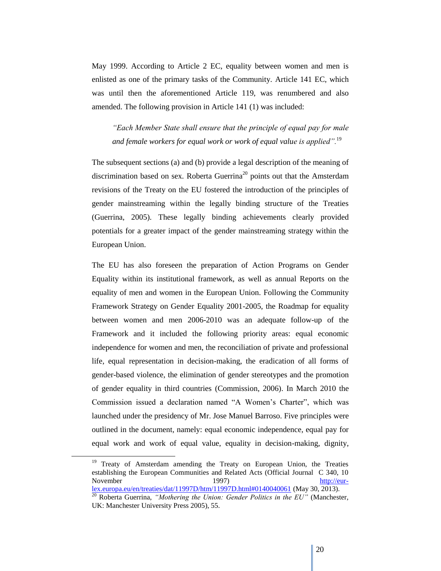May 1999. According to Article 2 EC, equality between women and men is enlisted as one of the primary tasks of the Community. Article 141 EC, which was until then the aforementioned Article 119, was renumbered and also amended. The following provision in Article 141 (1) was included:

*"Each Member State shall ensure that the principle of equal pay for male and female workers for equal work or work of equal value is applied".*<sup>19</sup>

The subsequent sections (a) and (b) provide a legal description of the meaning of discrimination based on sex. Roberta Guerrina<sup>20</sup> points out that the Amsterdam revisions of the Treaty on the EU fostered the introduction of the principles of gender mainstreaming within the legally binding structure of the Treaties (Guerrina, 2005). These legally binding achievements clearly provided potentials for a greater impact of the gender mainstreaming strategy within the European Union.

The EU has also foreseen the preparation of Action Programs on Gender Equality within its institutional framework, as well as annual Reports on the equality of men and women in the European Union. Following the Community Framework Strategy on Gender Equality 2001-2005, the Roadmap for equality between women and men 2006-2010 was an adequate follow-up of the Framework and it included the following priority areas: equal economic independence for women and men, the reconciliation of private and professional life, equal representation in decision-making, the eradication of all forms of gender-based violence, the elimination of gender stereotypes and the promotion of gender equality in third countries (Commission, 2006). In March 2010 the Commission issued a declaration named "A Women"s Charter", which was launched under the presidency of Mr. Jose Manuel Barroso. Five principles were outlined in the document, namely: equal economic independence, equal pay for equal work and work of equal value, equality in decision-making, dignity,

<sup>&</sup>lt;sup>19</sup> Treaty of Amsterdam amending the Treaty on European Union, the Treaties establishing the European Communities and Related Acts (Official Journal C 340, 10 November 1997) [http://eur](http://eur-lex.europa.eu/en/treaties/dat/11997D/htm/11997D.html#0140040061)[lex.europa.eu/en/treaties/dat/11997D/htm/11997D.html#0140040061](http://eur-lex.europa.eu/en/treaties/dat/11997D/htm/11997D.html#0140040061) (May 30, 2013).

<sup>20</sup> Roberta Guerrina, *"Mothering the Union: Gender Politics in the EU"* (Manchester, UK: Manchester University Press 2005), 55.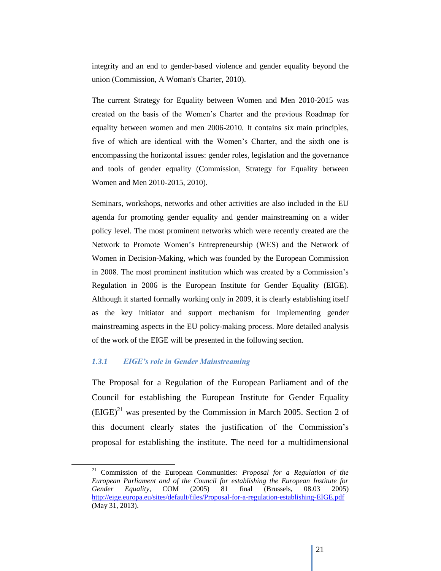integrity and an end to gender-based violence and gender equality beyond the union (Commission, A Woman's Charter, 2010).

The current Strategy for Equality between Women and Men 2010-2015 was created on the basis of the Women"s Charter and the previous Roadmap for equality between women and men 2006-2010. It contains six main principles, five of which are identical with the Women"s Charter, and the sixth one is encompassing the horizontal issues: gender roles, legislation and the governance and tools of gender equality (Commission, Strategy for Equality between Women and Men 2010-2015, 2010).

Seminars, workshops, networks and other activities are also included in the EU agenda for promoting gender equality and gender mainstreaming on a wider policy level. The most prominent networks which were recently created are the Network to Promote Women"s Entrepreneurship (WES) and the Network of Women in Decision-Making, which was founded by the European Commission in 2008. The most prominent institution which was created by a Commission"s Regulation in 2006 is the European Institute for Gender Equality (EIGE). Although it started formally working only in 2009, it is clearly establishing itself as the key initiator and support mechanism for implementing gender mainstreaming aspects in the EU policy-making process. More detailed analysis of the work of the EIGE will be presented in the following section.

#### *1.3.1 EIGE's role in Gender Mainstreaming*

The Proposal for a Regulation of the European Parliament and of the Council for establishing the European Institute for Gender Equality  $(EIGE)^{21}$  was presented by the Commission in March 2005. Section 2 of this document clearly states the justification of the Commission"s proposal for establishing the institute. The need for a multidimensional

<sup>21</sup> Commission of the European Communities: *Proposal for a Regulation of the European Parliament and of the Council for establishing the European Institute for Gender Equality*, COM (2005) 81 final (Brussels, 08.03 2005) <http://eige.europa.eu/sites/default/files/Proposal-for-a-regulation-establishing-EIGE.pdf> (May 31, 2013).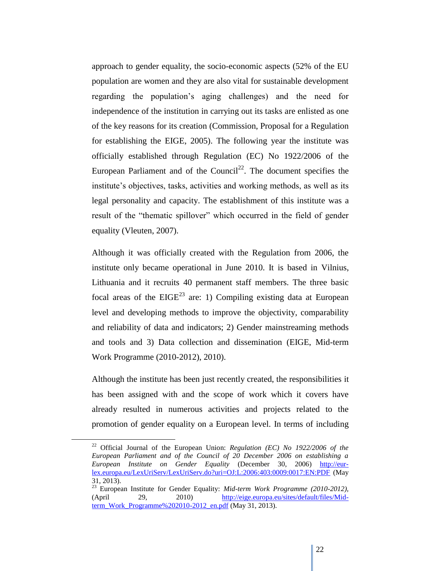approach to gender equality, the socio-economic aspects (52% of the EU population are women and they are also vital for sustainable development regarding the population"s aging challenges) and the need for independence of the institution in carrying out its tasks are enlisted as one of the key reasons for its creation (Commission, Proposal for a Regulation for establishing the EIGE, 2005). The following year the institute was officially established through Regulation (EC) No 1922/2006 of the European Parliament and of the Council<sup>22</sup>. The document specifies the institute's objectives, tasks, activities and working methods, as well as its legal personality and capacity. The establishment of this institute was a result of the "thematic spillover" which occurred in the field of gender equality (Vleuten, 2007).

Although it was officially created with the Regulation from 2006, the institute only became operational in June 2010. It is based in Vilnius, Lithuania and it recruits 40 permanent staff members. The three basic focal areas of the  $EIGE<sup>23</sup>$  are: 1) Compiling existing data at European level and developing methods to improve the objectivity, comparability and reliability of data and indicators; 2) Gender mainstreaming methods and tools and 3) Data collection and dissemination (EIGE, Mid-term Work Programme (2010-2012), 2010).

Although the institute has been just recently created, the responsibilities it has been assigned with and the scope of work which it covers have already resulted in numerous activities and projects related to the promotion of gender equality on a European level. In terms of including

<sup>22</sup> Official Journal of the European Union: *Regulation (EC) No 1922/2006 of the European Parliament and of the Council of 20 December 2006 on establishing a European Institute on Gender Equality* (December 30, 2006) [http://eur](http://eur-lex.europa.eu/LexUriServ/LexUriServ.do?uri=OJ:L:2006:403:0009:0017:EN:PDF)[lex.europa.eu/LexUriServ/LexUriServ.do?uri=OJ:L:2006:403:0009:0017:EN:PDF](http://eur-lex.europa.eu/LexUriServ/LexUriServ.do?uri=OJ:L:2006:403:0009:0017:EN:PDF) (May 31, 2013).

<sup>23</sup> European Institute for Gender Equality: *Mid-term Work Programme (2010-2012),*  (April 29, 2010) [http://eige.europa.eu/sites/default/files/Mid](http://eige.europa.eu/sites/default/files/Mid-term_Work_Programme%202010-2012_en.pdf)[term\\_Work\\_Programme%202010-2012\\_en.pdf](http://eige.europa.eu/sites/default/files/Mid-term_Work_Programme%202010-2012_en.pdf) (May 31, 2013).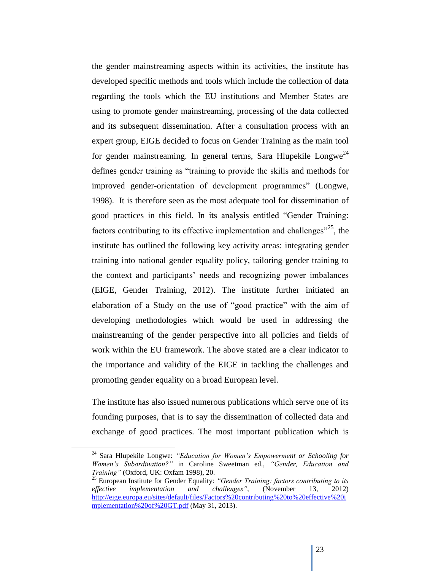the gender mainstreaming aspects within its activities, the institute has developed specific methods and tools which include the collection of data regarding the tools which the EU institutions and Member States are using to promote gender mainstreaming, processing of the data collected and its subsequent dissemination. After a consultation process with an expert group, EIGE decided to focus on Gender Training as the main tool for gender mainstreaming. In general terms, Sara Hlupekile Longwe<sup>24</sup> defines gender training as "training to provide the skills and methods for improved gender-orientation of development programmes" (Longwe, 1998). It is therefore seen as the most adequate tool for dissemination of good practices in this field. In its analysis entitled "Gender Training: factors contributing to its effective implementation and challenges<sup> $25$ </sup>, the institute has outlined the following key activity areas: integrating gender training into national gender equality policy, tailoring gender training to the context and participants" needs and recognizing power imbalances (EIGE, Gender Training, 2012). The institute further initiated an elaboration of a Study on the use of "good practice" with the aim of developing methodologies which would be used in addressing the mainstreaming of the gender perspective into all policies and fields of work within the EU framework. The above stated are a clear indicator to the importance and validity of the EIGE in tackling the challenges and promoting gender equality on a broad European level.

The institute has also issued numerous publications which serve one of its founding purposes, that is to say the dissemination of collected data and exchange of good practices. The most important publication which is

<sup>24</sup> Sara Hlupekile Longwe: *"Education for Women's Empowerment or Schooling for Women's Subordination?"* in Caroline Sweetman ed., *"Gender, Education and Training"* (Oxford, UK: Oxfam 1998), 20.

<sup>25</sup> European Institute for Gender Equality: *"Gender Training: factors contributing to its effective implementation and challenges"*, (November 13, 2012) [http://eige.europa.eu/sites/default/files/Factors%20contributing%20to%20effective%20i](http://eige.europa.eu/sites/default/files/Factors%20contributing%20to%20effective%20implementation%20of%20GT.pdf) [mplementation%20of%20GT.pdf](http://eige.europa.eu/sites/default/files/Factors%20contributing%20to%20effective%20implementation%20of%20GT.pdf) (May 31, 2013).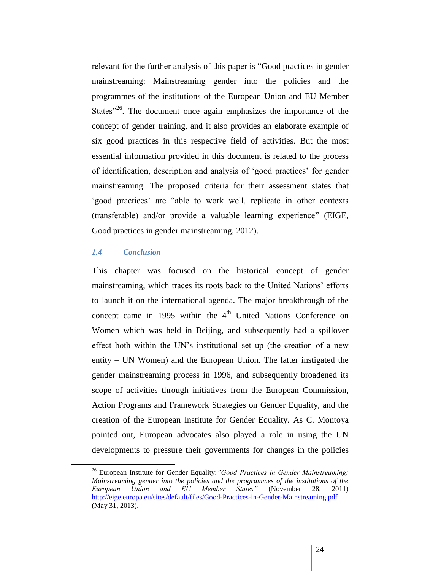relevant for the further analysis of this paper is "Good practices in gender mainstreaming: Mainstreaming gender into the policies and the programmes of the institutions of the European Union and EU Member States $126$ . The document once again emphasizes the importance of the concept of gender training, and it also provides an elaborate example of six good practices in this respective field of activities. But the most essential information provided in this document is related to the process of identification, description and analysis of "good practices" for gender mainstreaming. The proposed criteria for their assessment states that "good practices" are "able to work well, replicate in other contexts (transferable) and/or provide a valuable learning experience" (EIGE, Good practices in gender mainstreaming, 2012).

#### *1.4 Conclusion*

This chapter was focused on the historical concept of gender mainstreaming, which traces its roots back to the United Nations" efforts to launch it on the international agenda. The major breakthrough of the concept came in 1995 within the 4<sup>th</sup> United Nations Conference on Women which was held in Beijing, and subsequently had a spillover effect both within the UN"s institutional set up (the creation of a new entity – UN Women) and the European Union. The latter instigated the gender mainstreaming process in 1996, and subsequently broadened its scope of activities through initiatives from the European Commission, Action Programs and Framework Strategies on Gender Equality, and the creation of the European Institute for Gender Equality. As C. Montoya pointed out, European advocates also played a role in using the UN developments to pressure their governments for changes in the policies

<sup>26</sup> European Institute for Gender Equality:*"Good Practices in Gender Mainstreaming: Mainstreaming gender into the policies and the programmes of the institutions of the European Union and EU Member States"* (November 28, 2011) <http://eige.europa.eu/sites/default/files/Good-Practices-in-Gender-Mainstreaming.pdf> (May 31, 2013).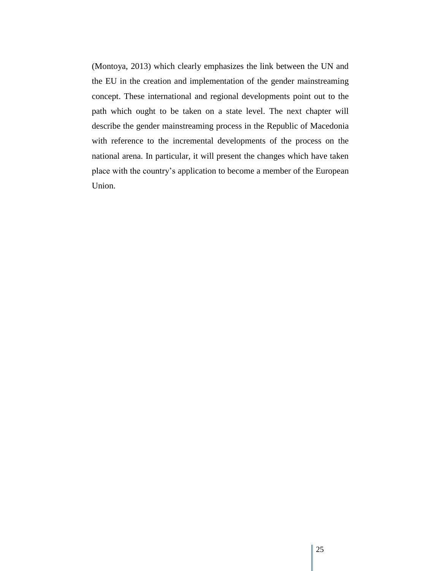(Montoya, 2013) which clearly emphasizes the link between the UN and the EU in the creation and implementation of the gender mainstreaming concept. These international and regional developments point out to the path which ought to be taken on a state level. The next chapter will describe the gender mainstreaming process in the Republic of Macedonia with reference to the incremental developments of the process on the national arena. In particular, it will present the changes which have taken place with the country"s application to become a member of the European Union.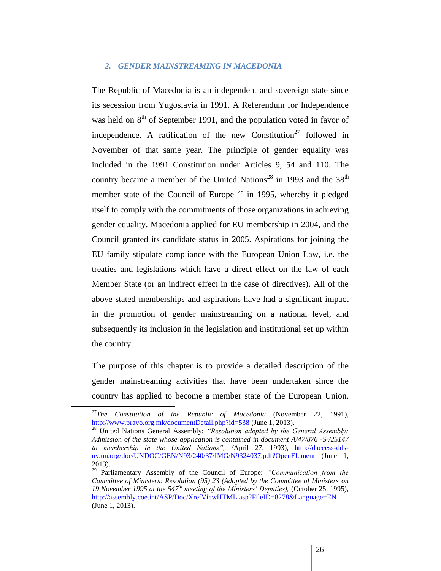#### *2. GENDER MAINSTREAMING IN MACEDONIA*

The Republic of Macedonia is an independent and sovereign state since its secession from Yugoslavia in 1991. A Referendum for Independence was held on  $8<sup>th</sup>$  of September 1991, and the population voted in favor of independence. A ratification of the new Constitution<sup>27</sup> followed in November of that same year. The principle of gender equality was included in the 1991 Constitution under Articles 9, 54 and 110. The country became a member of the United Nations<sup>28</sup> in 1993 and the  $38<sup>th</sup>$ member state of the Council of Europe  $29$  in 1995, whereby it pledged itself to comply with the commitments of those organizations in achieving gender equality. Macedonia applied for EU membership in 2004, and the Council granted its candidate status in 2005. Aspirations for joining the EU family stipulate compliance with the European Union Law, i.e. the treaties and legislations which have a direct effect on the law of each Member State (or an indirect effect in the case of directives). All of the above stated memberships and aspirations have had a significant impact in the promotion of gender mainstreaming on a national level, and subsequently its inclusion in the legislation and institutional set up within the country.

The purpose of this chapter is to provide a detailed description of the gender mainstreaming activities that have been undertaken since the country has applied to become a member state of the European Union.

<sup>27</sup>*The Constitution of the Republic of Macedonia* (November 22, 1991), <http://www.pravo.org.mk/documentDetail.php?id=538> (June 1, 2013).

<sup>28</sup> United Nations General Assembly: *"Resolution adopted by the General Assembly: Admission of the state whose application is contained in document A/47/876 -S-/25147 to membership in the United Nations", (*April 27, 1993), [http://daccess-dds](http://daccess-dds-ny.un.org/doc/UNDOC/GEN/N93/240/37/IMG/N9324037.pdf?OpenElement)[ny.un.org/doc/UNDOC/GEN/N93/240/37/IMG/N9324037.pdf?OpenElement](http://daccess-dds-ny.un.org/doc/UNDOC/GEN/N93/240/37/IMG/N9324037.pdf?OpenElement) (June 1, 2013).

<sup>29</sup> Parliamentary Assembly of the Council of Europe: *"Communication from the Committee of Ministers: Resolution (95) 23 (Adopted by the Committee of Ministers on 19 November 1995 at the 547th meeting of the Ministers' Deputies),* (October 25, 1995), <http://assembly.coe.int/ASP/Doc/XrefViewHTML.asp?FileID=8278&Language=EN> (June 1, 2013).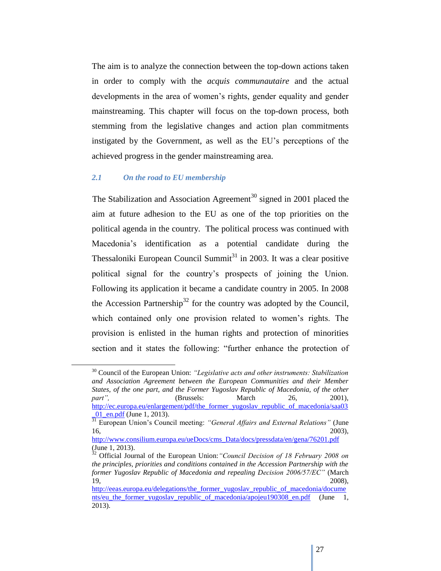The aim is to analyze the connection between the top-down actions taken in order to comply with the *acquis communautaire* and the actual developments in the area of women"s rights, gender equality and gender mainstreaming. This chapter will focus on the top-down process, both stemming from the legislative changes and action plan commitments instigated by the Government, as well as the EU"s perceptions of the achieved progress in the gender mainstreaming area.

#### *2.1 On the road to EU membership*

The Stabilization and Association Agreement<sup>30</sup> signed in 2001 placed the aim at future adhesion to the EU as one of the top priorities on the political agenda in the country. The political process was continued with Macedonia"s identification as a potential candidate during the Thessaloniki European Council Summit<sup>31</sup> in 2003. It was a clear positive political signal for the country"s prospects of joining the Union. Following its application it became a candidate country in 2005. In 2008 the Accession Partnership<sup>32</sup> for the country was adopted by the Council, which contained only one provision related to women"s rights. The provision is enlisted in the human rights and protection of minorities section and it states the following: "further enhance the protection of

<sup>30</sup> Council of the European Union: *"Legislative acts and other instruments: Stabilization and Association Agreement between the European Communities and their Member States, of the one part, and the Former Yugoslav Republic of Macedonia, of the other part"*, (Brussels: March 26, 2001), [http://ec.europa.eu/enlargement/pdf/the\\_former\\_yugoslav\\_republic\\_of\\_macedonia/saa03](http://ec.europa.eu/enlargement/pdf/the_former_yugoslav_republic_of_macedonia/saa03_01_en.pdf) [\\_01\\_en.pdf](http://ec.europa.eu/enlargement/pdf/the_former_yugoslav_republic_of_macedonia/saa03_01_en.pdf) (June 1, 2013).

<sup>&</sup>lt;sup>31</sup> European Union's Council meeting: *"General Affairs and External Relations"* (June 16, 2003),

[http://www.consilium.europa.eu/ueDocs/cms\\_Data/docs/pressdata/en/gena/76201.pdf](http://www.consilium.europa.eu/ueDocs/cms_Data/docs/pressdata/en/gena/76201.pdf) (June 1, 2013).

<sup>32</sup> Official Journal of the European Union:*"Council Decision of 18 February 2008 on the principles, priorities and conditions contained in the Accession Partnership with the former Yugoslav Republic of Macedonia and repealing Decision 2006/57/EC"* (March 19, 2008),

http://eeas.europa.eu/delegations/the\_former\_vugoslav\_republic\_of\_macedonia/docume nts/eu the former yugoslav republic of macedonia/apojeu190308 en.pdf (June 1, 2013).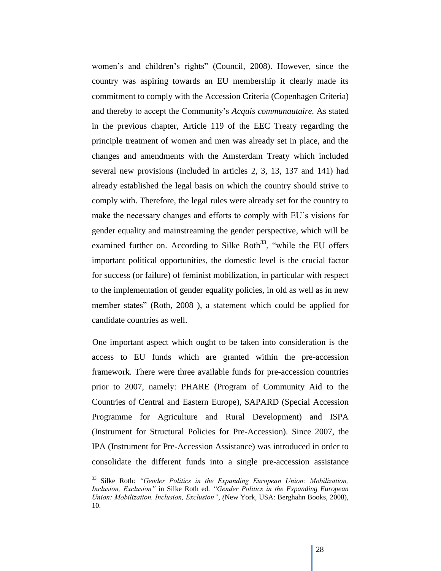women's and children's rights" (Council, 2008). However, since the country was aspiring towards an EU membership it clearly made its commitment to comply with the Accession Criteria (Copenhagen Criteria) and thereby to accept the Community"s *Acquis communautaire.* As stated in the previous chapter, Article 119 of the EEC Treaty regarding the principle treatment of women and men was already set in place, and the changes and amendments with the Amsterdam Treaty which included several new provisions (included in articles 2, 3, 13, 137 and 141) had already established the legal basis on which the country should strive to comply with. Therefore, the legal rules were already set for the country to make the necessary changes and efforts to comply with EU"s visions for gender equality and mainstreaming the gender perspective, which will be examined further on. According to Silke Roth<sup>33</sup>, "while the EU offers important political opportunities, the domestic level is the crucial factor for success (or failure) of feminist mobilization, in particular with respect to the implementation of gender equality policies, in old as well as in new member states" (Roth, 2008 ), a statement which could be applied for candidate countries as well.

One important aspect which ought to be taken into consideration is the access to EU funds which are granted within the pre-accession framework. There were three available funds for pre-accession countries prior to 2007, namely: PHARE (Program of Community Aid to the Countries of Central and Eastern Europe), SAPARD (Special Accession Programme for Agriculture and Rural Development) and ISPA (Instrument for Structural Policies for Pre-Accession). Since 2007, the IPA (Instrument for Pre-Accession Assistance) was introduced in order to consolidate the different funds into a single pre-accession assistance

<sup>33</sup> Silke Roth: *"Gender Politics in the Expanding European Union: Mobilization, Inclusion, Exclusion"* in Silke Roth ed. *"Gender Politics in the Expanding European Union: Mobilization, Inclusion, Exclusion", (*New York, USA: Berghahn Books, 2008), 10.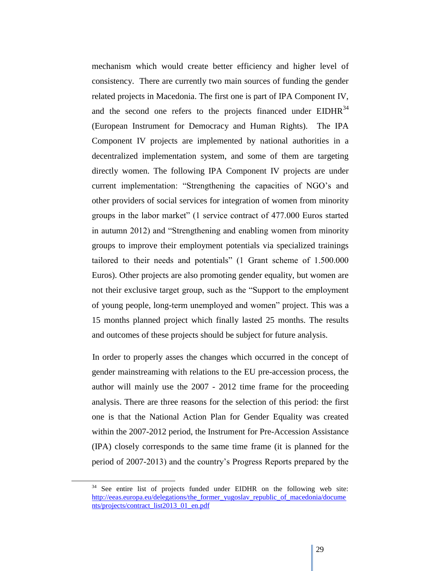mechanism which would create better efficiency and higher level of consistency. There are currently two main sources of funding the gender related projects in Macedonia. The first one is part of IPA Component IV, and the second one refers to the projects financed under  $EIDHR<sup>34</sup>$ (European Instrument for Democracy and Human Rights). The IPA Component IV projects are implemented by national authorities in a decentralized implementation system, and some of them are targeting directly women. The following IPA Component IV projects are under current implementation: "Strengthening the capacities of NGO"s and other providers of social services for integration of women from minority groups in the labor market" (1 service contract of 477.000 Euros started in autumn 2012) and "Strengthening and enabling women from minority groups to improve their employment potentials via specialized trainings tailored to their needs and potentials" (1 Grant scheme of 1.500.000 Euros). Other projects are also promoting gender equality, but women are not their exclusive target group, such as the "Support to the employment of young people, long-term unemployed and women" project. This was a 15 months planned project which finally lasted 25 months. The results and outcomes of these projects should be subject for future analysis.

In order to properly asses the changes which occurred in the concept of gender mainstreaming with relations to the EU pre-accession process, the author will mainly use the 2007 - 2012 time frame for the proceeding analysis. There are three reasons for the selection of this period: the first one is that the National Action Plan for Gender Equality was created within the 2007-2012 period, the Instrument for Pre-Accession Assistance (IPA) closely corresponds to the same time frame (it is planned for the period of 2007-2013) and the country"s Progress Reports prepared by the

 $34$  See entire list of projects funded under EIDHR on the following web site: [http://eeas.europa.eu/delegations/the\\_former\\_yugoslav\\_republic\\_of\\_macedonia/docume](http://eeas.europa.eu/delegations/the_former_yugoslav_republic_of_macedonia/documents/projects/contract_list2013_01_en.pdf) [nts/projects/contract\\_list2013\\_01\\_en.pdf](http://eeas.europa.eu/delegations/the_former_yugoslav_republic_of_macedonia/documents/projects/contract_list2013_01_en.pdf)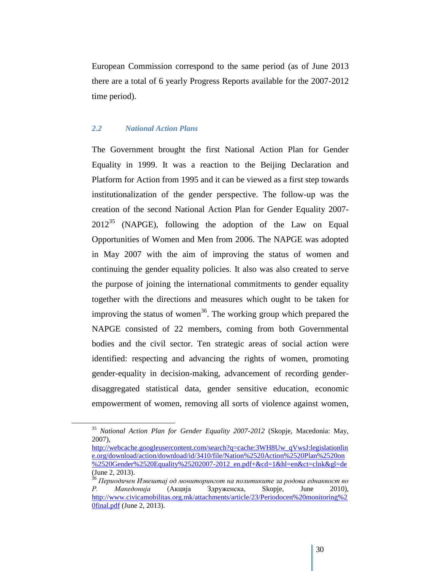European Commission correspond to the same period (as of June 2013 there are a total of 6 yearly Progress Reports available for the 2007-2012 time period).

#### *2.2 National Action Plans*

The Government brought the first National Action Plan for Gender Equality in 1999. It was a reaction to the Beijing Declaration and Platform for Action from 1995 and it can be viewed as a first step towards institutionalization of the gender perspective. The follow-up was the creation of the second National Action Plan for Gender Equality 2007-  $2012^{35}$  (NAPGE), following the adoption of the Law on Equal Opportunities of Women and Men from 2006. The NAPGE was adopted in May 2007 with the aim of improving the status of women and continuing the gender equality policies. It also was also created to serve the purpose of joining the international commitments to gender equality together with the directions and measures which ought to be taken for improving the status of women<sup>36</sup>. The working group which prepared the NAPGE consisted of 22 members, coming from both Governmental bodies and the civil sector. Ten strategic areas of social action were identified: respecting and advancing the rights of women, promoting gender-equality in decision-making, advancement of recording genderdisaggregated statistical data, gender sensitive education, economic empowerment of women, removing all sorts of violence against women,

<sup>35</sup> *National Action Plan for Gender Equality 2007-2012* (Skopje, Macedonia: May, 2007),

[http://webcache.googleusercontent.com/search?q=cache:3WH8Uw\\_qVwsJ:legislationlin](http://webcache.googleusercontent.com/search?q=cache:3WH8Uw_qVwsJ:legislationline.org/download/action/download/id/3410/file/Nation%2520Action%2520Plan%2520on%2520Gender%2520Equality%25202007-2012_en.pdf+&cd=1&hl=en&ct=clnk&gl=de) [e.org/download/action/download/id/3410/file/Nation%2520Action%2520Plan%2520on](http://webcache.googleusercontent.com/search?q=cache:3WH8Uw_qVwsJ:legislationline.org/download/action/download/id/3410/file/Nation%2520Action%2520Plan%2520on%2520Gender%2520Equality%25202007-2012_en.pdf+&cd=1&hl=en&ct=clnk&gl=de) [%2520Gender%2520Equality%25202007-2012\\_en.pdf+&cd=1&hl=en&ct=clnk&gl=de](http://webcache.googleusercontent.com/search?q=cache:3WH8Uw_qVwsJ:legislationline.org/download/action/download/id/3410/file/Nation%2520Action%2520Plan%2520on%2520Gender%2520Equality%25202007-2012_en.pdf+&cd=1&hl=en&ct=clnk&gl=de) (June 2, 2013).

<sup>36</sup> *Периодичен Извештај од мониторингот на политиките за родова еднаквост во Р. Македонија* (Акција Здруженска, Skopje, June 2010), [http://www.civicamobilitas.org.mk/attachments/article/23/Periodocen%20monitoring%2](http://www.civicamobilitas.org.mk/attachments/article/23/Periodocen%20monitoring%20final.pdf) [0final.pdf](http://www.civicamobilitas.org.mk/attachments/article/23/Periodocen%20monitoring%20final.pdf) (June 2, 2013).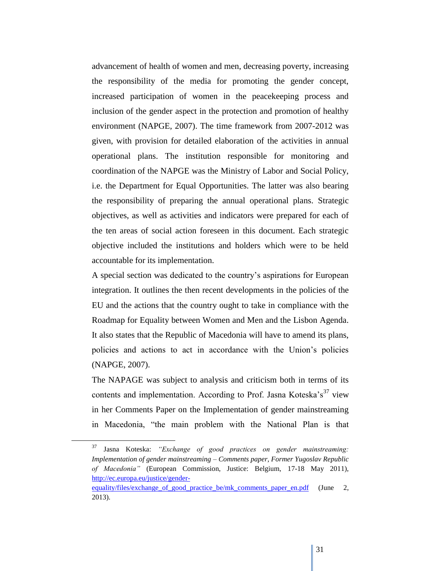advancement of health of women and men, decreasing poverty, increasing the responsibility of the media for promoting the gender concept, increased participation of women in the peacekeeping process and inclusion of the gender aspect in the protection and promotion of healthy environment (NAPGE, 2007). The time framework from 2007-2012 was given, with provision for detailed elaboration of the activities in annual operational plans. The institution responsible for monitoring and coordination of the NAPGE was the Ministry of Labor and Social Policy, i.e. the Department for Equal Opportunities. The latter was also bearing the responsibility of preparing the annual operational plans. Strategic objectives, as well as activities and indicators were prepared for each of the ten areas of social action foreseen in this document. Each strategic objective included the institutions and holders which were to be held accountable for its implementation.

A special section was dedicated to the country"s aspirations for European integration. It outlines the then recent developments in the policies of the EU and the actions that the country ought to take in compliance with the Roadmap for Equality between Women and Men and the Lisbon Agenda. It also states that the Republic of Macedonia will have to amend its plans, policies and actions to act in accordance with the Union"s policies (NAPGE, 2007).

The NAPAGE was subject to analysis and criticism both in terms of its contents and implementation. According to Prof. Jasna Koteska's<sup>37</sup> view in her Comments Paper on the Implementation of gender mainstreaming in Macedonia, "the main problem with the National Plan is that

<sup>37</sup> Jasna Koteska: *"Exchange of good practices on gender mainstreaming: Implementation of gender mainstreaming – Comments paper, Former Yugoslav Republic of Macedonia"* (European Commission, Justice: Belgium, 17-18 May 2011), [http://ec.europa.eu/justice/gender-](http://ec.europa.eu/justice/gender-equality/files/exchange_of_good_practice_be/mk_comments_paper_en.pdf)

equality/files/exchange of good practice be/mk comments paper en.pdf (June 2, 2013).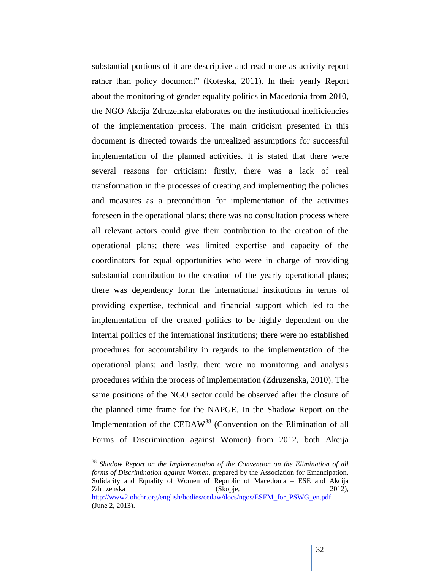substantial portions of it are descriptive and read more as activity report rather than policy document" (Koteska, 2011). In their yearly Report about the monitoring of gender equality politics in Macedonia from 2010, the NGO Akcija Zdruzenska elaborates on the institutional inefficiencies of the implementation process. The main criticism presented in this document is directed towards the unrealized assumptions for successful implementation of the planned activities. It is stated that there were several reasons for criticism: firstly, there was a lack of real transformation in the processes of creating and implementing the policies and measures as a precondition for implementation of the activities foreseen in the operational plans; there was no consultation process where all relevant actors could give their contribution to the creation of the operational plans; there was limited expertise and capacity of the coordinators for equal opportunities who were in charge of providing substantial contribution to the creation of the yearly operational plans; there was dependency form the international institutions in terms of providing expertise, technical and financial support which led to the implementation of the created politics to be highly dependent on the internal politics of the international institutions; there were no established procedures for accountability in regards to the implementation of the operational plans; and lastly, there were no monitoring and analysis procedures within the process of implementation (Zdruzenska, 2010). The same positions of the NGO sector could be observed after the closure of the planned time frame for the NAPGE. In the Shadow Report on the Implementation of the CEDAW<sup>38</sup> (Convention on the Elimination of all Forms of Discrimination against Women) from 2012, both Akcija

<sup>38</sup> *Shadow Report on the Implementation of the Convention on the Elimination of all forms of Discrimination against Women*, prepared by the Association for Emancipation, Solidarity and Equality of Women of Republic of Macedonia – ESE and Akcija Zdruzenska (Skopje, 2012), [http://www2.ohchr.org/english/bodies/cedaw/docs/ngos/ESEM\\_for\\_PSWG\\_en.pdf](http://www2.ohchr.org/english/bodies/cedaw/docs/ngos/ESEM_for_PSWG_en.pdf) (June 2, 2013).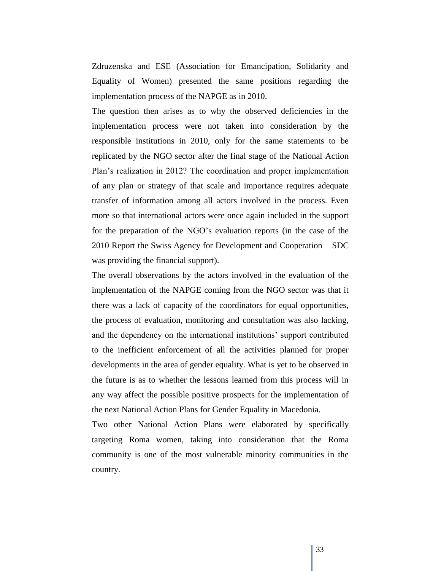Zdruzenska and ESE (Association for Emancipation, Solidarity and Equality of Women) presented the same positions regarding the implementation process of the NAPGE as in 2010.

The question then arises as to why the observed deficiencies in the implementation process were not taken into consideration by the responsible institutions in 2010, only for the same statements to be replicated by the NGO sector after the final stage of the National Action Plan"s realization in 2012? The coordination and proper implementation of any plan or strategy of that scale and importance requires adequate transfer of information among all actors involved in the process. Even more so that international actors were once again included in the support for the preparation of the NGO"s evaluation reports (in the case of the 2010 Report the Swiss Agency for Development and Cooperation – SDC was providing the financial support).

The overall observations by the actors involved in the evaluation of the implementation of the NAPGE coming from the NGO sector was that it there was a lack of capacity of the coordinators for equal opportunities, the process of evaluation, monitoring and consultation was also lacking, and the dependency on the international institutions" support contributed to the inefficient enforcement of all the activities planned for proper developments in the area of gender equality. What is yet to be observed in the future is as to whether the lessons learned from this process will in any way affect the possible positive prospects for the implementation of the next National Action Plans for Gender Equality in Macedonia.

Two other National Action Plans were elaborated by specifically targeting Roma women, taking into consideration that the Roma community is one of the most vulnerable minority communities in the country.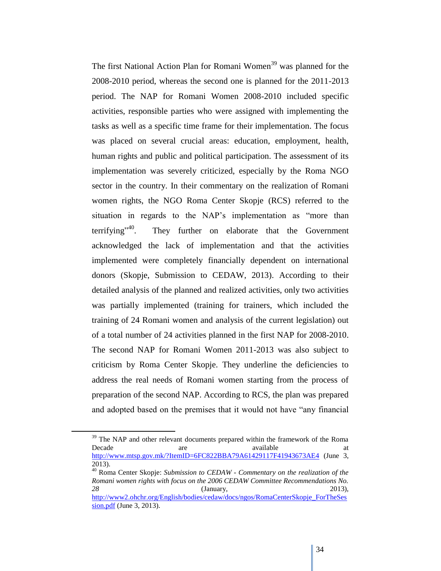The first National Action Plan for Romani Women<sup>39</sup> was planned for the 2008-2010 period, whereas the second one is planned for the 2011-2013 period. The NAP for Romani Women 2008-2010 included specific activities, responsible parties who were assigned with implementing the tasks as well as a specific time frame for their implementation. The focus was placed on several crucial areas: education, employment, health, human rights and public and political participation. The assessment of its implementation was severely criticized, especially by the Roma NGO sector in the country. In their commentary on the realization of Romani women rights, the NGO Roma Center Skopje (RCS) referred to the situation in regards to the NAP's implementation as "more than terrifying"<sup>40</sup> . They further on elaborate that the Government acknowledged the lack of implementation and that the activities implemented were completely financially dependent on international donors (Skopje, Submission to CEDAW, 2013). According to their detailed analysis of the planned and realized activities, only two activities was partially implemented (training for trainers, which included the training of 24 Romani women and analysis of the current legislation) out of a total number of 24 activities planned in the first NAP for 2008-2010. The second NAP for Romani Women 2011-2013 was also subject to criticism by Roma Center Skopje. They underline the deficiencies to address the real needs of Romani women starting from the process of preparation of the second NAP. According to RCS, the plan was prepared and adopted based on the premises that it would not have "any financial

<sup>&</sup>lt;sup>39</sup> The NAP and other relevant documents prepared within the framework of the Roma Decade are available at a state at the set of  $\alpha$ <http://www.mtsp.gov.mk/?ItemID=6FC822BBA79A61429117F41943673AE4> (June 3, 2013).

<sup>40</sup> Roma Center Skopje: *Submission to CEDAW - Commentary on the realization of the Romani women rights with focus on the 2006 CEDAW Committee Recommendations No. 28* (January, 2013), [http://www2.ohchr.org/English/bodies/cedaw/docs/ngos/RomaCenterSkopje\\_ForTheSes](http://www2.ohchr.org/English/bodies/cedaw/docs/ngos/RomaCenterSkopje_ForTheSession.pdf)

[sion.pdf](http://www2.ohchr.org/English/bodies/cedaw/docs/ngos/RomaCenterSkopje_ForTheSession.pdf) (June 3, 2013).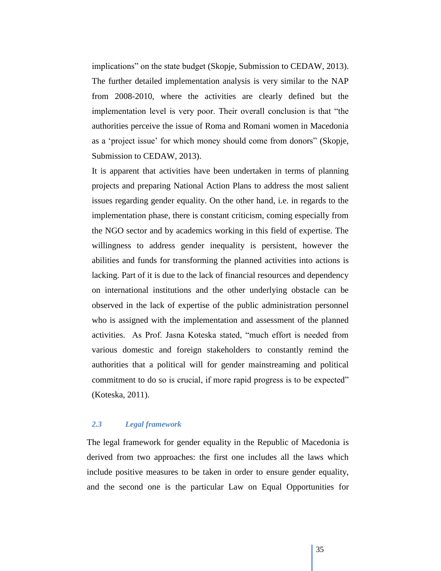implications" on the state budget (Skopje, Submission to CEDAW, 2013). The further detailed implementation analysis is very similar to the NAP from 2008-2010, where the activities are clearly defined but the implementation level is very poor. Their overall conclusion is that "the authorities perceive the issue of Roma and Romani women in Macedonia as a 'project issue' for which money should come from donors" (Skopje, Submission to CEDAW, 2013).

It is apparent that activities have been undertaken in terms of planning projects and preparing National Action Plans to address the most salient issues regarding gender equality. On the other hand, i.e. in regards to the implementation phase, there is constant criticism, coming especially from the NGO sector and by academics working in this field of expertise. The willingness to address gender inequality is persistent, however the abilities and funds for transforming the planned activities into actions is lacking. Part of it is due to the lack of financial resources and dependency on international institutions and the other underlying obstacle can be observed in the lack of expertise of the public administration personnel who is assigned with the implementation and assessment of the planned activities. As Prof. Jasna Koteska stated, "much effort is needed from various domestic and foreign stakeholders to constantly remind the authorities that a political will for gender mainstreaming and political commitment to do so is crucial, if more rapid progress is to be expected" (Koteska, 2011).

#### *2.3 Legal framework*

The legal framework for gender equality in the Republic of Macedonia is derived from two approaches: the first one includes all the laws which include positive measures to be taken in order to ensure gender equality, and the second one is the particular Law on Equal Opportunities for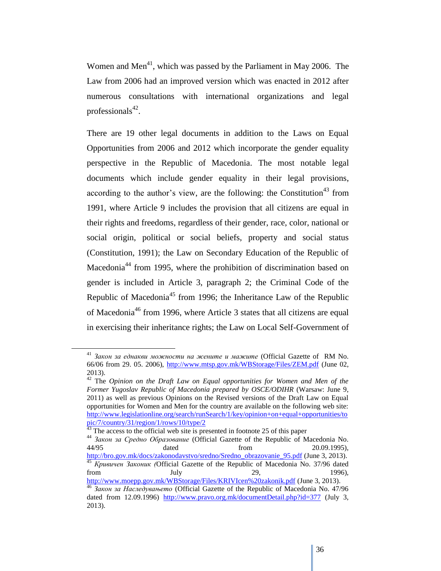Women and Men<sup>41</sup>, which was passed by the Parliament in May 2006. The Law from 2006 had an improved version which was enacted in 2012 after numerous consultations with international organizations and legal professionals<sup>42</sup>.

There are 19 other legal documents in addition to the Laws on Equal Opportunities from 2006 and 2012 which incorporate the gender equality perspective in the Republic of Macedonia. The most notable legal documents which include gender equality in their legal provisions, according to the author's view, are the following: the Constitution<sup>43</sup> from 1991, where Article 9 includes the provision that all citizens are equal in their rights and freedoms, regardless of their gender, race, color, national or social origin, political or social beliefs, property and social status (Constitution, 1991); the Law on Secondary Education of the Republic of Macedonia<sup>44</sup> from 1995, where the prohibition of discrimination based on gender is included in Article 3, paragraph 2; the Criminal Code of the Republic of Macedonia<sup>45</sup> from 1996; the Inheritance Law of the Republic of Macedonia<sup>46</sup> from 1996, where Article 3 states that all citizens are equal in exercising their inheritance rights; the Law on Local Self-Government of

<sup>41</sup> *Закон за еднакви можности на жените и мажите* (Official Gazette of RM No. 66/06 from 29. 05. 2006),<http://www.mtsp.gov.mk/WBStorage/Files/ZEM.pdf> (June 02, 2013).

<sup>42</sup> The *Opinion on the Draft Law on Equal opportunities for Women and Men of the Former Yugoslav Republic of Macedonia prepared by OSCE/ODIHR* (Warsaw: June 9, 2011) as well as previous Opinions on the Revised versions of the Draft Law on Equal opportunities for Women and Men for the country are available on the following web site: [http://www.legislationline.org/search/runSearch/1/key/opinion+on+equal+opportunities/to](http://www.legislationline.org/search/runSearch/1/key/opinion+on+equal+opportunities/topic/7/country/31/region/1/rows/10/type/2) [pic/7/country/31/region/1/rows/10/type/2](http://www.legislationline.org/search/runSearch/1/key/opinion+on+equal+opportunities/topic/7/country/31/region/1/rows/10/type/2)

 $43$  The access to the official web site is presented in footnote 25 of this paper

<sup>44</sup> *Закон за Средно Образование* (Official Gazette of the Republic of Macedonia No. 44/95 dated from 20.09.1995), [http://bro.gov.mk/docs/zakonodavstvo/sredno/Sredno\\_obrazovanie\\_95.pdf](http://bro.gov.mk/docs/zakonodavstvo/sredno/Sredno_obrazovanie_95.pdf) (June 3, 2013). <sup>45</sup> *Кривичен Законик (*Official Gazette of the Republic of Macedonia No. 37/96 dated from July 1996), 1996), 1996, 1996, 1996, 1996, 1996, 1996, 1996, 1996, 1996, 1996, 1996, 1996, 1998, 1998, 19

<http://www.moepp.gov.mk/WBStorage/Files/KRIVIcen%20zakonik.pdf> (June 3, 2013). <sup>46</sup> *Закон за Наследувањето* (Official Gazette of the Republic of Macedonia No. 47/96 dated from 12.09.1996) <http://www.pravo.org.mk/documentDetail.php?id=377> (July 3, 2013).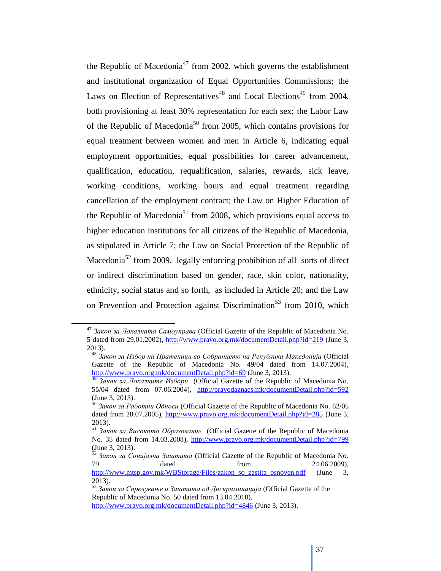the Republic of Macedonia<sup>47</sup> from 2002, which governs the establishment and institutional organization of Equal Opportunities Commissions; the Laws on Election of Representatives<sup>48</sup> and Local Elections<sup>49</sup> from 2004, both provisioning at least 30% representation for each sex; the Labor Law of the Republic of Macedonia<sup>50</sup> from 2005, which contains provisions for equal treatment between women and men in Article 6, indicating equal employment opportunities, equal possibilities for career advancement, qualification, education, requalification, salaries, rewards, sick leave, working conditions, working hours and equal treatment regarding cancellation of the employment contract; the Law on Higher Education of the Republic of Macedonia<sup>51</sup> from 2008, which provisions equal access to higher education institutions for all citizens of the Republic of Macedonia, as stipulated in Article 7; the Law on Social Protection of the Republic of Macedonia<sup>52</sup> from 2009, legally enforcing prohibition of all sorts of direct or indirect discrimination based on gender, race, skin color, nationality, ethnicity, social status and so forth, as included in Article 20; and the Law on Prevention and Protection against Discrimination<sup>53</sup> from 2010, which

<sup>47</sup> *Закон за Локалната Самоуправа* (Official Gazette of the Republic of Macedonia No. 5 dated from 29.01.2002),<http://www.pravo.org.mk/documentDetail.php?id=219> (June 3, 2013).

<sup>48</sup> *Закон за Избор на Пратеници во Собранието на Република Македонија* (Official Gazette of the Republic of Macedonia No. 49/04 dated from 14.07.2004), <http://www.pravo.org.mk/documentDetail.php?id=69> (June 3, 2013).

<sup>49</sup> *Закон за Локалните Избори* (Official Gazette of the Republic of Macedonia No. 55/04 dated from 07.06.2004), <http://pravodaznaes.mk/documentDetail.php?id=592> (June 3, 2013).

<sup>50</sup> *Закон за Работни Односи* (Official Gazette of the Republic of Macedonia No. 62/05 dated from 28.07.2005),<http://www.pravo.org.mk/documentDetail.php?id=285> (June 3, 2013).

<sup>51</sup> *Закон за Високото Образование* (Official Gazette of the Republic of Macedonia No. 35 dated from 14.03.2008),<http://www.pravo.org.mk/documentDetail.php?id=799> (June 3, 2013).

<sup>&</sup>lt;sup>52</sup> Закон за Социјална Заштита (Official Gazette of the Republic of Macedonia No. 79 dated from 24.06.2009),

http://www.mtsp.gov.mk/WBStorage/Files/zakon so\_zastita\_osnoven.pdf (June 3, 2013).

<sup>53</sup> *Закон за Спречување и Заштита од Дискриминација* (Official Gazette of the Republic of Macedonia No. 50 dated from 13.04.2010), <http://www.pravo.org.mk/documentDetail.php?id=4846> (June 3, 2013).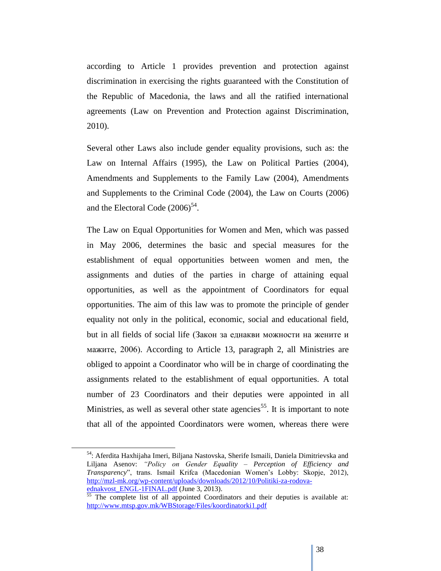according to Article 1 provides prevention and protection against discrimination in exercising the rights guaranteed with the Constitution of the Republic of Macedonia, the laws and all the ratified international agreements (Law on Prevention and Protection against Discrimination, 2010).

Several other Laws also include gender equality provisions, such as: the Law on Internal Affairs (1995), the Law on Political Parties (2004), Amendments and Supplements to the Family Law (2004), Amendments and Supplements to the Criminal Code (2004), the Law on Courts (2006) and the Electoral Code  $(2006)^{54}$ .

The Law on Equal Opportunities for Women and Men, which was passed in May 2006, determines the basic and special measures for the establishment of equal opportunities between women and men, the assignments and duties of the parties in charge of attaining equal opportunities, as well as the appointment of Coordinators for equal opportunities. The aim of this law was to promote the principle of gender equality not only in the political, economic, social and educational field, but in all fields of social life (Закон за еднакви можности на жените и мажите, 2006). According to Article 13, paragraph 2, all Ministries are obliged to appoint a Coordinator who will be in charge of coordinating the assignments related to the establishment of equal opportunities. A total number of 23 Coordinators and their deputies were appointed in all Ministries, as well as several other state agencies<sup>55</sup>. It is important to note that all of the appointed Coordinators were women, whereas there were

 $\overline{a}$ 

<sup>54</sup>: Aferdita Haxhijaha Imeri, Biljana Nastovska, Sherife Ismaili, Daniela Dimitrievska and Liljana Asenov: *"Policy on Gender Equality – Perception of Efficiency and Transparency*", trans. Ismail Krifca (Macedonian Women"s Lobby: Skopje, 2012), [http://mzl-mk.org/wp-content/uploads/downloads/2012/10/Politiki-za-rodova](http://mzl-mk.org/wp-content/uploads/downloads/2012/10/Politiki-za-rodova-ednakvost_ENGL-1FINAL.pdf)ednakvost ENGL-1FINAL.pdf (June 3, 2013).

<sup>&</sup>lt;sup>55</sup> The complete list of all appointed Coordinators and their deputies is available at: <http://www.mtsp.gov.mk/WBStorage/Files/koordinatorki1.pdf>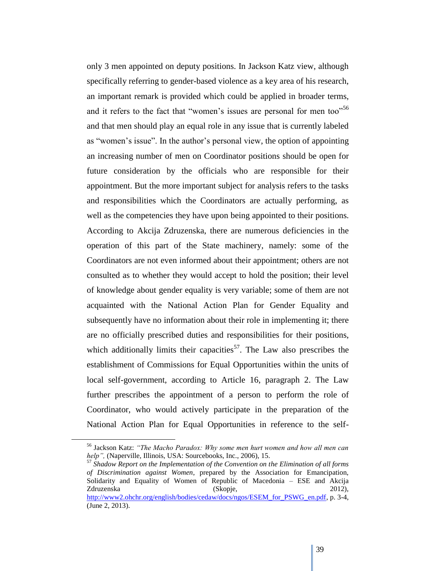only 3 men appointed on deputy positions. In Jackson Katz view, although specifically referring to gender-based violence as a key area of his research, an important remark is provided which could be applied in broader terms, and it refers to the fact that "women's issues are personal for men too"<sup>56</sup> and that men should play an equal role in any issue that is currently labeled as "women"s issue". In the author"s personal view, the option of appointing an increasing number of men on Coordinator positions should be open for future consideration by the officials who are responsible for their appointment. But the more important subject for analysis refers to the tasks and responsibilities which the Coordinators are actually performing, as well as the competencies they have upon being appointed to their positions. According to Akcija Zdruzenska, there are numerous deficiencies in the operation of this part of the State machinery, namely: some of the Coordinators are not even informed about their appointment; others are not consulted as to whether they would accept to hold the position; their level of knowledge about gender equality is very variable; some of them are not acquainted with the National Action Plan for Gender Equality and subsequently have no information about their role in implementing it; there are no officially prescribed duties and responsibilities for their positions, which additionally limits their capacities<sup>57</sup>. The Law also prescribes the establishment of Commissions for Equal Opportunities within the units of local self-government, according to Article 16, paragraph 2. The Law further prescribes the appointment of a person to perform the role of Coordinator, who would actively participate in the preparation of the National Action Plan for Equal Opportunities in reference to the self-

<sup>57</sup> *Shadow Report on the Implementation of the Convention on the Elimination of all forms of Discrimination against Women*, prepared by the Association for Emancipation, Solidarity and Equality of Women of Republic of Macedonia – ESE and Akcija Zdruzenska (Skopje, 2012), [http://www2.ohchr.org/english/bodies/cedaw/docs/ngos/ESEM\\_for\\_PSWG\\_en.pdf,](http://www2.ohchr.org/english/bodies/cedaw/docs/ngos/ESEM_for_PSWG_en.pdf) p. 3-4, (June 2, 2013).

<sup>56</sup> Jackson Katz: *"The Macho Paradox: Why some men hurt women and how all men can help"*, (Naperville, Illinois, USA: Sourcebooks, Inc., 2006), 15.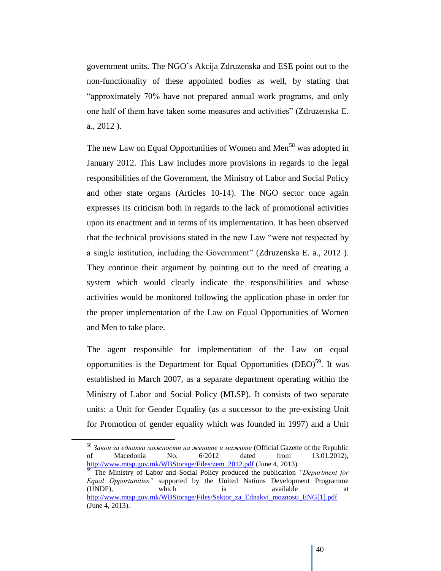government units. The NGO"s Akcija Zdruzenska and ESE point out to the non-functionality of these appointed bodies as well, by stating that "approximately 70% have not prepared annual work programs, and only one half of them have taken some measures and activities" (Zdruzenska E. a., 2012 ).

The new Law on Equal Opportunities of Women and Men<sup>58</sup> was adopted in January 2012. This Law includes more provisions in regards to the legal responsibilities of the Government, the Ministry of Labor and Social Policy and other state organs (Articles 10-14). The NGO sector once again expresses its criticism both in regards to the lack of promotional activities upon its enactment and in terms of its implementation. It has been observed that the technical provisions stated in the new Law "were not respected by a single institution, including the Government" (Zdruzenska E. a., 2012 ). They continue their argument by pointing out to the need of creating a system which would clearly indicate the responsibilities and whose activities would be monitored following the application phase in order for the proper implementation of the Law on Equal Opportunities of Women and Men to take place.

The agent responsible for implementation of the Law on equal opportunities is the Department for Equal Opportunities (DEO)<sup>59</sup>. It was established in March 2007, as a separate department operating within the Ministry of Labor and Social Policy (MLSP). It consists of two separate units: a Unit for Gender Equality (as a successor to the pre-existing Unit for Promotion of gender equality which was founded in 1997) and a Unit

<sup>58</sup> *Закон за еднакви можности на жените и мажите* (Official Gazette of the Republic of Macedonia No. 6/2012 dated from 13.01.2012), [http://www.mtsp.gov.mk/WBStorage/Files/zem\\_2012.pdf](http://www.mtsp.gov.mk/WBStorage/Files/zem_2012.pdf) (June 4, 2013).

<sup>59</sup> The Ministry of Labor and Social Policy produced the publication *"Department for Equal Opportunities"* supported by the United Nations Development Programme (UNDP), which is available at [http://www.mtsp.gov.mk/WBStorage/Files/Sektor\\_za\\_Ednakvi\\_moznosti\\_ENG\[1\].pdf](http://www.mtsp.gov.mk/WBStorage/Files/Sektor_za_Ednakvi_moznosti_ENG%5b1%5d.pdf) (June 4, 2013).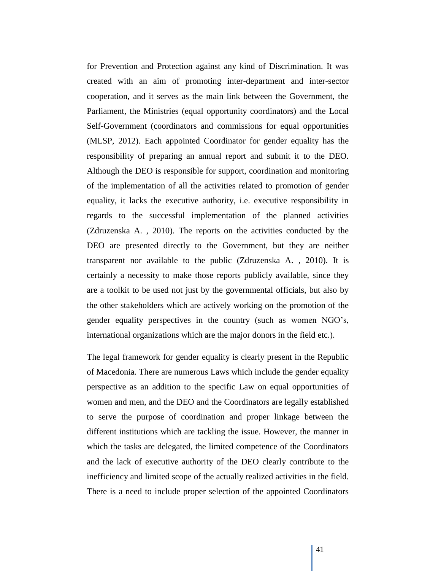for Prevention and Protection against any kind of Discrimination. It was created with an aim of promoting inter-department and inter-sector cooperation, and it serves as the main link between the Government, the Parliament, the Ministries (equal opportunity coordinators) and the Local Self-Government (coordinators and commissions for equal opportunities (MLSP, 2012). Each appointed Coordinator for gender equality has the responsibility of preparing an annual report and submit it to the DEO. Although the DEO is responsible for support, coordination and monitoring of the implementation of all the activities related to promotion of gender equality, it lacks the executive authority, i.e. executive responsibility in regards to the successful implementation of the planned activities (Zdruzenska A. , 2010). The reports on the activities conducted by the DEO are presented directly to the Government, but they are neither transparent nor available to the public (Zdruzenska A. , 2010). It is certainly a necessity to make those reports publicly available, since they are a toolkit to be used not just by the governmental officials, but also by the other stakeholders which are actively working on the promotion of the gender equality perspectives in the country (such as women NGO"s, international organizations which are the major donors in the field etc.).

The legal framework for gender equality is clearly present in the Republic of Macedonia. There are numerous Laws which include the gender equality perspective as an addition to the specific Law on equal opportunities of women and men, and the DEO and the Coordinators are legally established to serve the purpose of coordination and proper linkage between the different institutions which are tackling the issue. However, the manner in which the tasks are delegated, the limited competence of the Coordinators and the lack of executive authority of the DEO clearly contribute to the inefficiency and limited scope of the actually realized activities in the field. There is a need to include proper selection of the appointed Coordinators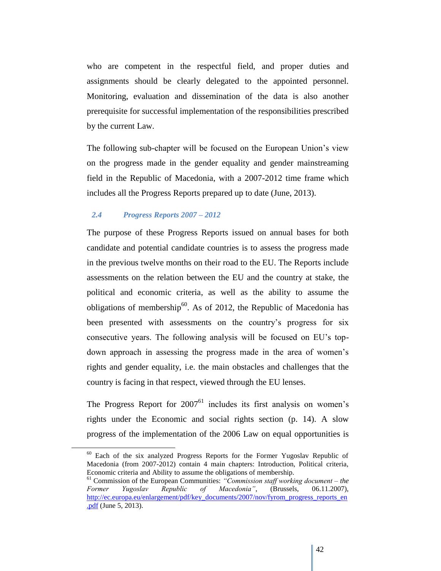who are competent in the respectful field, and proper duties and assignments should be clearly delegated to the appointed personnel. Monitoring, evaluation and dissemination of the data is also another prerequisite for successful implementation of the responsibilities prescribed by the current Law.

The following sub-chapter will be focused on the European Union"s view on the progress made in the gender equality and gender mainstreaming field in the Republic of Macedonia, with a 2007-2012 time frame which includes all the Progress Reports prepared up to date (June, 2013).

# *2.4 Progress Reports 2007 – 2012*

 $\overline{a}$ 

The purpose of these Progress Reports issued on annual bases for both candidate and potential candidate countries is to assess the progress made in the previous twelve months on their road to the EU. The Reports include assessments on the relation between the EU and the country at stake, the political and economic criteria, as well as the ability to assume the obligations of membership $^{60}$ . As of 2012, the Republic of Macedonia has been presented with assessments on the country's progress for six consecutive years. The following analysis will be focused on EU"s topdown approach in assessing the progress made in the area of women's rights and gender equality, i.e. the main obstacles and challenges that the country is facing in that respect, viewed through the EU lenses.

The Progress Report for  $2007<sup>61</sup>$  includes its first analysis on women's rights under the Economic and social rights section (p. 14). A slow progress of the implementation of the 2006 Law on equal opportunities is

<sup>&</sup>lt;sup>60</sup> Each of the six analyzed Progress Reports for the Former Yugoslav Republic of Macedonia (from 2007-2012) contain 4 main chapters: Introduction, Political criteria, Economic criteria and Ability to assume the obligations of membership.

<sup>61</sup> Commission of the European Communities: *"Commission staff working document – the Former Yugoslav Republic of Macedonia"*, (Brussels, 06.11.2007), [http://ec.europa.eu/enlargement/pdf/key\\_documents/2007/nov/fyrom\\_progress\\_reports\\_en](http://ec.europa.eu/enlargement/pdf/key_documents/2007/nov/fyrom_progress_reports_en.pdf) [.pdf](http://ec.europa.eu/enlargement/pdf/key_documents/2007/nov/fyrom_progress_reports_en.pdf) (June 5, 2013).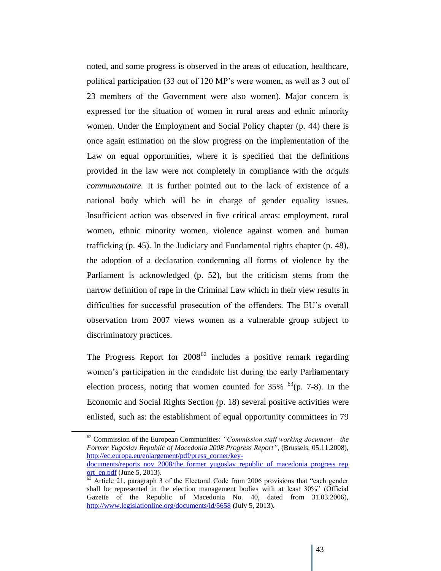noted, and some progress is observed in the areas of education, healthcare, political participation (33 out of 120 MP"s were women, as well as 3 out of 23 members of the Government were also women). Major concern is expressed for the situation of women in rural areas and ethnic minority women. Under the Employment and Social Policy chapter (p. 44) there is once again estimation on the slow progress on the implementation of the Law on equal opportunities, where it is specified that the definitions provided in the law were not completely in compliance with the *acquis communautaire.* It is further pointed out to the lack of existence of a national body which will be in charge of gender equality issues. Insufficient action was observed in five critical areas: employment, rural women, ethnic minority women, violence against women and human trafficking (p. 45). In the Judiciary and Fundamental rights chapter (p. 48), the adoption of a declaration condemning all forms of violence by the Parliament is acknowledged (p. 52), but the criticism stems from the narrow definition of rape in the Criminal Law which in their view results in difficulties for successful prosecution of the offenders. The EU"s overall observation from 2007 views women as a vulnerable group subject to discriminatory practices.

The Progress Report for  $2008^{62}$  includes a positive remark regarding women"s participation in the candidate list during the early Parliamentary election process, noting that women counted for  $35\%$  <sup>63</sup>(p. 7-8). In the Economic and Social Rights Section (p. 18) several positive activities were enlisted, such as: the establishment of equal opportunity committees in 79

<sup>62</sup> Commission of the European Communities: *"Commission staff working document – the Former Yugoslav Republic of Macedonia 2008 Progress Report"*, (Brussels, 05.11.2008), [http://ec.europa.eu/enlargement/pdf/press\\_corner/key-](http://ec.europa.eu/enlargement/pdf/press_corner/key-documents/reports_nov_2008/the_former_yugoslav_republic_of_macedonia_progress_report_en.pdf)

[documents/reports\\_nov\\_2008/the\\_former\\_yugoslav\\_republic\\_of\\_macedonia\\_progress\\_rep](http://ec.europa.eu/enlargement/pdf/press_corner/key-documents/reports_nov_2008/the_former_yugoslav_republic_of_macedonia_progress_report_en.pdf) [ort\\_en.pdf](http://ec.europa.eu/enlargement/pdf/press_corner/key-documents/reports_nov_2008/the_former_yugoslav_republic_of_macedonia_progress_report_en.pdf) (June 5,  $2013$ ).

 $\frac{63}{63}$  Article 21, paragraph 3 of the Electoral Code from 2006 provisions that "each gender shall be represented in the election management bodies with at least 30%" (Official Gazette of the Republic of Macedonia No. 40, dated from 31.03.2006), <http://www.legislationline.org/documents/id/5658> (July 5, 2013).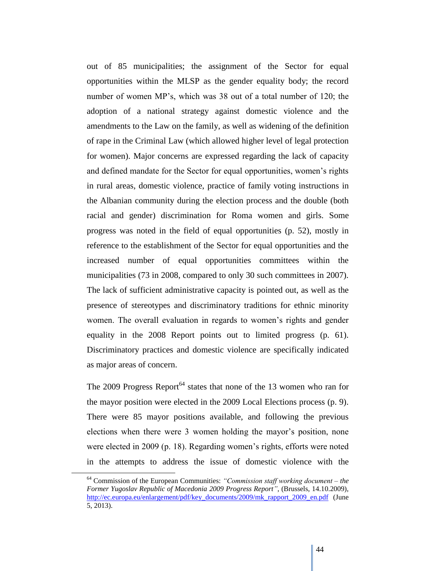out of 85 municipalities; the assignment of the Sector for equal opportunities within the MLSP as the gender equality body; the record number of women MP"s, which was 38 out of a total number of 120; the adoption of a national strategy against domestic violence and the amendments to the Law on the family, as well as widening of the definition of rape in the Criminal Law (which allowed higher level of legal protection for women). Major concerns are expressed regarding the lack of capacity and defined mandate for the Sector for equal opportunities, women"s rights in rural areas, domestic violence, practice of family voting instructions in the Albanian community during the election process and the double (both racial and gender) discrimination for Roma women and girls. Some progress was noted in the field of equal opportunities (p. 52), mostly in reference to the establishment of the Sector for equal opportunities and the increased number of equal opportunities committees within the municipalities (73 in 2008, compared to only 30 such committees in 2007). The lack of sufficient administrative capacity is pointed out, as well as the presence of stereotypes and discriminatory traditions for ethnic minority women. The overall evaluation in regards to women"s rights and gender equality in the 2008 Report points out to limited progress (p. 61). Discriminatory practices and domestic violence are specifically indicated as major areas of concern.

The 2009 Progress Report<sup>64</sup> states that none of the 13 women who ran for the mayor position were elected in the 2009 Local Elections process (p. 9). There were 85 mayor positions available, and following the previous elections when there were 3 women holding the mayor's position, none were elected in 2009 (p. 18). Regarding women's rights, efforts were noted in the attempts to address the issue of domestic violence with the

<sup>64</sup> Commission of the European Communities: *"Commission staff working document – the Former Yugoslav Republic of Macedonia 2009 Progress Report"*, (Brussels, 14.10.2009), [http://ec.europa.eu/enlargement/pdf/key\\_documents/2009/mk\\_rapport\\_2009\\_en.pdf](http://ec.europa.eu/enlargement/pdf/key_documents/2009/mk_rapport_2009_en.pdf) (June 5, 2013).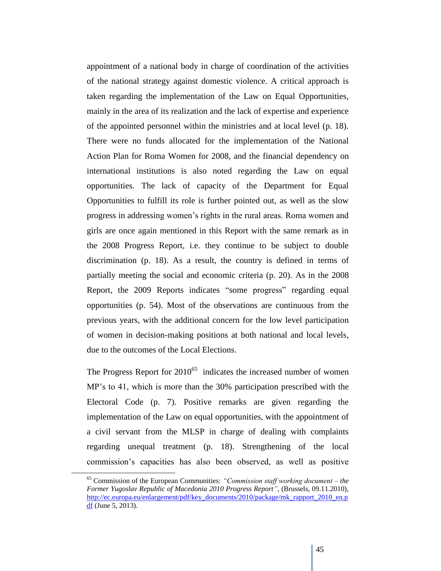appointment of a national body in charge of coordination of the activities of the national strategy against domestic violence. A critical approach is taken regarding the implementation of the Law on Equal Opportunities, mainly in the area of its realization and the lack of expertise and experience of the appointed personnel within the ministries and at local level (p. 18). There were no funds allocated for the implementation of the National Action Plan for Roma Women for 2008, and the financial dependency on international institutions is also noted regarding the Law on equal opportunities. The lack of capacity of the Department for Equal Opportunities to fulfill its role is further pointed out, as well as the slow progress in addressing women"s rights in the rural areas. Roma women and girls are once again mentioned in this Report with the same remark as in the 2008 Progress Report, i.e. they continue to be subject to double discrimination (p. 18). As a result, the country is defined in terms of partially meeting the social and economic criteria (p. 20). As in the 2008 Report, the 2009 Reports indicates "some progress" regarding equal opportunities (p. 54). Most of the observations are continuous from the previous years, with the additional concern for the low level participation of women in decision-making positions at both national and local levels, due to the outcomes of the Local Elections.

The Progress Report for  $2010^{65}$  indicates the increased number of women MP"s to 41, which is more than the 30% participation prescribed with the Electoral Code (p. 7). Positive remarks are given regarding the implementation of the Law on equal opportunities, with the appointment of a civil servant from the MLSP in charge of dealing with complaints regarding unequal treatment (p. 18). Strengthening of the local commission"s capacities has also been observed, as well as positive

<sup>65</sup> Commission of the European Communities: *"Commission staff working document – the Former Yugoslav Republic of Macedonia 2010 Progress Report"*, (Brussels, 09.11.2010), [http://ec.europa.eu/enlargement/pdf/key\\_documents/2010/package/mk\\_rapport\\_2010\\_en.p](http://ec.europa.eu/enlargement/pdf/key_documents/2010/package/mk_rapport_2010_en.pdf) [df](http://ec.europa.eu/enlargement/pdf/key_documents/2010/package/mk_rapport_2010_en.pdf) (June 5, 2013).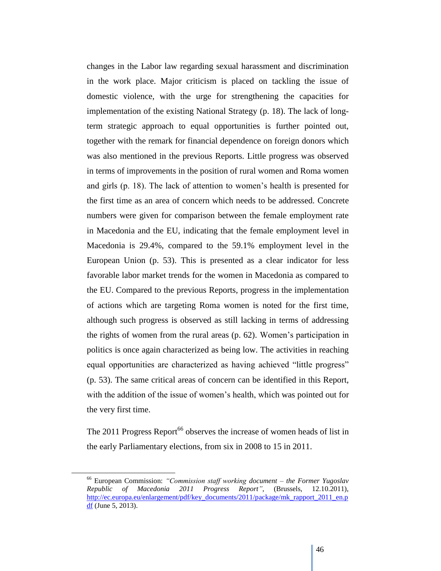changes in the Labor law regarding sexual harassment and discrimination in the work place. Major criticism is placed on tackling the issue of domestic violence, with the urge for strengthening the capacities for implementation of the existing National Strategy (p. 18). The lack of longterm strategic approach to equal opportunities is further pointed out, together with the remark for financial dependence on foreign donors which was also mentioned in the previous Reports. Little progress was observed in terms of improvements in the position of rural women and Roma women and girls (p. 18). The lack of attention to women"s health is presented for the first time as an area of concern which needs to be addressed. Concrete numbers were given for comparison between the female employment rate in Macedonia and the EU, indicating that the female employment level in Macedonia is 29.4%, compared to the 59.1% employment level in the European Union (p. 53). This is presented as a clear indicator for less favorable labor market trends for the women in Macedonia as compared to the EU. Compared to the previous Reports, progress in the implementation of actions which are targeting Roma women is noted for the first time, although such progress is observed as still lacking in terms of addressing the rights of women from the rural areas (p. 62). Women"s participation in politics is once again characterized as being low. The activities in reaching equal opportunities are characterized as having achieved "little progress" (p. 53). The same critical areas of concern can be identified in this Report, with the addition of the issue of women's health, which was pointed out for the very first time.

The 2011 Progress Report<sup>66</sup> observes the increase of women heads of list in the early Parliamentary elections, from six in 2008 to 15 in 2011.

<sup>66</sup> European Commission: *"Commission staff working document – the Former Yugoslav Republic of Macedonia 2011 Progress Report"*, (Brussels, 12.10.2011), [http://ec.europa.eu/enlargement/pdf/key\\_documents/2011/package/mk\\_rapport\\_2011\\_en.p](http://ec.europa.eu/enlargement/pdf/key_documents/2011/package/mk_rapport_2011_en.pdf) [df](http://ec.europa.eu/enlargement/pdf/key_documents/2011/package/mk_rapport_2011_en.pdf) (June 5, 2013).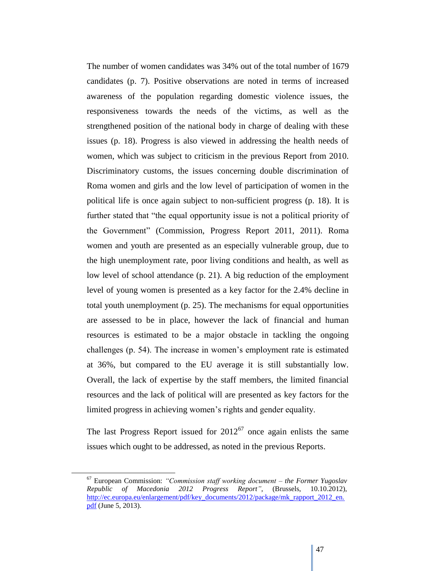The number of women candidates was 34% out of the total number of 1679 candidates (p. 7). Positive observations are noted in terms of increased awareness of the population regarding domestic violence issues, the responsiveness towards the needs of the victims, as well as the strengthened position of the national body in charge of dealing with these issues (p. 18). Progress is also viewed in addressing the health needs of women, which was subject to criticism in the previous Report from 2010. Discriminatory customs, the issues concerning double discrimination of Roma women and girls and the low level of participation of women in the political life is once again subject to non-sufficient progress (p. 18). It is further stated that "the equal opportunity issue is not a political priority of the Government" (Commission, Progress Report 2011, 2011). Roma women and youth are presented as an especially vulnerable group, due to the high unemployment rate, poor living conditions and health, as well as low level of school attendance (p. 21). A big reduction of the employment level of young women is presented as a key factor for the 2.4% decline in total youth unemployment (p. 25). The mechanisms for equal opportunities are assessed to be in place, however the lack of financial and human resources is estimated to be a major obstacle in tackling the ongoing challenges (p. 54). The increase in women"s employment rate is estimated at 36%, but compared to the EU average it is still substantially low. Overall, the lack of expertise by the staff members, the limited financial resources and the lack of political will are presented as key factors for the limited progress in achieving women"s rights and gender equality.

The last Progress Report issued for  $2012^{67}$  once again enlists the same issues which ought to be addressed, as noted in the previous Reports.

<sup>67</sup> European Commission: *"Commission staff working document – the Former Yugoslav Republic of Macedonia 2012 Progress Report"*, (Brussels, 10.10.2012), [http://ec.europa.eu/enlargement/pdf/key\\_documents/2012/package/mk\\_rapport\\_2012\\_en.](http://ec.europa.eu/enlargement/pdf/key_documents/2012/package/mk_rapport_2012_en.pdf) [pdf](http://ec.europa.eu/enlargement/pdf/key_documents/2012/package/mk_rapport_2012_en.pdf) (June 5, 2013).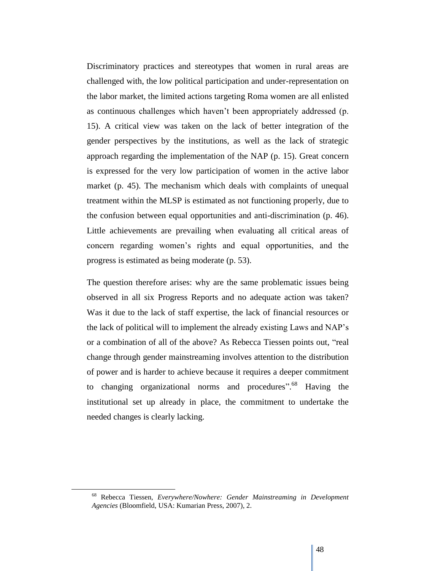Discriminatory practices and stereotypes that women in rural areas are challenged with, the low political participation and under-representation on the labor market, the limited actions targeting Roma women are all enlisted as continuous challenges which haven"t been appropriately addressed (p. 15). A critical view was taken on the lack of better integration of the gender perspectives by the institutions, as well as the lack of strategic approach regarding the implementation of the NAP (p. 15). Great concern is expressed for the very low participation of women in the active labor market (p. 45). The mechanism which deals with complaints of unequal treatment within the MLSP is estimated as not functioning properly, due to the confusion between equal opportunities and anti-discrimination (p. 46). Little achievements are prevailing when evaluating all critical areas of concern regarding women"s rights and equal opportunities, and the progress is estimated as being moderate (p. 53).

The question therefore arises: why are the same problematic issues being observed in all six Progress Reports and no adequate action was taken? Was it due to the lack of staff expertise, the lack of financial resources or the lack of political will to implement the already existing Laws and NAP"s or a combination of all of the above? As Rebecca Tiessen points out, "real change through gender mainstreaming involves attention to the distribution of power and is harder to achieve because it requires a deeper commitment to changing organizational norms and procedures".<sup>68</sup> Having the institutional set up already in place, the commitment to undertake the needed changes is clearly lacking.

<sup>68</sup> Rebecca Tiessen, *Everywhere/Nowhere: Gender Mainstreaming in Development Agencies* (Bloomfield, USA: Kumarian Press, 2007), 2.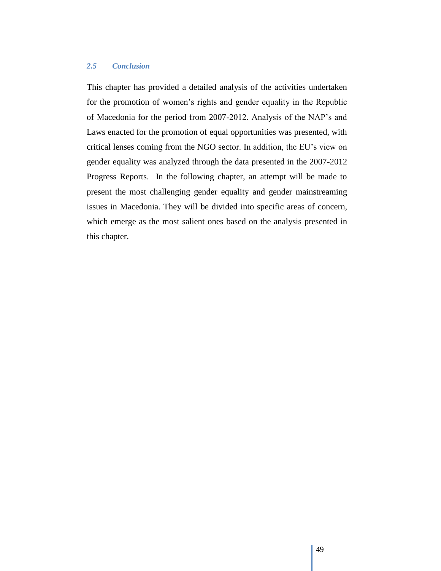# *2.5 Conclusion*

This chapter has provided a detailed analysis of the activities undertaken for the promotion of women"s rights and gender equality in the Republic of Macedonia for the period from 2007-2012. Analysis of the NAP"s and Laws enacted for the promotion of equal opportunities was presented, with critical lenses coming from the NGO sector. In addition, the EU"s view on gender equality was analyzed through the data presented in the 2007-2012 Progress Reports. In the following chapter, an attempt will be made to present the most challenging gender equality and gender mainstreaming issues in Macedonia. They will be divided into specific areas of concern, which emerge as the most salient ones based on the analysis presented in this chapter.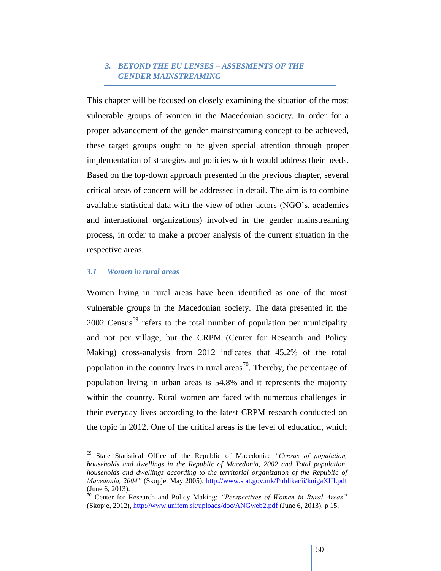# *3. BEYOND THE EU LENSES – ASSESMENTS OF THE GENDER MAINSTREAMING*

This chapter will be focused on closely examining the situation of the most vulnerable groups of women in the Macedonian society. In order for a proper advancement of the gender mainstreaming concept to be achieved, these target groups ought to be given special attention through proper implementation of strategies and policies which would address their needs. Based on the top-down approach presented in the previous chapter, several critical areas of concern will be addressed in detail. The aim is to combine available statistical data with the view of other actors (NGO"s, academics and international organizations) involved in the gender mainstreaming process, in order to make a proper analysis of the current situation in the respective areas.

#### *3.1 Women in rural areas*

 $\overline{a}$ 

Women living in rural areas have been identified as one of the most vulnerable groups in the Macedonian society. The data presented in the  $2002$  Census<sup>69</sup> refers to the total number of population per municipality and not per village, but the CRPM (Center for Research and Policy Making) cross-analysis from 2012 indicates that 45.2% of the total population in the country lives in rural areas<sup>70</sup>. Thereby, the percentage of population living in urban areas is 54.8% and it represents the majority within the country. Rural women are faced with numerous challenges in their everyday lives according to the latest CRPM research conducted on the topic in 2012. One of the critical areas is the level of education, which

<sup>69</sup> State Statistical Office of the Republic of Macedonia: *"Census of population, households and dwellings in the Republic of Macedonia, 2002 and Total population, households and dwellings according to the territorial organization of the Republic of Macedonia, 2004"* (Skopje, May 2005),<http://www.stat.gov.mk/Publikacii/knigaXIII.pdf> (June 6, 2013).

<sup>70</sup> Center for Research and Policy Making: *"Perspectives of Women in Rural Areas"* (Skopje, 2012),<http://www.unifem.sk/uploads/doc/ANGweb2.pdf> (June 6, 2013), p 15.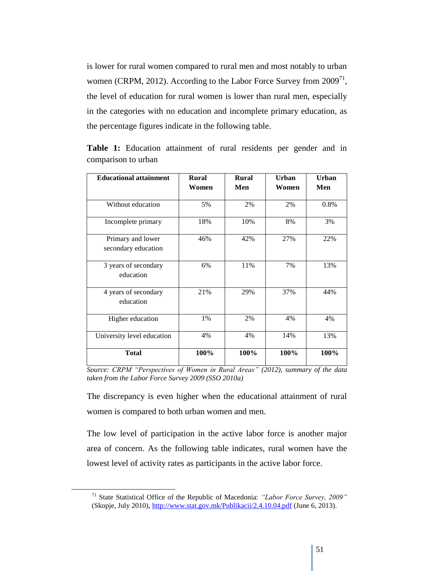is lower for rural women compared to rural men and most notably to urban women (CRPM, 2012). According to the Labor Force Survey from  $2009<sup>71</sup>$ , the level of education for rural women is lower than rural men, especially in the categories with no education and incomplete primary education, as the percentage figures indicate in the following table.

| <b>Educational attainment</b>            | <b>Rural</b><br>Women | <b>Rural</b><br>Men | Urban<br>Women | Urban<br>Men |
|------------------------------------------|-----------------------|---------------------|----------------|--------------|
| Without education                        | 5%                    | 2%                  | 2%             | 0.8%         |
| Incomplete primary                       | 18%                   | 10%                 | 8%             | 3%           |
| Primary and lower<br>secondary education | 46%                   | 42%                 | 27%            | 22%          |
| 3 years of secondary<br>education        | 6%                    | 11%                 | 7%             | 13%          |
| 4 years of secondary<br>education        | 21%                   | 29%                 | 37%            | 44%          |
| Higher education                         | 1%                    | 2%                  | 4%             | 4%           |
| University level education               | 4%                    | 4%                  | 14%            | 13%          |
| <b>Total</b>                             | 100%                  | 100%                | 100%           | 100%         |

**Table 1:** Education attainment of rural residents per gender and in comparison to urban

The discrepancy is even higher when the educational attainment of rural women is compared to both urban women and men.

The low level of participation in the active labor force is another major area of concern. As the following table indicates, rural women have the lowest level of activity rates as participants in the active labor force.

*Source: CRPM "Perspectives of Women in Rural Areas" (2012), summary of the data taken from the Labor Force Survey 2009 (SSO 2010a)* 

<sup>71</sup> State Statistical Office of the Republic of Macedonia: *"Labor Force Survey, 2009"* (Skopje, July 2010),<http://www.stat.gov.mk/Publikacii/2.4.10.04.pdf> (June 6, 2013).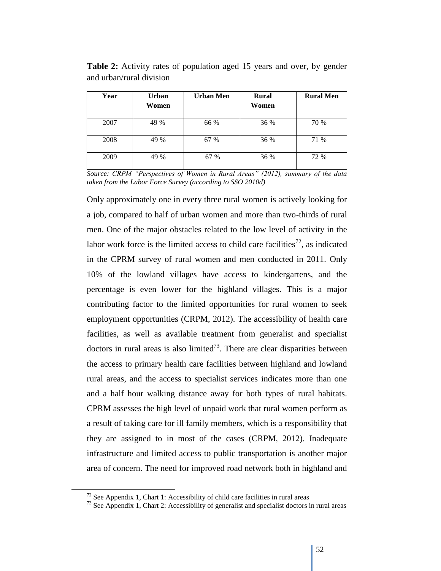| Year | <b>Urban</b><br>Women | <b>Urban Men</b> | <b>Rural</b><br>Women | <b>Rural Men</b> |
|------|-----------------------|------------------|-----------------------|------------------|
| 2007 | 49 %                  | 66 %             | 36 %                  | 70 %             |
| 2008 | 49 %                  | 67 %             | 36 %                  | 71 %             |
| 2009 | 49 %                  | 67 %             | 36 %                  | 72 %             |

**Table 2:** Activity rates of population aged 15 years and over, by gender and urban/rural division

*Source: CRPM "Perspectives of Women in Rural Areas" (2012), summary of the data taken from the Labor Force Survey (according to SSO 2010d)* 

Only approximately one in every three rural women is actively looking for a job, compared to half of urban women and more than two-thirds of rural men. One of the major obstacles related to the low level of activity in the labor work force is the limited access to child care facilities<sup>72</sup>, as indicated in the CPRM survey of rural women and men conducted in 2011. Only 10% of the lowland villages have access to kindergartens, and the percentage is even lower for the highland villages. This is a major contributing factor to the limited opportunities for rural women to seek employment opportunities (CRPM, 2012). The accessibility of health care facilities, as well as available treatment from generalist and specialist doctors in rural areas is also limited<sup>73</sup>. There are clear disparities between the access to primary health care facilities between highland and lowland rural areas, and the access to specialist services indicates more than one and a half hour walking distance away for both types of rural habitats. CPRM assesses the high level of unpaid work that rural women perform as a result of taking care for ill family members, which is a responsibility that they are assigned to in most of the cases (CRPM, 2012). Inadequate infrastructure and limited access to public transportation is another major area of concern. The need for improved road network both in highland and

 $72$  See Appendix 1, Chart 1: Accessibility of child care facilities in rural areas

 $^{73}$  See Appendix 1, Chart 2: Accessibility of generalist and specialist doctors in rural areas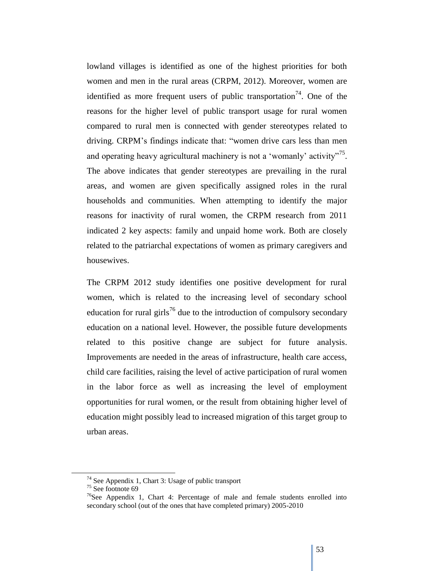lowland villages is identified as one of the highest priorities for both women and men in the rural areas (CRPM, 2012). Moreover, women are identified as more frequent users of public transportation<sup>74</sup>. One of the reasons for the higher level of public transport usage for rural women compared to rural men is connected with gender stereotypes related to driving. CRPM"s findings indicate that: "women drive cars less than men and operating heavy agricultural machinery is not a 'womanly' activity"<sup>75</sup>. The above indicates that gender stereotypes are prevailing in the rural areas, and women are given specifically assigned roles in the rural households and communities. When attempting to identify the major reasons for inactivity of rural women, the CRPM research from 2011 indicated 2 key aspects: family and unpaid home work. Both are closely related to the patriarchal expectations of women as primary caregivers and housewives.

The CRPM 2012 study identifies one positive development for rural women, which is related to the increasing level of secondary school education for rural girls<sup>76</sup> due to the introduction of compulsory secondary education on a national level. However, the possible future developments related to this positive change are subject for future analysis. Improvements are needed in the areas of infrastructure, health care access, child care facilities, raising the level of active participation of rural women in the labor force as well as increasing the level of employment opportunities for rural women, or the result from obtaining higher level of education might possibly lead to increased migration of this target group to urban areas.

<sup>74</sup> See Appendix 1, Chart 3: Usage of public transport

 $75$  See footnote 69

 $76$ See Appendix 1, Chart 4: Percentage of male and female students enrolled into secondary school (out of the ones that have completed primary) 2005-2010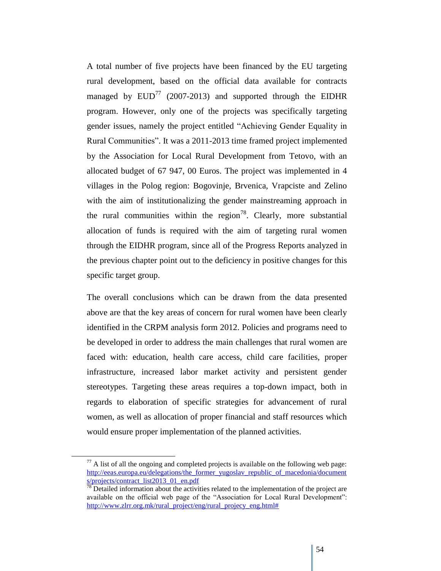A total number of five projects have been financed by the EU targeting rural development, based on the official data available for contracts managed by  $EUD^{77}$  (2007-2013) and supported through the EIDHR program. However, only one of the projects was specifically targeting gender issues, namely the project entitled "Achieving Gender Equality in Rural Communities". It was a 2011-2013 time framed project implemented by the Association for Local Rural Development from Tetovo, with an allocated budget of 67 947, 00 Euros. The project was implemented in 4 villages in the Polog region: Bogovinje, Brvenica, Vrapciste and Zelino with the aim of institutionalizing the gender mainstreaming approach in the rural communities within the region<sup>78</sup>. Clearly, more substantial allocation of funds is required with the aim of targeting rural women through the EIDHR program, since all of the Progress Reports analyzed in the previous chapter point out to the deficiency in positive changes for this specific target group.

The overall conclusions which can be drawn from the data presented above are that the key areas of concern for rural women have been clearly identified in the CRPM analysis form 2012. Policies and programs need to be developed in order to address the main challenges that rural women are faced with: education, health care access, child care facilities, proper infrastructure, increased labor market activity and persistent gender stereotypes. Targeting these areas requires a top-down impact, both in regards to elaboration of specific strategies for advancement of rural women, as well as allocation of proper financial and staff resources which would ensure proper implementation of the planned activities.

 $\overline{a}$ 

 $77$  A list of all the ongoing and completed projects is available on the following web page: [http://eeas.europa.eu/delegations/the\\_former\\_yugoslav\\_republic\\_of\\_macedonia/document](http://eeas.europa.eu/delegations/the_former_yugoslav_republic_of_macedonia/documents/projects/contract_list2013_01_en.pdf) [s/projects/contract\\_list2013\\_01\\_en.pdf](http://eeas.europa.eu/delegations/the_former_yugoslav_republic_of_macedonia/documents/projects/contract_list2013_01_en.pdf)

 $\frac{78}{18}$  Detailed information about the activities related to the implementation of the project are available on the official web page of the "Association for Local Rural Development": [http://www.zlrr.org.mk/rural\\_project/eng/rural\\_projecy\\_eng.html#](http://www.zlrr.org.mk/rural_project/eng/rural_projecy_eng.html)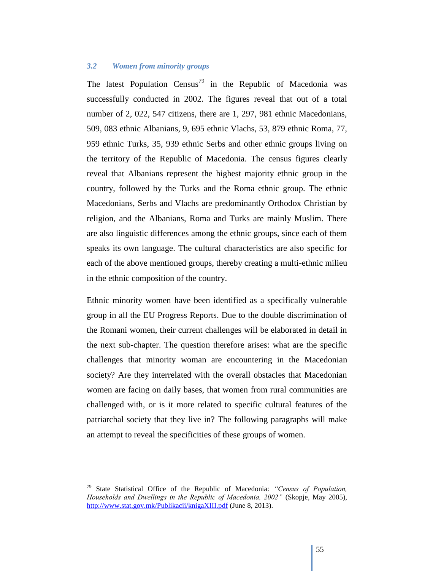## *3.2 Women from minority groups*

The latest Population Census<sup>79</sup> in the Republic of Macedonia was successfully conducted in 2002. The figures reveal that out of a total number of 2, 022, 547 citizens, there are 1, 297, 981 ethnic Macedonians, 509, 083 ethnic Albanians, 9, 695 ethnic Vlachs, 53, 879 ethnic Roma, 77, 959 ethnic Turks, 35, 939 ethnic Serbs and other ethnic groups living on the territory of the Republic of Macedonia. The census figures clearly reveal that Albanians represent the highest majority ethnic group in the country, followed by the Turks and the Roma ethnic group. The ethnic Macedonians, Serbs and Vlachs are predominantly Orthodox Christian by religion, and the Albanians, Roma and Turks are mainly Muslim. There are also linguistic differences among the ethnic groups, since each of them speaks its own language. The cultural characteristics are also specific for each of the above mentioned groups, thereby creating a multi-ethnic milieu in the ethnic composition of the country.

Ethnic minority women have been identified as a specifically vulnerable group in all the EU Progress Reports. Due to the double discrimination of the Romani women, their current challenges will be elaborated in detail in the next sub-chapter. The question therefore arises: what are the specific challenges that minority woman are encountering in the Macedonian society? Are they interrelated with the overall obstacles that Macedonian women are facing on daily bases, that women from rural communities are challenged with, or is it more related to specific cultural features of the patriarchal society that they live in? The following paragraphs will make an attempt to reveal the specificities of these groups of women.

<sup>79</sup> State Statistical Office of the Republic of Macedonia: *"Census of Population, Households and Dwellings in the Republic of Macedonia, 2002"* (Skopje, May 2005), <http://www.stat.gov.mk/Publikacii/knigaXIII.pdf> (June 8, 2013).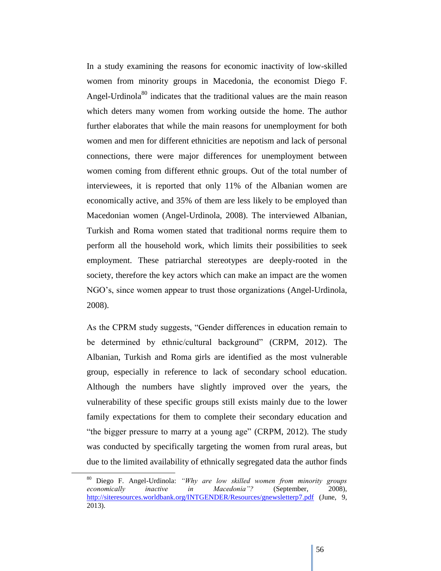In a study examining the reasons for economic inactivity of low-skilled women from minority groups in Macedonia, the economist Diego F. Angel-Urdinola<sup>80</sup> indicates that the traditional values are the main reason which deters many women from working outside the home. The author further elaborates that while the main reasons for unemployment for both women and men for different ethnicities are nepotism and lack of personal connections, there were major differences for unemployment between women coming from different ethnic groups. Out of the total number of interviewees, it is reported that only 11% of the Albanian women are economically active, and 35% of them are less likely to be employed than Macedonian women (Angel-Urdinola, 2008). The interviewed Albanian, Turkish and Roma women stated that traditional norms require them to perform all the household work, which limits their possibilities to seek employment. These patriarchal stereotypes are deeply-rooted in the society, therefore the key actors which can make an impact are the women NGO"s, since women appear to trust those organizations (Angel-Urdinola, 2008).

As the CPRM study suggests, "Gender differences in education remain to be determined by ethnic/cultural background" (CRPM, 2012). The Albanian, Turkish and Roma girls are identified as the most vulnerable group, especially in reference to lack of secondary school education. Although the numbers have slightly improved over the years, the vulnerability of these specific groups still exists mainly due to the lower family expectations for them to complete their secondary education and "the bigger pressure to marry at a young age" (CRPM, 2012). The study was conducted by specifically targeting the women from rural areas, but due to the limited availability of ethnically segregated data the author finds

<sup>80</sup> Diego F. Angel-Urdinola: *"Why are low skilled women from minority groups economically inactive in Macedonia"?* (September, 2008), <http://siteresources.worldbank.org/INTGENDER/Resources/gnewsletterp7.pdf> (June, 9, 2013).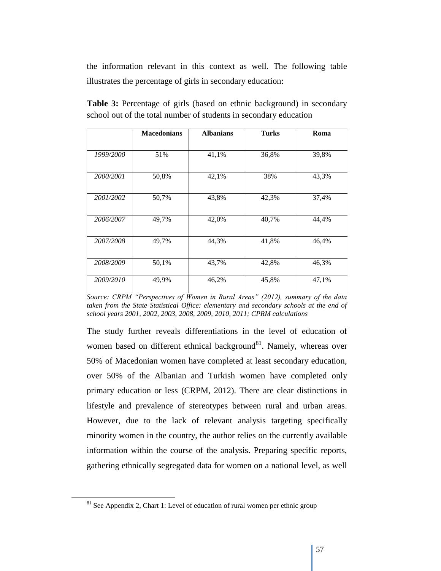the information relevant in this context as well. The following table illustrates the percentage of girls in secondary education:

|                  | <b>Macedonians</b> | <b>Albanians</b> | <b>Turks</b> | Roma  |
|------------------|--------------------|------------------|--------------|-------|
|                  |                    |                  |              |       |
| <i>1999/2000</i> | 51%                | 41,1%            | 36,8%        | 39,8% |
|                  |                    |                  |              |       |
| 2000/2001        | 50,8%              | 42,1%            | 38%          | 43,3% |
|                  |                    |                  |              |       |
| 2001/2002        | 50,7%              | 43,8%            | 42,3%        | 37,4% |
|                  |                    |                  |              |       |
| 2006/2007        | 49,7%              | 42,0%            | 40,7%        | 44,4% |
|                  |                    |                  |              |       |
| 2007/2008        | 49,7%              | 44,3%            | 41,8%        | 46,4% |
|                  |                    |                  |              |       |
| 2008/2009        | 50,1%              | 43,7%            | 42,8%        | 46,3% |
| 2009/2010        | 49,9%              | 46,2%            | 45,8%        | 47,1% |
|                  |                    |                  |              |       |

**Table 3:** Percentage of girls (based on ethnic background) in secondary school out of the total number of students in secondary education

The study further reveals differentiations in the level of education of women based on different ethnical background $81$ . Namely, whereas over 50% of Macedonian women have completed at least secondary education, over 50% of the Albanian and Turkish women have completed only primary education or less (CRPM, 2012). There are clear distinctions in lifestyle and prevalence of stereotypes between rural and urban areas. However, due to the lack of relevant analysis targeting specifically minority women in the country, the author relies on the currently available information within the course of the analysis. Preparing specific reports, gathering ethnically segregated data for women on a national level, as well

 $\overline{a}$ 

*Source: CRPM "Perspectives of Women in Rural Areas" (2012), summary of the data taken from the State Statistical Office: elementary and secondary schools at the end of school years 2001, 2002, 2003, 2008, 2009, 2010, 2011; CPRM calculations* 

 $81$  See Appendix 2, Chart 1: Level of education of rural women per ethnic group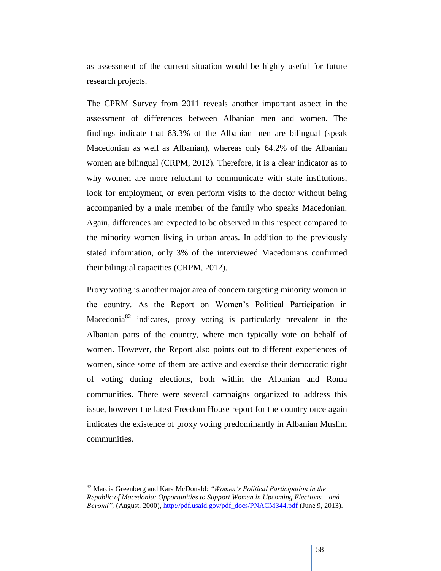as assessment of the current situation would be highly useful for future research projects.

The CPRM Survey from 2011 reveals another important aspect in the assessment of differences between Albanian men and women. The findings indicate that 83.3% of the Albanian men are bilingual (speak Macedonian as well as Albanian), whereas only 64.2% of the Albanian women are bilingual (CRPM, 2012). Therefore, it is a clear indicator as to why women are more reluctant to communicate with state institutions, look for employment, or even perform visits to the doctor without being accompanied by a male member of the family who speaks Macedonian. Again, differences are expected to be observed in this respect compared to the minority women living in urban areas. In addition to the previously stated information, only 3% of the interviewed Macedonians confirmed their bilingual capacities (CRPM, 2012).

Proxy voting is another major area of concern targeting minority women in the country. As the Report on Women"s Political Participation in Macedonia<sup>82</sup> indicates, proxy voting is particularly prevalent in the Albanian parts of the country, where men typically vote on behalf of women. However, the Report also points out to different experiences of women, since some of them are active and exercise their democratic right of voting during elections, both within the Albanian and Roma communities. There were several campaigns organized to address this issue, however the latest Freedom House report for the country once again indicates the existence of proxy voting predominantly in Albanian Muslim communities.

<sup>82</sup> Marcia Greenberg and Kara McDonald: *"Women's Political Participation in the Republic of Macedonia: Opportunities to Support Women in Upcoming Elections – and Beyond"*, (August, 2000)[, http://pdf.usaid.gov/pdf\\_docs/PNACM344.pdf](http://pdf.usaid.gov/pdf_docs/PNACM344.pdf) (June 9, 2013).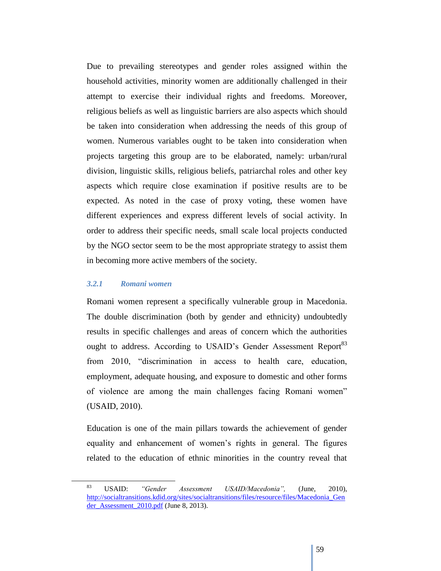Due to prevailing stereotypes and gender roles assigned within the household activities, minority women are additionally challenged in their attempt to exercise their individual rights and freedoms. Moreover, religious beliefs as well as linguistic barriers are also aspects which should be taken into consideration when addressing the needs of this group of women. Numerous variables ought to be taken into consideration when projects targeting this group are to be elaborated, namely: urban/rural division, linguistic skills, religious beliefs, patriarchal roles and other key aspects which require close examination if positive results are to be expected. As noted in the case of proxy voting, these women have different experiences and express different levels of social activity. In order to address their specific needs, small scale local projects conducted by the NGO sector seem to be the most appropriate strategy to assist them in becoming more active members of the society.

#### *3.2.1 Romani women*

Romani women represent a specifically vulnerable group in Macedonia. The double discrimination (both by gender and ethnicity) undoubtedly results in specific challenges and areas of concern which the authorities ought to address. According to USAID's Gender Assessment Report<sup>83</sup> from 2010, "discrimination in access to health care, education, employment, adequate housing, and exposure to domestic and other forms of violence are among the main challenges facing Romani women" (USAID, 2010).

Education is one of the main pillars towards the achievement of gender equality and enhancement of women"s rights in general. The figures related to the education of ethnic minorities in the country reveal that

<sup>83</sup> USAID: *"Gender Assessment USAID/Macedonia",* (June, 2010), [http://socialtransitions.kdid.org/sites/socialtransitions/files/resource/files/Macedonia\\_Gen](http://socialtransitions.kdid.org/sites/socialtransitions/files/resource/files/Macedonia_Gender_Assessment_2010.pdf) der Assessment 2010.pdf (June 8, 2013).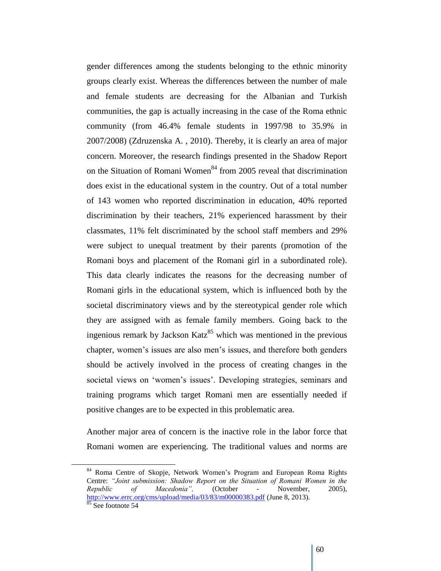gender differences among the students belonging to the ethnic minority groups clearly exist. Whereas the differences between the number of male and female students are decreasing for the Albanian and Turkish communities, the gap is actually increasing in the case of the Roma ethnic community (from 46.4% female students in 1997/98 to 35.9% in 2007/2008) (Zdruzenska A. , 2010). Thereby, it is clearly an area of major concern. Moreover, the research findings presented in the Shadow Report on the Situation of Romani Women<sup>84</sup> from 2005 reveal that discrimination does exist in the educational system in the country. Out of a total number of 143 women who reported discrimination in education, 40% reported discrimination by their teachers, 21% experienced harassment by their classmates, 11% felt discriminated by the school staff members and 29% were subject to unequal treatment by their parents (promotion of the Romani boys and placement of the Romani girl in a subordinated role). This data clearly indicates the reasons for the decreasing number of Romani girls in the educational system, which is influenced both by the societal discriminatory views and by the stereotypical gender role which they are assigned with as female family members. Going back to the ingenious remark by Jackson Katz<sup>85</sup> which was mentioned in the previous chapter, women"s issues are also men"s issues, and therefore both genders should be actively involved in the process of creating changes in the societal views on 'women's issues'. Developing strategies, seminars and training programs which target Romani men are essentially needed if positive changes are to be expected in this problematic area.

Another major area of concern is the inactive role in the labor force that Romani women are experiencing. The traditional values and norms are

<sup>&</sup>lt;sup>84</sup> Roma Centre of Skopje, Network Women's Program and European Roma Rights Centre: *"Joint submission: Shadow Report on the Situation of Romani Women in the Republic of Macedonia",* (October - November, 2005), <http://www.errc.org/cms/upload/media/03/83/m00000383.pdf> (June 8, 2013).  $rac{85}{85}$  See footnote 54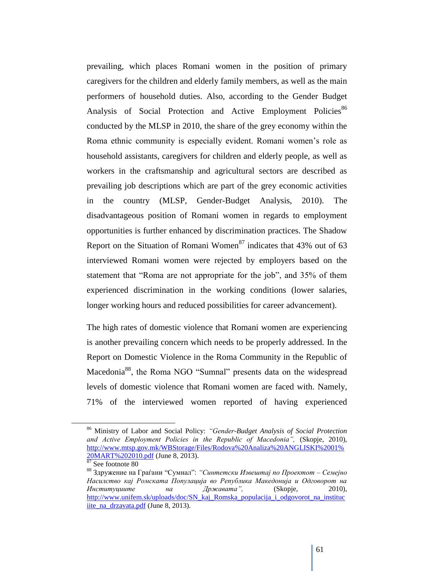prevailing, which places Romani women in the position of primary caregivers for the children and elderly family members, as well as the main performers of household duties. Also, according to the Gender Budget Analysis of Social Protection and Active Employment Policies<sup>86</sup> conducted by the MLSP in 2010, the share of the grey economy within the Roma ethnic community is especially evident. Romani women"s role as household assistants, caregivers for children and elderly people, as well as workers in the craftsmanship and agricultural sectors are described as prevailing job descriptions which are part of the grey economic activities in the country (MLSP, Gender-Budget Analysis, 2010). The disadvantageous position of Romani women in regards to employment opportunities is further enhanced by discrimination practices. The Shadow Report on the Situation of Romani Women<sup>87</sup> indicates that  $43\%$  out of 63 interviewed Romani women were rejected by employers based on the statement that "Roma are not appropriate for the job", and 35% of them experienced discrimination in the working conditions (lower salaries, longer working hours and reduced possibilities for career advancement).

The high rates of domestic violence that Romani women are experiencing is another prevailing concern which needs to be properly addressed. In the Report on Domestic Violence in the Roma Community in the Republic of Macedonia<sup>88</sup>, the Roma NGO "Sumnal" presents data on the widespread levels of domestic violence that Romani women are faced with. Namely, 71% of the interviewed women reported of having experienced

<sup>86</sup> Ministry of Labor and Social Policy: *"Gender-Budget Analysis of Social Protection and Active Employment Policies in the Republic of Macedonia",* (Skopje, 2010), [http://www.mtsp.gov.mk/WBStorage/Files/Rodova%20Analiza%20ANGLISKI%2001%](http://www.mtsp.gov.mk/WBStorage/Files/Rodova%20Analiza%20ANGLISKI%2001%20MART%202010.pdf) [20MART%202010.pdf](http://www.mtsp.gov.mk/WBStorage/Files/Rodova%20Analiza%20ANGLISKI%2001%20MART%202010.pdf) (June 8, 2013).

<sup>87</sup> See footnote 80

<sup>88</sup> Здружение на Граѓани "Сумнал": *"Синтетски Извештај по Проектот – Семејно Насилство кај Ромската Популација во Република Македонија и Одговорот на Институциите на Државата",* (Skopje, 2010), [http://www.unifem.sk/uploads/doc/SN\\_kaj\\_Romska\\_populacija\\_i\\_odgovorot\\_na\\_instituc](http://www.unifem.sk/uploads/doc/SN_kaj_Romska_populacija_i_odgovorot_na_instituciite_na_drzavata.pdf) [iite\\_na\\_drzavata.pdf](http://www.unifem.sk/uploads/doc/SN_kaj_Romska_populacija_i_odgovorot_na_instituciite_na_drzavata.pdf) (June 8, 2013).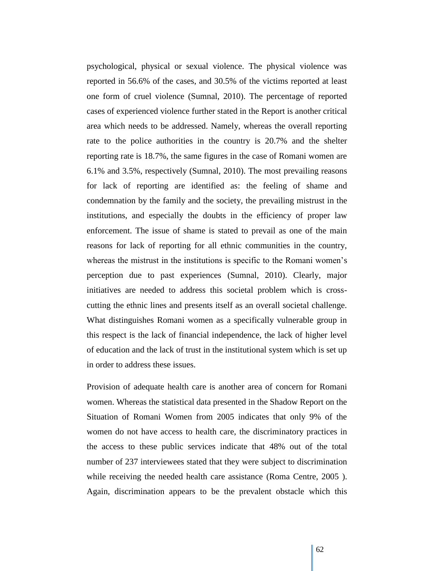psychological, physical or sexual violence. The physical violence was reported in 56.6% of the cases, and 30.5% of the victims reported at least one form of cruel violence (Sumnal, 2010). The percentage of reported cases of experienced violence further stated in the Report is another critical area which needs to be addressed. Namely, whereas the overall reporting rate to the police authorities in the country is 20.7% and the shelter reporting rate is 18.7%, the same figures in the case of Romani women are 6.1% and 3.5%, respectively (Sumnal, 2010). The most prevailing reasons for lack of reporting are identified as: the feeling of shame and condemnation by the family and the society, the prevailing mistrust in the institutions, and especially the doubts in the efficiency of proper law enforcement. The issue of shame is stated to prevail as one of the main reasons for lack of reporting for all ethnic communities in the country, whereas the mistrust in the institutions is specific to the Romani women"s perception due to past experiences (Sumnal, 2010). Clearly, major initiatives are needed to address this societal problem which is crosscutting the ethnic lines and presents itself as an overall societal challenge. What distinguishes Romani women as a specifically vulnerable group in this respect is the lack of financial independence, the lack of higher level of education and the lack of trust in the institutional system which is set up in order to address these issues.

Provision of adequate health care is another area of concern for Romani women. Whereas the statistical data presented in the Shadow Report on the Situation of Romani Women from 2005 indicates that only 9% of the women do not have access to health care, the discriminatory practices in the access to these public services indicate that 48% out of the total number of 237 interviewees stated that they were subject to discrimination while receiving the needed health care assistance (Roma Centre, 2005). Again, discrimination appears to be the prevalent obstacle which this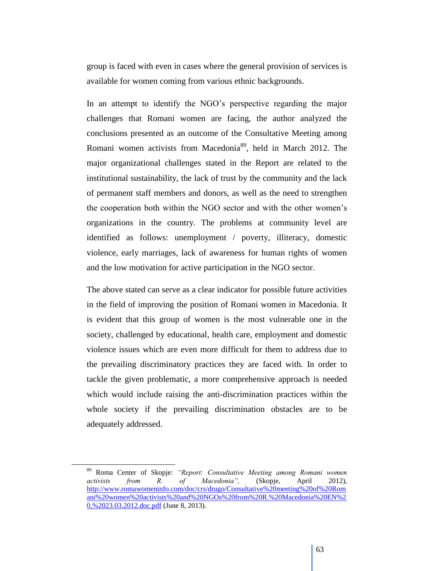group is faced with even in cases where the general provision of services is available for women coming from various ethnic backgrounds.

In an attempt to identify the NGO's perspective regarding the major challenges that Romani women are facing, the author analyzed the conclusions presented as an outcome of the Consultative Meeting among Romani women activists from Macedonia<sup>89</sup>, held in March 2012. The major organizational challenges stated in the Report are related to the institutional sustainability, the lack of trust by the community and the lack of permanent staff members and donors, as well as the need to strengthen the cooperation both within the NGO sector and with the other women"s organizations in the country. The problems at community level are identified as follows: unemployment / poverty, illiteracy, domestic violence, early marriages, lack of awareness for human rights of women and the low motivation for active participation in the NGO sector.

The above stated can serve as a clear indicator for possible future activities in the field of improving the position of Romani women in Macedonia. It is evident that this group of women is the most vulnerable one in the society, challenged by educational, health care, employment and domestic violence issues which are even more difficult for them to address due to the prevailing discriminatory practices they are faced with. In order to tackle the given problematic, a more comprehensive approach is needed which would include raising the anti-discrimination practices within the whole society if the prevailing discrimination obstacles are to be adequately addressed.

<sup>89</sup> Roma Center of Skopje: *"Report: Consultative Meeting among Romani women activists from R. of Macedonia",* (Skopje, April 2012), [http://www.romawomeninfo.com/doc/crs/drugo/Consultative%20meeting%20of%20Rom](http://www.romawomeninfo.com/doc/crs/drugo/Consultative%20meeting%20of%20Romani%20women%20activists%20and%20NGOs%20from%20R.%20Macedonia%20EN%20,%2023.03.2012.doc.pdf) [ani%20women%20activists%20and%20NGOs%20from%20R.%20Macedonia%20EN%2](http://www.romawomeninfo.com/doc/crs/drugo/Consultative%20meeting%20of%20Romani%20women%20activists%20and%20NGOs%20from%20R.%20Macedonia%20EN%20,%2023.03.2012.doc.pdf) [0,%2023.03.2012.doc.pdf](http://www.romawomeninfo.com/doc/crs/drugo/Consultative%20meeting%20of%20Romani%20women%20activists%20and%20NGOs%20from%20R.%20Macedonia%20EN%20,%2023.03.2012.doc.pdf) (June 8, 2013).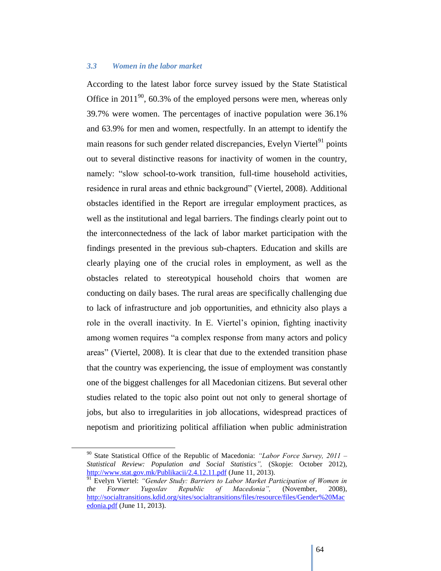#### *3.3 Women in the labor market*

According to the latest labor force survey issued by the State Statistical Office in  $2011^{90}$ , 60.3% of the employed persons were men, whereas only 39.7% were women. The percentages of inactive population were 36.1% and 63.9% for men and women, respectfully. In an attempt to identify the main reasons for such gender related discrepancies, Evelyn Viertel $^{91}$  points out to several distinctive reasons for inactivity of women in the country, namely: "slow school-to-work transition, full-time household activities, residence in rural areas and ethnic background" (Viertel, 2008). Additional obstacles identified in the Report are irregular employment practices, as well as the institutional and legal barriers. The findings clearly point out to the interconnectedness of the lack of labor market participation with the findings presented in the previous sub-chapters. Education and skills are clearly playing one of the crucial roles in employment, as well as the obstacles related to stereotypical household choirs that women are conducting on daily bases. The rural areas are specifically challenging due to lack of infrastructure and job opportunities, and ethnicity also plays a role in the overall inactivity. In E. Viertel"s opinion, fighting inactivity among women requires "a complex response from many actors and policy areas" (Viertel, 2008). It is clear that due to the extended transition phase that the country was experiencing, the issue of employment was constantly one of the biggest challenges for all Macedonian citizens. But several other studies related to the topic also point out not only to general shortage of jobs, but also to irregularities in job allocations, widespread practices of nepotism and prioritizing political affiliation when public administration

 $\overline{a}$ 

<sup>90</sup> State Statistical Office of the Republic of Macedonia: *"Labor Force Survey, 2011 – Statistical Review: Population and Social Statistics",* (Skopje: October 2012), <http://www.stat.gov.mk/Publikacii/2.4.12.11.pdf> (June 11, 2013).

<sup>&</sup>lt;sup>91</sup> Evelyn Viertel: *"Gender Study: Barriers to Labor Market Participation of Women in the Former Yugoslav Republic of Macedonia",* (November, 2008), [http://socialtransitions.kdid.org/sites/socialtransitions/files/resource/files/Gender%20Mac](http://socialtransitions.kdid.org/sites/socialtransitions/files/resource/files/Gender%20Macedonia.pdf) [edonia.pdf](http://socialtransitions.kdid.org/sites/socialtransitions/files/resource/files/Gender%20Macedonia.pdf) (June 11, 2013).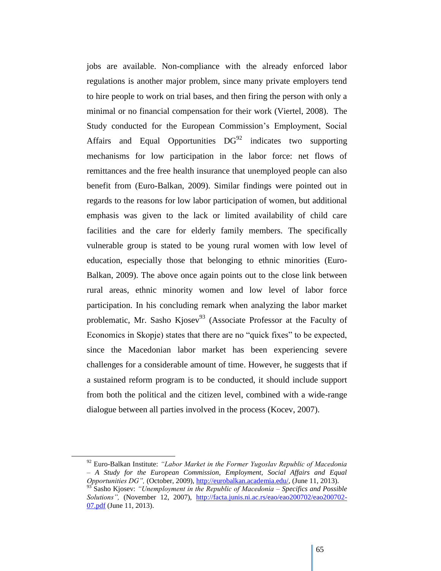jobs are available. Non-compliance with the already enforced labor regulations is another major problem, since many private employers tend to hire people to work on trial bases, and then firing the person with only a minimal or no financial compensation for their work (Viertel, 2008). The Study conducted for the European Commission's Employment, Social Affairs and Equal Opportunities  $DG^{92}$  indicates two supporting mechanisms for low participation in the labor force: net flows of remittances and the free health insurance that unemployed people can also benefit from (Euro-Balkan, 2009). Similar findings were pointed out in regards to the reasons for low labor participation of women, but additional emphasis was given to the lack or limited availability of child care facilities and the care for elderly family members. The specifically vulnerable group is stated to be young rural women with low level of education, especially those that belonging to ethnic minorities (Euro-Balkan, 2009). The above once again points out to the close link between rural areas, ethnic minority women and low level of labor force participation. In his concluding remark when analyzing the labor market problematic, Mr. Sasho Kjosev<sup>93</sup> (Associate Professor at the Faculty of Economics in Skopje) states that there are no "quick fixes" to be expected, since the Macedonian labor market has been experiencing severe challenges for a considerable amount of time. However, he suggests that if a sustained reform program is to be conducted, it should include support from both the political and the citizen level, combined with a wide-range dialogue between all parties involved in the process (Kocev, 2007).

 $\overline{a}$ 

<sup>92</sup> Euro-Balkan Institute: *"Labor Market in the Former Yugoslav Republic of Macedonia – A Study for the European Commission, Employment, Social Affairs and Equal Opportunities DG",* (October, 2009)[, http://eurobalkan.academia.edu/,](http://eurobalkan.academia.edu/) (June 11, 2013).

<sup>93</sup> Sasho Kjosev: *"Unemployment in the Republic of Macedonia – Specifics and Possible Solutions",* (November 12, 2007), [http://facta.junis.ni.ac.rs/eao/eao200702/eao200702-](http://facta.junis.ni.ac.rs/eao/eao200702/eao200702-07.pdf) [07.pdf](http://facta.junis.ni.ac.rs/eao/eao200702/eao200702-07.pdf) (June 11, 2013).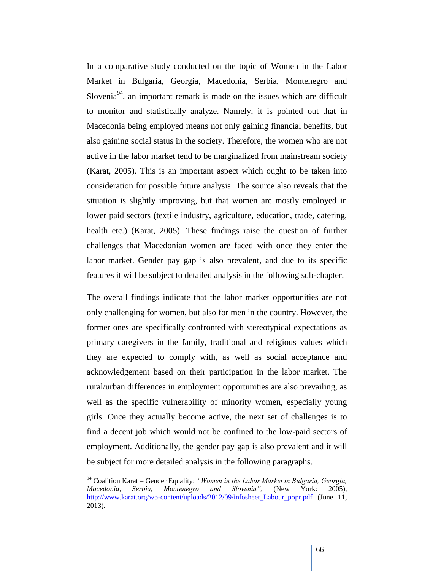In a comparative study conducted on the topic of Women in the Labor Market in Bulgaria, Georgia, Macedonia, Serbia, Montenegro and Slovenia<sup>94</sup>, an important remark is made on the issues which are difficult to monitor and statistically analyze. Namely, it is pointed out that in Macedonia being employed means not only gaining financial benefits, but also gaining social status in the society. Therefore, the women who are not active in the labor market tend to be marginalized from mainstream society (Karat, 2005). This is an important aspect which ought to be taken into consideration for possible future analysis. The source also reveals that the situation is slightly improving, but that women are mostly employed in lower paid sectors (textile industry, agriculture, education, trade, catering, health etc.) (Karat, 2005). These findings raise the question of further challenges that Macedonian women are faced with once they enter the labor market. Gender pay gap is also prevalent, and due to its specific features it will be subject to detailed analysis in the following sub-chapter.

The overall findings indicate that the labor market opportunities are not only challenging for women, but also for men in the country. However, the former ones are specifically confronted with stereotypical expectations as primary caregivers in the family, traditional and religious values which they are expected to comply with, as well as social acceptance and acknowledgement based on their participation in the labor market. The rural/urban differences in employment opportunities are also prevailing, as well as the specific vulnerability of minority women, especially young girls. Once they actually become active, the next set of challenges is to find a decent job which would not be confined to the low-paid sectors of employment. Additionally, the gender pay gap is also prevalent and it will be subject for more detailed analysis in the following paragraphs.

<sup>94</sup> Coalition Karat – Gender Equality: *"Women in the Labor Market in Bulgaria, Georgia, Macedonia, Serbia, Montenegro and Slovenia",* (New York: 2005), [http://www.karat.org/wp-content/uploads/2012/09/infosheet\\_Labour\\_popr.pdf](http://www.karat.org/wp-content/uploads/2012/09/infosheet_Labour_popr.pdf) (June 11, 2013).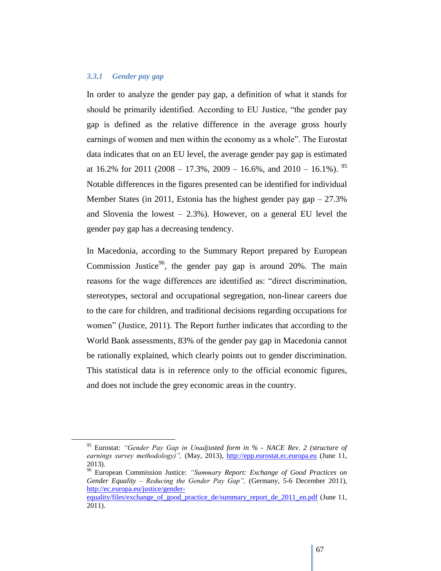# *3.3.1 Gender pay gap*

In order to analyze the gender pay gap, a definition of what it stands for should be primarily identified. According to EU Justice, "the gender pay gap is defined as the relative difference in the average gross hourly earnings of women and men within the economy as a whole". The Eurostat data indicates that on an EU level, the average gender pay gap is estimated at  $16.2\%$  for  $2011$  ( $2008 - 17.3\%$ ,  $2009 - 16.6\%$ , and  $2010 - 16.1\%$ ). <sup>95</sup> Notable differences in the figures presented can be identified for individual Member States (in 2011, Estonia has the highest gender pay  $gap -27.3\%$ ) and Slovenia the lowest  $-2.3\%$ ). However, on a general EU level the gender pay gap has a decreasing tendency.

In Macedonia, according to the Summary Report prepared by European Commission Justice<sup>96</sup>, the gender pay gap is around 20%. The main reasons for the wage differences are identified as: "direct discrimination, stereotypes, sectoral and occupational segregation, non-linear careers due to the care for children, and traditional decisions regarding occupations for women" (Justice, 2011). The Report further indicates that according to the World Bank assessments, 83% of the gender pay gap in Macedonia cannot be rationally explained, which clearly points out to gender discrimination. This statistical data is in reference only to the official economic figures, and does not include the grey economic areas in the country.

<sup>95</sup> Eurostat: *"Gender Pay Gap in Unadjusted form in % - NACE Rev. 2 (structure of*  earnings survey methodology)", (May, 2013), [http://epp.eurostat.ec.europa.eu](http://epp.eurostat.ec.europa.eu/portal/page/portal/eurostat/home) (June 11, 2013).

<sup>96</sup> European Commission Justice: *"Summary Report: Exchange of Good Practices on Gender Equality – Reducing the Gender Pay Gap",* (Germany, 5-6 December 2011), [http://ec.europa.eu/justice/gender-](http://ec.europa.eu/justice/gender-equality/files/exchange_of_good_practice_de/summary_report_de_2011_en.pdf)

equality/files/exchange of good practice de/summary report de 2011 en.pdf (June 11, 2011).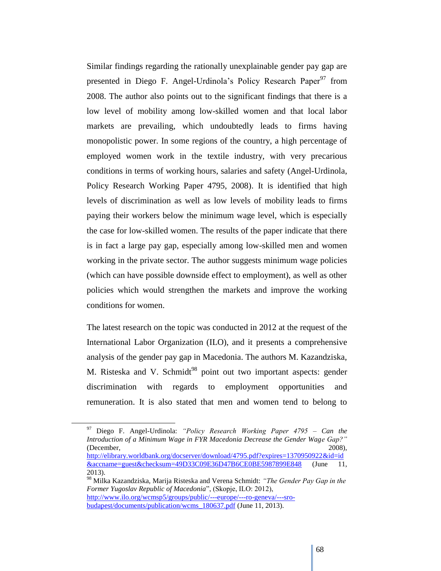Similar findings regarding the rationally unexplainable gender pay gap are presented in Diego F. Angel-Urdinola's Policy Research Paper<sup>97</sup> from 2008. The author also points out to the significant findings that there is a low level of mobility among low-skilled women and that local labor markets are prevailing, which undoubtedly leads to firms having monopolistic power. In some regions of the country, a high percentage of employed women work in the textile industry, with very precarious conditions in terms of working hours, salaries and safety (Angel-Urdinola, Policy Research Working Paper 4795, 2008). It is identified that high levels of discrimination as well as low levels of mobility leads to firms paying their workers below the minimum wage level, which is especially the case for low-skilled women. The results of the paper indicate that there is in fact a large pay gap, especially among low-skilled men and women working in the private sector. The author suggests minimum wage policies (which can have possible downside effect to employment), as well as other policies which would strengthen the markets and improve the working conditions for women.

The latest research on the topic was conducted in 2012 at the request of the International Labor Organization (ILO), and it presents a comprehensive analysis of the gender pay gap in Macedonia. The authors M. Kazandziska, M. Risteska and V. Schmidt<sup>98</sup> point out two important aspects: gender discrimination with regards to employment opportunities and remuneration. It is also stated that men and women tend to belong to

<sup>97</sup> Diego F. Angel-Urdinola: *"Policy Research Working Paper 4795 – Can the Introduction of a Minimum Wage in FYR Macedonia Decrease the Gender Wage Gap?"*  (December, 2008), [http://elibrary.worldbank.org/docserver/download/4795.pdf?expires=1370950922&id=id](http://elibrary.worldbank.org/docserver/download/4795.pdf?expires=1370950922&id=id&accname=guest&checksum=49D33C09E36D47B6CE0BE5987899E848) [&accname=guest&checksum=49D33C09E36D47B6CE0BE5987899E848](http://elibrary.worldbank.org/docserver/download/4795.pdf?expires=1370950922&id=id&accname=guest&checksum=49D33C09E36D47B6CE0BE5987899E848) (June 11, 2013).

<sup>98</sup> Milka Kazandziska, Marija Risteska and Verena Schmidt: *"The Gender Pay Gap in the Former Yugoslav Republic of Macedonia*", (Skopje, ILO: 2012), [http://www.ilo.org/wcmsp5/groups/public/---europe/---ro-geneva/---sro](http://www.ilo.org/wcmsp5/groups/public/---europe/---ro-geneva/---sro-budapest/documents/publication/wcms_180637.pdf)[budapest/documents/publication/wcms\\_180637.pdf](http://www.ilo.org/wcmsp5/groups/public/---europe/---ro-geneva/---sro-budapest/documents/publication/wcms_180637.pdf) (June 11, 2013).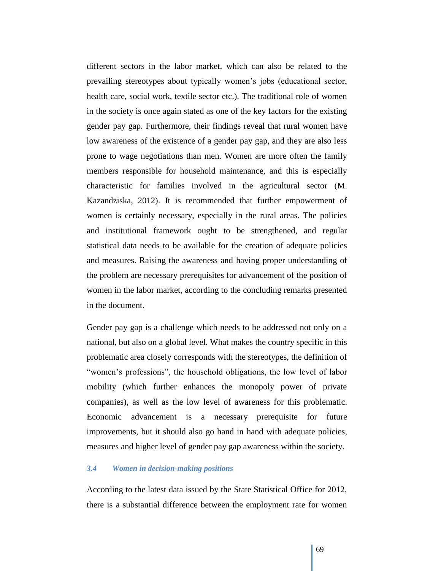different sectors in the labor market, which can also be related to the prevailing stereotypes about typically women"s jobs (educational sector, health care, social work, textile sector etc.). The traditional role of women in the society is once again stated as one of the key factors for the existing gender pay gap. Furthermore, their findings reveal that rural women have low awareness of the existence of a gender pay gap, and they are also less prone to wage negotiations than men. Women are more often the family members responsible for household maintenance, and this is especially characteristic for families involved in the agricultural sector (M. Kazandziska, 2012). It is recommended that further empowerment of women is certainly necessary, especially in the rural areas. The policies and institutional framework ought to be strengthened, and regular statistical data needs to be available for the creation of adequate policies and measures. Raising the awareness and having proper understanding of the problem are necessary prerequisites for advancement of the position of women in the labor market, according to the concluding remarks presented in the document.

Gender pay gap is a challenge which needs to be addressed not only on a national, but also on a global level. What makes the country specific in this problematic area closely corresponds with the stereotypes, the definition of "women"s professions", the household obligations, the low level of labor mobility (which further enhances the monopoly power of private companies), as well as the low level of awareness for this problematic. Economic advancement is a necessary prerequisite for future improvements, but it should also go hand in hand with adequate policies, measures and higher level of gender pay gap awareness within the society.

#### *3.4 Women in decision-making positions*

According to the latest data issued by the State Statistical Office for 2012, there is a substantial difference between the employment rate for women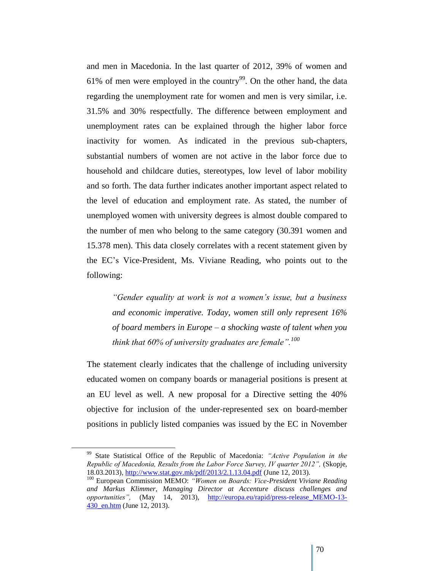and men in Macedonia. In the last quarter of 2012, 39% of women and 61% of men were employed in the country<sup>99</sup>. On the other hand, the data regarding the unemployment rate for women and men is very similar, i.e. 31.5% and 30% respectfully. The difference between employment and unemployment rates can be explained through the higher labor force inactivity for women. As indicated in the previous sub-chapters, substantial numbers of women are not active in the labor force due to household and childcare duties, stereotypes, low level of labor mobility and so forth. The data further indicates another important aspect related to the level of education and employment rate. As stated, the number of unemployed women with university degrees is almost double compared to the number of men who belong to the same category (30.391 women and 15.378 men). This data closely correlates with a recent statement given by the EC"s Vice-President, Ms. Viviane Reading, who points out to the following:

*"Gender equality at work is not a women's issue, but a business and economic imperative. Today, women still only represent 16% of board members in Europe – a shocking waste of talent when you think that 60% of university graduates are female".<sup>100</sup>*

The statement clearly indicates that the challenge of including university educated women on company boards or managerial positions is present at an EU level as well. A new proposal for a Directive setting the 40% objective for inclusion of the under-represented sex on board-member positions in publicly listed companies was issued by the EC in November

 $\overline{a}$ 

<sup>99</sup> State Statistical Office of the Republic of Macedonia: *"Active Population in the Republic of Macedonia, Results from the Labor Force Survey, IV quarter 2012",* (Skopje, 18.03.2013),<http://www.stat.gov.mk/pdf/2013/2.1.13.04.pdf> (June 12, 2013).

<sup>100</sup> European Commission MEMO: *"Women on Boards: Vice-President Viviane Reading and Markus Klimmer, Managing Director at Accenture discuss challenges and opportunities",* (May 14, 2013), [http://europa.eu/rapid/press-release\\_MEMO-13-](http://europa.eu/rapid/press-release_MEMO-13-430_en.htm) [430\\_en.htm](http://europa.eu/rapid/press-release_MEMO-13-430_en.htm) (June 12, 2013).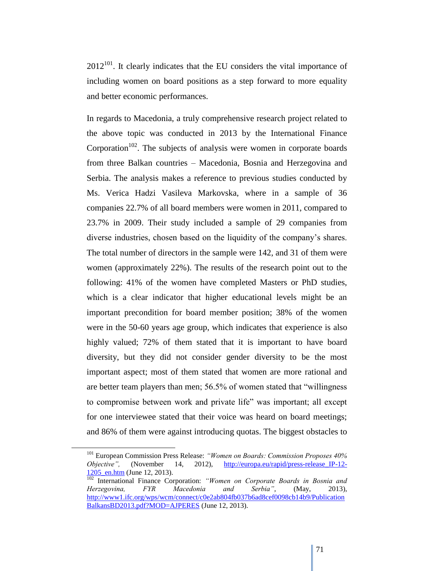$2012^{101}$ . It clearly indicates that the EU considers the vital importance of including women on board positions as a step forward to more equality and better economic performances.

In regards to Macedonia, a truly comprehensive research project related to the above topic was conducted in 2013 by the International Finance Corporation<sup> $102$ </sup>. The subjects of analysis were women in corporate boards from three Balkan countries – Macedonia, Bosnia and Herzegovina and Serbia. The analysis makes a reference to previous studies conducted by Ms. Verica Hadzi Vasileva Markovska, where in a sample of 36 companies 22.7% of all board members were women in 2011, compared to 23.7% in 2009. Their study included a sample of 29 companies from diverse industries, chosen based on the liquidity of the company"s shares. The total number of directors in the sample were 142, and 31 of them were women (approximately 22%). The results of the research point out to the following: 41% of the women have completed Masters or PhD studies, which is a clear indicator that higher educational levels might be an important precondition for board member position; 38% of the women were in the 50-60 years age group, which indicates that experience is also highly valued; 72% of them stated that it is important to have board diversity, but they did not consider gender diversity to be the most important aspect; most of them stated that women are more rational and are better team players than men; 56.5% of women stated that "willingness to compromise between work and private life" was important; all except for one interviewee stated that their voice was heard on board meetings; and 86% of them were against introducing quotas. The biggest obstacles to

 $\overline{a}$ 

<sup>101</sup> European Commission Press Release: *"Women on Boards: Commission Proposes 40% Objective"*, (November 14, 2012), [http://europa.eu/rapid/press-release\\_IP-12-](http://europa.eu/rapid/press-release_IP-12-1205_en.htm) [1205\\_en.htm](http://europa.eu/rapid/press-release_IP-12-1205_en.htm) (June 12, 2013).

<sup>102</sup> International Finance Corporation: *"Women on Corporate Boards in Bosnia and Herzegovina, FYR Macedonia and Serbia",* (May, 2013), [http://www1.ifc.org/wps/wcm/connect/c0e2ab804fb037b6ad8cef0098cb14b9/Publication](http://www1.ifc.org/wps/wcm/connect/c0e2ab804fb037b6ad8cef0098cb14b9/PublicationBalkansBD2013.pdf?MOD=AJPERES) [BalkansBD2013.pdf?MOD=AJPERES](http://www1.ifc.org/wps/wcm/connect/c0e2ab804fb037b6ad8cef0098cb14b9/PublicationBalkansBD2013.pdf?MOD=AJPERES) (June 12, 2013).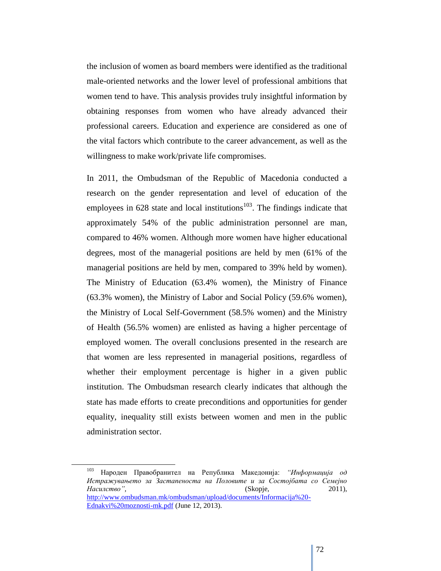the inclusion of women as board members were identified as the traditional male-oriented networks and the lower level of professional ambitions that women tend to have. This analysis provides truly insightful information by obtaining responses from women who have already advanced their professional careers. Education and experience are considered as one of the vital factors which contribute to the career advancement, as well as the willingness to make work/private life compromises.

In 2011, the Ombudsman of the Republic of Macedonia conducted a research on the gender representation and level of education of the employees in  $628$  state and local institutions<sup>103</sup>. The findings indicate that approximately 54% of the public administration personnel are man, compared to 46% women. Although more women have higher educational degrees, most of the managerial positions are held by men (61% of the managerial positions are held by men, compared to 39% held by women). The Ministry of Education (63.4% women), the Ministry of Finance (63.3% women), the Ministry of Labor and Social Policy (59.6% women), the Ministry of Local Self-Government (58.5% women) and the Ministry of Health (56.5% women) are enlisted as having a higher percentage of employed women. The overall conclusions presented in the research are that women are less represented in managerial positions, regardless of whether their employment percentage is higher in a given public institution. The Ombudsman research clearly indicates that although the state has made efforts to create preconditions and opportunities for gender equality, inequality still exists between women and men in the public administration sector.

<sup>103</sup> Народен Правобранител на Република Македонија: *"Информација од Истражувањето за Застапеноста на Половите и за Состојбата со Семејно Насилство",* (Skopje, 2011), [http://www.ombudsman.mk/ombudsman/upload/documents/Informacija%20-](http://www.ombudsman.mk/ombudsman/upload/documents/Informacija%20-Ednakvi%20moznosti-mk.pdf) [Ednakvi%20moznosti-mk.pdf](http://www.ombudsman.mk/ombudsman/upload/documents/Informacija%20-Ednakvi%20moznosti-mk.pdf) (June 12, 2013).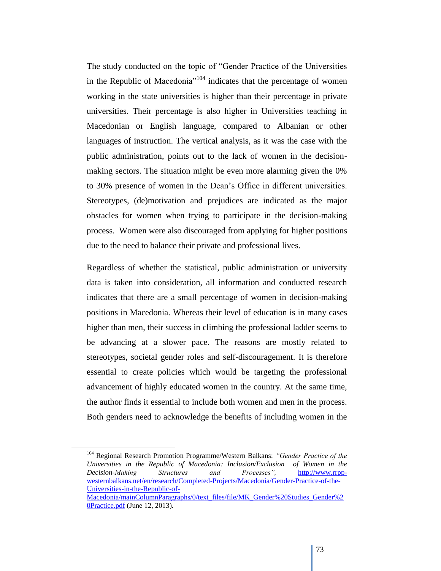The study conducted on the topic of "Gender Practice of the Universities in the Republic of Macedonia<sup>"104</sup> indicates that the percentage of women working in the state universities is higher than their percentage in private universities. Their percentage is also higher in Universities teaching in Macedonian or English language, compared to Albanian or other languages of instruction. The vertical analysis, as it was the case with the public administration, points out to the lack of women in the decisionmaking sectors. The situation might be even more alarming given the 0% to 30% presence of women in the Dean"s Office in different universities. Stereotypes, (de)motivation and prejudices are indicated as the major obstacles for women when trying to participate in the decision-making process. Women were also discouraged from applying for higher positions due to the need to balance their private and professional lives.

Regardless of whether the statistical, public administration or university data is taken into consideration, all information and conducted research indicates that there are a small percentage of women in decision-making positions in Macedonia. Whereas their level of education is in many cases higher than men, their success in climbing the professional ladder seems to be advancing at a slower pace. The reasons are mostly related to stereotypes, societal gender roles and self-discouragement. It is therefore essential to create policies which would be targeting the professional advancement of highly educated women in the country. At the same time, the author finds it essential to include both women and men in the process. Both genders need to acknowledge the benefits of including women in the

 $\overline{a}$ 

<sup>104</sup> Regional Research Promotion Programme/Western Balkans: *"Gender Practice of the Universities in the Republic of Macedonia: Inclusion/Exclusion of Women in the Decision-Making Structures and Processes",* [http://www.rrpp](http://www.rrpp-westernbalkans.net/en/research/Completed-Projects/Macedonia/Gender-Practice-of-the-Universities-in-the-Republic-of-Macedonia/mainColumnParagraphs/0/text_files/file/MK_Gender%20Studies_Gender%20Practice.pdf)[westernbalkans.net/en/research/Completed-Projects/Macedonia/Gender-Practice-of-the-](http://www.rrpp-westernbalkans.net/en/research/Completed-Projects/Macedonia/Gender-Practice-of-the-Universities-in-the-Republic-of-Macedonia/mainColumnParagraphs/0/text_files/file/MK_Gender%20Studies_Gender%20Practice.pdf)[Universities-in-the-Republic-of-](http://www.rrpp-westernbalkans.net/en/research/Completed-Projects/Macedonia/Gender-Practice-of-the-Universities-in-the-Republic-of-Macedonia/mainColumnParagraphs/0/text_files/file/MK_Gender%20Studies_Gender%20Practice.pdf)[Macedonia/mainColumnParagraphs/0/text\\_files/file/MK\\_Gender%20Studies\\_Gender%2](http://www.rrpp-westernbalkans.net/en/research/Completed-Projects/Macedonia/Gender-Practice-of-the-Universities-in-the-Republic-of-Macedonia/mainColumnParagraphs/0/text_files/file/MK_Gender%20Studies_Gender%20Practice.pdf)

[<sup>0</sup>Practice.pdf](http://www.rrpp-westernbalkans.net/en/research/Completed-Projects/Macedonia/Gender-Practice-of-the-Universities-in-the-Republic-of-Macedonia/mainColumnParagraphs/0/text_files/file/MK_Gender%20Studies_Gender%20Practice.pdf) (June 12, 2013).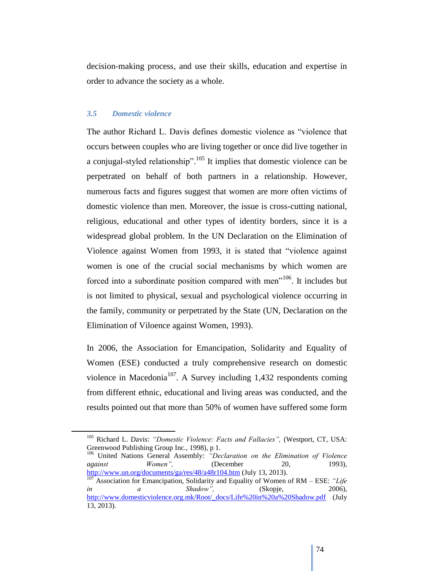decision-making process, and use their skills, education and expertise in order to advance the society as a whole.

### *3.5 Domestic violence*

The author Richard L. Davis defines domestic violence as "violence that occurs between couples who are living together or once did live together in a conjugal-styled relationship".<sup>105</sup> It implies that domestic violence can be perpetrated on behalf of both partners in a relationship. However, numerous facts and figures suggest that women are more often victims of domestic violence than men. Moreover, the issue is cross-cutting national, religious, educational and other types of identity borders, since it is a widespread global problem. In the UN Declaration on the Elimination of Violence against Women from 1993, it is stated that "violence against women is one of the crucial social mechanisms by which women are forced into a subordinate position compared with men"<sup>106</sup>. It includes but is not limited to physical, sexual and psychological violence occurring in the family, community or perpetrated by the State (UN, Declaration on the Elimination of Viloence against Women, 1993).

In 2006, the Association for Emancipation, Solidarity and Equality of Women (ESE) conducted a truly comprehensive research on domestic violence in Macedonia<sup>107</sup>. A Survey including 1,432 respondents coming from different ethnic, educational and living areas was conducted, and the results pointed out that more than 50% of women have suffered some form

<sup>106</sup> United Nations General Assembly: *"Declaration on the Elimination of Violence against Women"*, (December 20, 1993), <http://www.un.org/documents/ga/res/48/a48r104.htm> (July 13, 2013).

<sup>105</sup> Richard L. Davis: *"Domestic Violence: Facts and Fallacies",* (Westport, CT, USA: Greenwood Publishing Group Inc., 1998), p 1.

<sup>107</sup> Association for Emancipation, Solidarity and Equality of Women of RM – ESE: *"Life in a Shadow",* (Skopje, 2006), [http://www.domesticviolence.org.mk/Root/\\_docs/Life%20in%20a%20Shadow.pdf](http://www.domesticviolence.org.mk/Root/_docs/Life%20in%20a%20Shadow.pdf) (July 13, 2013).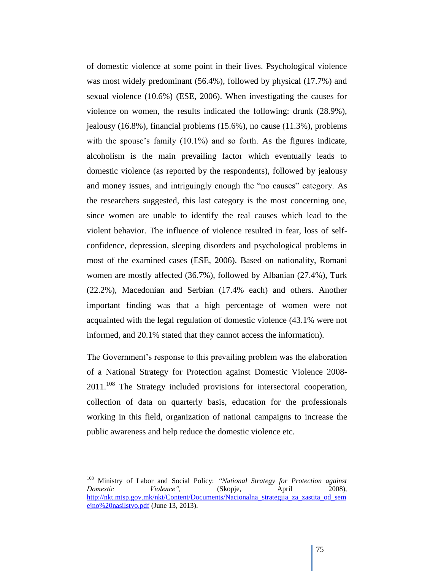of domestic violence at some point in their lives. Psychological violence was most widely predominant (56.4%), followed by physical (17.7%) and sexual violence (10.6%) (ESE, 2006). When investigating the causes for violence on women, the results indicated the following: drunk (28.9%), jealousy (16.8%), financial problems (15.6%), no cause (11.3%), problems with the spouse's family  $(10.1\%)$  and so forth. As the figures indicate, alcoholism is the main prevailing factor which eventually leads to domestic violence (as reported by the respondents), followed by jealousy and money issues, and intriguingly enough the "no causes" category. As the researchers suggested, this last category is the most concerning one, since women are unable to identify the real causes which lead to the violent behavior. The influence of violence resulted in fear, loss of selfconfidence, depression, sleeping disorders and psychological problems in most of the examined cases (ESE, 2006). Based on nationality, Romani women are mostly affected (36.7%), followed by Albanian (27.4%), Turk (22.2%), Macedonian and Serbian (17.4% each) and others. Another important finding was that a high percentage of women were not acquainted with the legal regulation of domestic violence (43.1% were not informed, and 20.1% stated that they cannot access the information).

The Government's response to this prevailing problem was the elaboration of a National Strategy for Protection against Domestic Violence 2008-  $2011$ <sup> $108$ </sup>. The Strategy included provisions for intersectoral cooperation, collection of data on quarterly basis, education for the professionals working in this field, organization of national campaigns to increase the public awareness and help reduce the domestic violence etc.

<sup>108</sup> Ministry of Labor and Social Policy: *"National Strategy for Protection against Domestic Violence"*, (Skopje, April 2008), http://nkt.mtsp.gov.mk/nkt/Content/Documents/Nacionalna strategija za zastita od sem [ejno%20nasilstvo.pdf](http://nkt.mtsp.gov.mk/nkt/Content/Documents/Nacionalna_strategija_za_zastita_od_semejno%20nasilstvo.pdf) (June 13, 2013).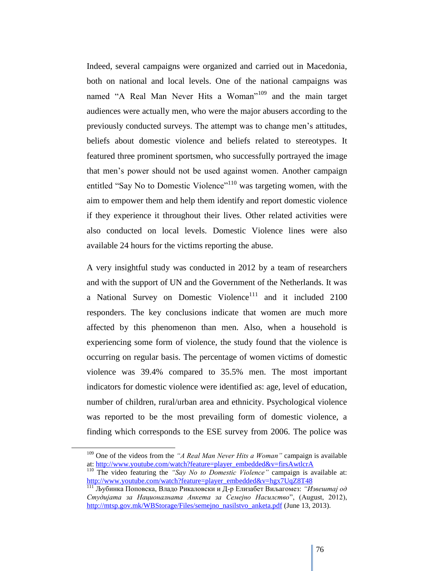Indeed, several campaigns were organized and carried out in Macedonia, both on national and local levels. One of the national campaigns was named "A Real Man Never Hits a Woman"<sup>109</sup> and the main target audiences were actually men, who were the major abusers according to the previously conducted surveys. The attempt was to change men"s attitudes, beliefs about domestic violence and beliefs related to stereotypes. It featured three prominent sportsmen, who successfully portrayed the image that men"s power should not be used against women. Another campaign entitled "Say No to Domestic Violence"<sup>110</sup> was targeting women, with the aim to empower them and help them identify and report domestic violence if they experience it throughout their lives. Other related activities were also conducted on local levels. Domestic Violence lines were also available 24 hours for the victims reporting the abuse.

A very insightful study was conducted in 2012 by a team of researchers and with the support of UN and the Government of the Netherlands. It was a National Survey on Domestic Violence<sup>111</sup> and it included  $2100$ responders. The key conclusions indicate that women are much more affected by this phenomenon than men. Also, when a household is experiencing some form of violence, the study found that the violence is occurring on regular basis. The percentage of women victims of domestic violence was 39.4% compared to 35.5% men. The most important indicators for domestic violence were identified as: age, level of education, number of children, rural/urban area and ethnicity. Psychological violence was reported to be the most prevailing form of domestic violence, a finding which corresponds to the ESE survey from 2006. The police was

 $\overline{a}$ 

<sup>109</sup> One of the videos from the *"A Real Man Never Hits a Woman"* campaign is available at: [http://www.youtube.com/watch?feature=player\\_embedded&v=firsAwtlcrA](http://www.youtube.com/watch?feature=player_embedded&v=firsAwtlcrA)

<sup>&</sup>lt;sup>110</sup> The video featuring the *"Say No to Domestic Violence"* campaign is available at: [http://www.youtube.com/watch?feature=player\\_embedded&v=hgx7UqZ8T48](http://www.youtube.com/watch?feature=player_embedded&v=hgx7UqZ8T48)

<sup>111</sup> Љубинка Поповска, Владо Рикаловски и Д-р Елизабет Виљагомез: *"Извештај од Студијата за Националната Анкета за Семејно Насилство*", (August, 2012), [http://mtsp.gov.mk/WBStorage/Files/semejno\\_nasilstvo\\_anketa.pdf](http://mtsp.gov.mk/WBStorage/Files/semejno_nasilstvo_anketa.pdf) (June 13, 2013).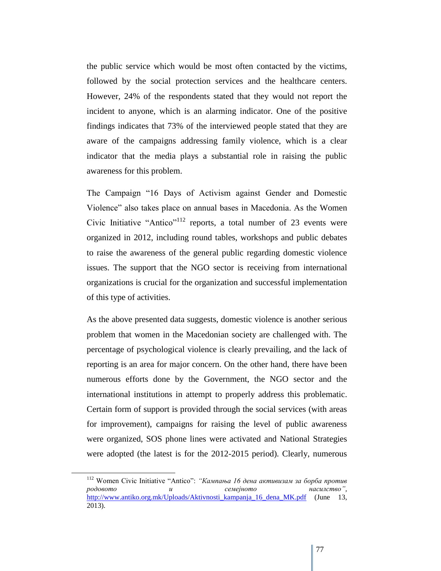the public service which would be most often contacted by the victims, followed by the social protection services and the healthcare centers. However, 24% of the respondents stated that they would not report the incident to anyone, which is an alarming indicator. One of the positive findings indicates that 73% of the interviewed people stated that they are aware of the campaigns addressing family violence, which is a clear indicator that the media plays a substantial role in raising the public awareness for this problem.

The Campaign "16 Days of Activism against Gender and Domestic Violence" also takes place on annual bases in Macedonia. As the Women Civic Initiative "Antico"<sup>112</sup> reports, a total number of 23 events were organized in 2012, including round tables, workshops and public debates to raise the awareness of the general public regarding domestic violence issues. The support that the NGO sector is receiving from international organizations is crucial for the organization and successful implementation of this type of activities.

As the above presented data suggests, domestic violence is another serious problem that women in the Macedonian society are challenged with. The percentage of psychological violence is clearly prevailing, and the lack of reporting is an area for major concern. On the other hand, there have been numerous efforts done by the Government, the NGO sector and the international institutions in attempt to properly address this problematic. Certain form of support is provided through the social services (with areas for improvement), campaigns for raising the level of public awareness were organized, SOS phone lines were activated and National Strategies were adopted (the latest is for the 2012-2015 period). Clearly, numerous

<sup>112</sup> Women Civic Initiative "Antico": *"Кампања 16 дена активизам за борба против родовото и семејното насилство",* [http://www.antiko.org.mk/Uploads/Aktivnosti\\_kampanja\\_16\\_dena\\_MK.pdf](http://www.antiko.org.mk/Uploads/Aktivnosti_kampanja_16_dena_MK.pdf) (June 13, 2013).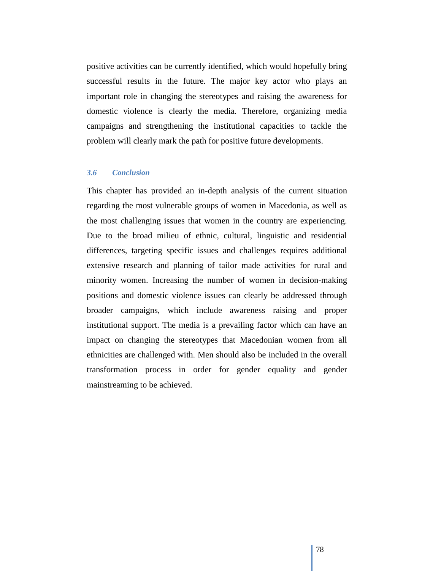positive activities can be currently identified, which would hopefully bring successful results in the future. The major key actor who plays an important role in changing the stereotypes and raising the awareness for domestic violence is clearly the media. Therefore, organizing media campaigns and strengthening the institutional capacities to tackle the problem will clearly mark the path for positive future developments.

#### *3.6 Conclusion*

This chapter has provided an in-depth analysis of the current situation regarding the most vulnerable groups of women in Macedonia, as well as the most challenging issues that women in the country are experiencing. Due to the broad milieu of ethnic, cultural, linguistic and residential differences, targeting specific issues and challenges requires additional extensive research and planning of tailor made activities for rural and minority women. Increasing the number of women in decision-making positions and domestic violence issues can clearly be addressed through broader campaigns, which include awareness raising and proper institutional support. The media is a prevailing factor which can have an impact on changing the stereotypes that Macedonian women from all ethnicities are challenged with. Men should also be included in the overall transformation process in order for gender equality and gender mainstreaming to be achieved.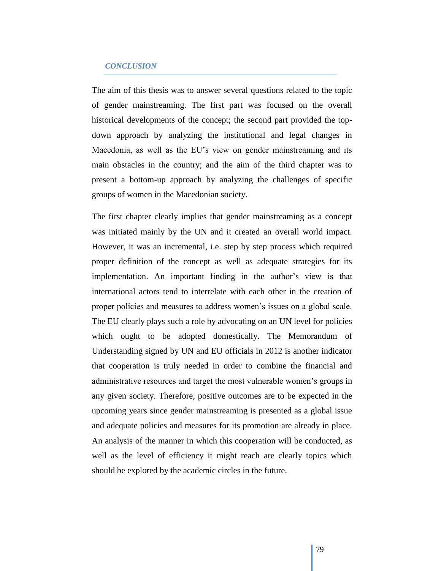#### *CONCLUSION*

The aim of this thesis was to answer several questions related to the topic of gender mainstreaming. The first part was focused on the overall historical developments of the concept; the second part provided the topdown approach by analyzing the institutional and legal changes in Macedonia, as well as the EU"s view on gender mainstreaming and its main obstacles in the country; and the aim of the third chapter was to present a bottom-up approach by analyzing the challenges of specific groups of women in the Macedonian society.

The first chapter clearly implies that gender mainstreaming as a concept was initiated mainly by the UN and it created an overall world impact. However, it was an incremental, i.e. step by step process which required proper definition of the concept as well as adequate strategies for its implementation. An important finding in the author's view is that international actors tend to interrelate with each other in the creation of proper policies and measures to address women"s issues on a global scale. The EU clearly plays such a role by advocating on an UN level for policies which ought to be adopted domestically. The Memorandum of Understanding signed by UN and EU officials in 2012 is another indicator that cooperation is truly needed in order to combine the financial and administrative resources and target the most vulnerable women"s groups in any given society. Therefore, positive outcomes are to be expected in the upcoming years since gender mainstreaming is presented as a global issue and adequate policies and measures for its promotion are already in place. An analysis of the manner in which this cooperation will be conducted, as well as the level of efficiency it might reach are clearly topics which should be explored by the academic circles in the future.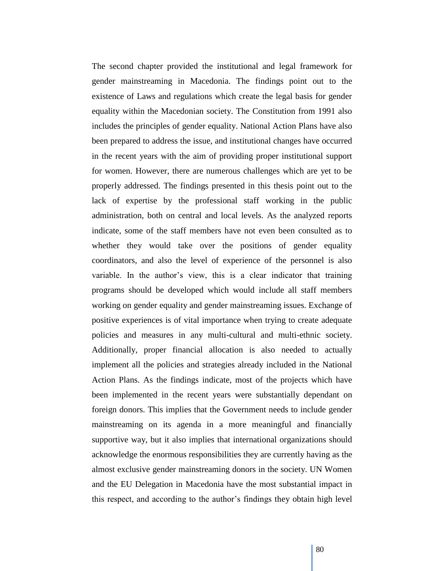The second chapter provided the institutional and legal framework for gender mainstreaming in Macedonia. The findings point out to the existence of Laws and regulations which create the legal basis for gender equality within the Macedonian society. The Constitution from 1991 also includes the principles of gender equality. National Action Plans have also been prepared to address the issue, and institutional changes have occurred in the recent years with the aim of providing proper institutional support for women. However, there are numerous challenges which are yet to be properly addressed. The findings presented in this thesis point out to the lack of expertise by the professional staff working in the public administration, both on central and local levels. As the analyzed reports indicate, some of the staff members have not even been consulted as to whether they would take over the positions of gender equality coordinators, and also the level of experience of the personnel is also variable. In the author"s view, this is a clear indicator that training programs should be developed which would include all staff members working on gender equality and gender mainstreaming issues. Exchange of positive experiences is of vital importance when trying to create adequate policies and measures in any multi-cultural and multi-ethnic society. Additionally, proper financial allocation is also needed to actually implement all the policies and strategies already included in the National Action Plans. As the findings indicate, most of the projects which have been implemented in the recent years were substantially dependant on foreign donors. This implies that the Government needs to include gender mainstreaming on its agenda in a more meaningful and financially supportive way, but it also implies that international organizations should acknowledge the enormous responsibilities they are currently having as the almost exclusive gender mainstreaming donors in the society. UN Women and the EU Delegation in Macedonia have the most substantial impact in this respect, and according to the author"s findings they obtain high level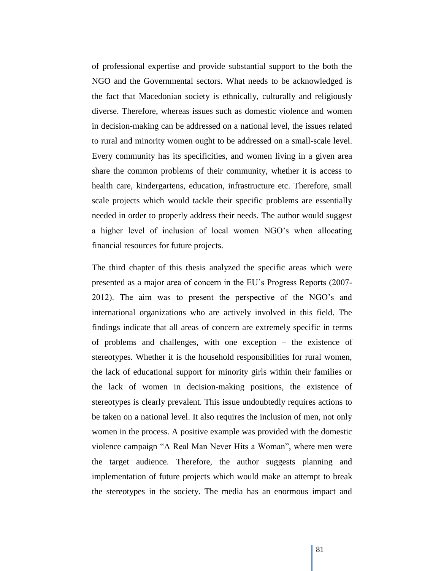of professional expertise and provide substantial support to the both the NGO and the Governmental sectors. What needs to be acknowledged is the fact that Macedonian society is ethnically, culturally and religiously diverse. Therefore, whereas issues such as domestic violence and women in decision-making can be addressed on a national level, the issues related to rural and minority women ought to be addressed on a small-scale level. Every community has its specificities, and women living in a given area share the common problems of their community, whether it is access to health care, kindergartens, education, infrastructure etc. Therefore, small scale projects which would tackle their specific problems are essentially needed in order to properly address their needs. The author would suggest a higher level of inclusion of local women NGO"s when allocating financial resources for future projects.

The third chapter of this thesis analyzed the specific areas which were presented as a major area of concern in the EU"s Progress Reports (2007- 2012). The aim was to present the perspective of the NGO"s and international organizations who are actively involved in this field. The findings indicate that all areas of concern are extremely specific in terms of problems and challenges, with one exception – the existence of stereotypes. Whether it is the household responsibilities for rural women, the lack of educational support for minority girls within their families or the lack of women in decision-making positions, the existence of stereotypes is clearly prevalent. This issue undoubtedly requires actions to be taken on a national level. It also requires the inclusion of men, not only women in the process. A positive example was provided with the domestic violence campaign "A Real Man Never Hits a Woman", where men were the target audience. Therefore, the author suggests planning and implementation of future projects which would make an attempt to break the stereotypes in the society. The media has an enormous impact and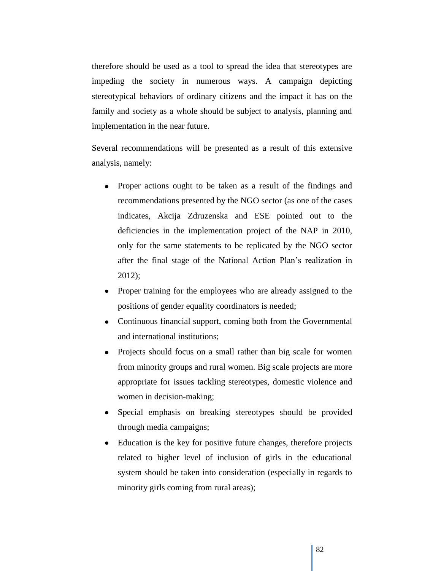therefore should be used as a tool to spread the idea that stereotypes are impeding the society in numerous ways. A campaign depicting stereotypical behaviors of ordinary citizens and the impact it has on the family and society as a whole should be subject to analysis, planning and implementation in the near future.

Several recommendations will be presented as a result of this extensive analysis, namely:

- Proper actions ought to be taken as a result of the findings and recommendations presented by the NGO sector (as one of the cases indicates, Akcija Zdruzenska and ESE pointed out to the deficiencies in the implementation project of the NAP in 2010, only for the same statements to be replicated by the NGO sector after the final stage of the National Action Plan"s realization in 2012);
- Proper training for the employees who are already assigned to the positions of gender equality coordinators is needed;
- Continuous financial support, coming both from the Governmental and international institutions;
- Projects should focus on a small rather than big scale for women from minority groups and rural women. Big scale projects are more appropriate for issues tackling stereotypes, domestic violence and women in decision-making;
- Special emphasis on breaking stereotypes should be provided through media campaigns;
- Education is the key for positive future changes, therefore projects related to higher level of inclusion of girls in the educational system should be taken into consideration (especially in regards to minority girls coming from rural areas);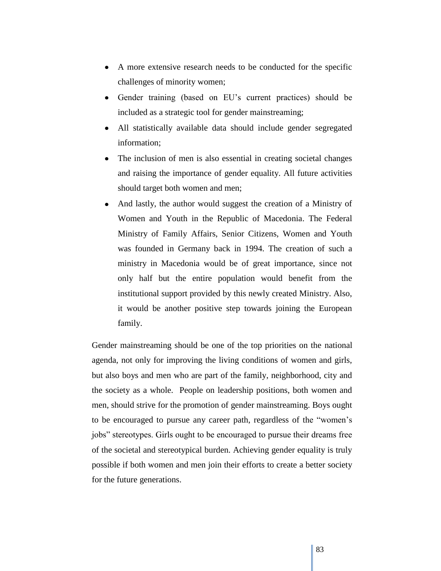- A more extensive research needs to be conducted for the specific challenges of minority women;
- Gender training (based on EU"s current practices) should be included as a strategic tool for gender mainstreaming;
- All statistically available data should include gender segregated information;
- The inclusion of men is also essential in creating societal changes and raising the importance of gender equality. All future activities should target both women and men;
- And lastly, the author would suggest the creation of a Ministry of Women and Youth in the Republic of Macedonia. The Federal Ministry of Family Affairs, Senior Citizens, Women and Youth was founded in Germany back in 1994. The creation of such a ministry in Macedonia would be of great importance, since not only half but the entire population would benefit from the institutional support provided by this newly created Ministry. Also, it would be another positive step towards joining the European family.

Gender mainstreaming should be one of the top priorities on the national agenda, not only for improving the living conditions of women and girls, but also boys and men who are part of the family, neighborhood, city and the society as a whole. People on leadership positions, both women and men, should strive for the promotion of gender mainstreaming. Boys ought to be encouraged to pursue any career path, regardless of the "women"s jobs" stereotypes. Girls ought to be encouraged to pursue their dreams free of the societal and stereotypical burden. Achieving gender equality is truly possible if both women and men join their efforts to create a better society for the future generations.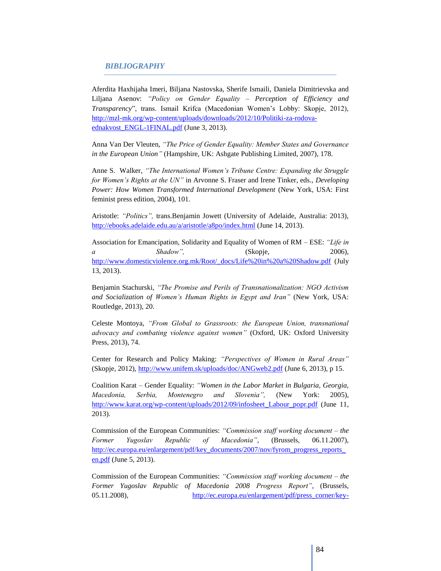#### *BIBLIOGRAPHY*

Aferdita Haxhijaha Imeri, Biljana Nastovska, Sherife Ismaili, Daniela Dimitrievska and Liljana Asenov: *"Policy on Gender Equality – Perception of Efficiency and Transparency*", trans. Ismail Krifca (Macedonian Women"s Lobby: Skopje, 2012), [http://mzl-mk.org/wp-content/uploads/downloads/2012/10/Politiki-za-rodova](http://mzl-mk.org/wp-content/uploads/downloads/2012/10/Politiki-za-rodova-ednakvost_ENGL-1FINAL.pdf)[ednakvost\\_ENGL-1FINAL.pdf](http://mzl-mk.org/wp-content/uploads/downloads/2012/10/Politiki-za-rodova-ednakvost_ENGL-1FINAL.pdf) (June 3, 2013).

Anna Van Der Vleuten, *"The Price of Gender Equality: Member States and Governance in the European Union"* (Hampshire, UK: Ashgate Publishing Limited, 2007), 178.

Anne S. Walker, *"The International Women's Tribune Centre: Expanding the Struggle for Women's Rights at the UN"* in Arvonne S. Fraser and Irene Tinker, eds., *Developing Power: How Women Transformed International Development* (New York, USA: First feminist press edition, 2004), 101.

Aristotle: *"Politics",* trans.Benjamin Jowett (University of Adelaide, Australia: 2013), <http://ebooks.adelaide.edu.au/a/aristotle/a8po/index.html> (June 14, 2013).

Association for Emancipation, Solidarity and Equality of Women of RM – ESE: *"Life in a* Shadow", (Skopje, 2006), [http://www.domesticviolence.org.mk/Root/\\_docs/Life%20in%20a%20Shadow.pdf](http://www.domesticviolence.org.mk/Root/_docs/Life%20in%20a%20Shadow.pdf) (July 13, 2013).

Benjamin Stachurski, *"The Promise and Perils of Transnationalization: NGO Activism and Socialization of Women's Human Rights in Egypt and Iran"* (New York, USA: Routledge, 2013), 20.

Celeste Montoya, *"From Global to Grassroots: the European Union, transnational advocacy and combating violence against women"* (Oxford, UK: Oxford University Press, 2013), 74.

Center for Research and Policy Making: *"Perspectives of Women in Rural Areas"* (Skopje, 2012),<http://www.unifem.sk/uploads/doc/ANGweb2.pdf> (June 6, 2013), p 15.

Coalition Karat – Gender Equality: *"Women in the Labor Market in Bulgaria, Georgia, Macedonia, Serbia, Montenegro and Slovenia",* (New York: 2005), [http://www.karat.org/wp-content/uploads/2012/09/infosheet\\_Labour\\_popr.pdf](http://www.karat.org/wp-content/uploads/2012/09/infosheet_Labour_popr.pdf) (June 11, 2013).

Commission of the European Communities: *"Commission staff working document – the Former Yugoslav Republic of Macedonia"*, (Brussels, 06.11.2007), [http://ec.europa.eu/enlargement/pdf/key\\_documents/2007/nov/fyrom\\_progress\\_reports\\_](http://ec.europa.eu/enlargement/pdf/key_documents/2007/nov/fyrom_progress_reports_en.pdf) [en.pdf](http://ec.europa.eu/enlargement/pdf/key_documents/2007/nov/fyrom_progress_reports_en.pdf) (June 5, 2013).

Commission of the European Communities: *"Commission staff working document – the Former Yugoslav Republic of Macedonia 2008 Progress Report"*, (Brussels, 05.11.2008), [http://ec.europa.eu/enlargement/pdf/press\\_corner/key-](http://ec.europa.eu/enlargement/pdf/press_corner/key-documents/reports_nov_2008/the_former_yugoslav_republic_of_macedonia_progress_report_en.pdf)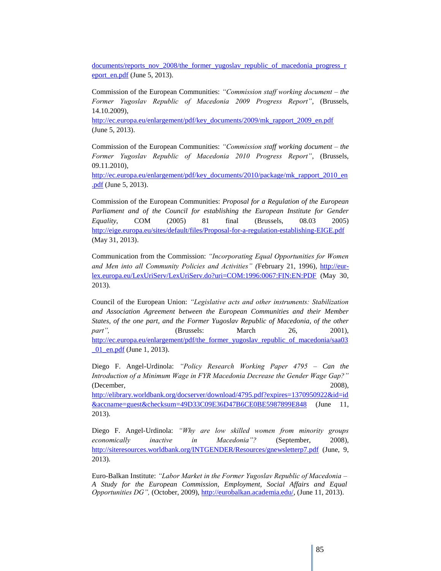documents/reports\_nov\_2008/the\_former\_yugoslav\_republic\_of\_macedonia\_progress\_r eport\_en.pdf (June 5, 2013).

Commission of the European Communities: *"Commission staff working document – the Former Yugoslav Republic of Macedonia 2009 Progress Report"*, (Brussels, 14.10.2009),

[http://ec.europa.eu/enlargement/pdf/key\\_documents/2009/mk\\_rapport\\_2009\\_en.pdf](http://ec.europa.eu/enlargement/pdf/key_documents/2009/mk_rapport_2009_en.pdf) (June 5, 2013).

Commission of the European Communities: *"Commission staff working document – the Former Yugoslav Republic of Macedonia 2010 Progress Report"*, (Brussels, 09.11.2010),

[http://ec.europa.eu/enlargement/pdf/key\\_documents/2010/package/mk\\_rapport\\_2010\\_en](http://ec.europa.eu/enlargement/pdf/key_documents/2010/package/mk_rapport_2010_en.pdf) [.pdf](http://ec.europa.eu/enlargement/pdf/key_documents/2010/package/mk_rapport_2010_en.pdf) (June 5, 2013).

Commission of the European Communities: *Proposal for a Regulation of the European Parliament and of the Council for establishing the European Institute for Gender Equality*, COM (2005) 81 final (Brussels, 08.03 2005) <http://eige.europa.eu/sites/default/files/Proposal-for-a-regulation-establishing-EIGE.pdf> (May 31, 2013).

Communication from the Commission: *"Incorporating Equal Opportunities for Women and Men into all Community Policies and Activities" (*February 21, 1996), [http://eur](http://eur-lex.europa.eu/LexUriServ/LexUriServ.do?uri=COM:1996:0067:FIN:EN:PDF)[lex.europa.eu/LexUriServ/LexUriServ.do?uri=COM:1996:0067:FIN:EN:PDF](http://eur-lex.europa.eu/LexUriServ/LexUriServ.do?uri=COM:1996:0067:FIN:EN:PDF) (May 30, 2013).

Council of the European Union: *"Legislative acts and other instruments: Stabilization and Association Agreement between the European Communities and their Member States, of the one part, and the Former Yugoslav Republic of Macedonia, of the other part"*, (Brussels: March 26, 2001), [http://ec.europa.eu/enlargement/pdf/the\\_former\\_yugoslav\\_republic\\_of\\_macedonia/saa03](http://ec.europa.eu/enlargement/pdf/the_former_yugoslav_republic_of_macedonia/saa03_01_en.pdf) [\\_01\\_en.pdf](http://ec.europa.eu/enlargement/pdf/the_former_yugoslav_republic_of_macedonia/saa03_01_en.pdf) (June 1, 2013).

Diego F. Angel-Urdinola: *"Policy Research Working Paper 4795 – Can the Introduction of a Minimum Wage in FYR Macedonia Decrease the Gender Wage Gap?"*  (December, 2008),

[http://elibrary.worldbank.org/docserver/download/4795.pdf?expires=1370950922&id=id](http://elibrary.worldbank.org/docserver/download/4795.pdf?expires=1370950922&id=id&accname=guest&checksum=49D33C09E36D47B6CE0BE5987899E848) [&accname=guest&checksum=49D33C09E36D47B6CE0BE5987899E848](http://elibrary.worldbank.org/docserver/download/4795.pdf?expires=1370950922&id=id&accname=guest&checksum=49D33C09E36D47B6CE0BE5987899E848) (June 11, 2013).

Diego F. Angel-Urdinola: *"Why are low skilled women from minority groups economically inactive in Macedonia"?* (September, 2008), <http://siteresources.worldbank.org/INTGENDER/Resources/gnewsletterp7.pdf> (June, 9, 2013).

Euro-Balkan Institute: *"Labor Market in the Former Yugoslav Republic of Macedonia – A Study for the European Commission, Employment, Social Affairs and Equal Opportunities DG",* (October, 2009)[, http://eurobalkan.academia.edu/,](http://eurobalkan.academia.edu/) (June 11, 2013).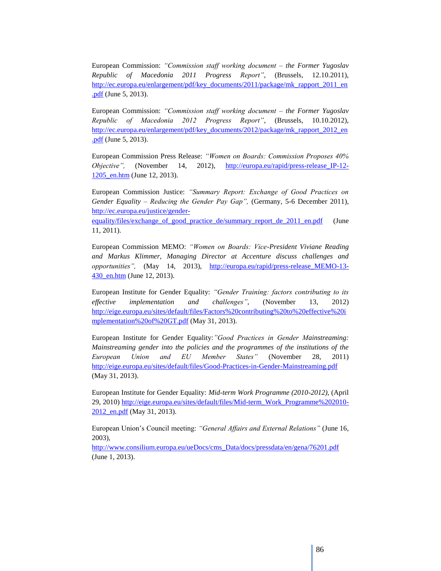European Commission: *"Commission staff working document – the Former Yugoslav Republic of Macedonia 2011 Progress Report"*, (Brussels, 12.10.2011), [http://ec.europa.eu/enlargement/pdf/key\\_documents/2011/package/mk\\_rapport\\_2011\\_en](http://ec.europa.eu/enlargement/pdf/key_documents/2011/package/mk_rapport_2011_en.pdf) [.pdf](http://ec.europa.eu/enlargement/pdf/key_documents/2011/package/mk_rapport_2011_en.pdf) (June 5, 2013).

European Commission: *"Commission staff working document – the Former Yugoslav Republic of Macedonia 2012 Progress Report"*, (Brussels, 10.10.2012), [http://ec.europa.eu/enlargement/pdf/key\\_documents/2012/package/mk\\_rapport\\_2012\\_en](http://ec.europa.eu/enlargement/pdf/key_documents/2012/package/mk_rapport_2012_en.pdf) [.pdf](http://ec.europa.eu/enlargement/pdf/key_documents/2012/package/mk_rapport_2012_en.pdf) (June 5, 2013).

European Commission Press Release: *"Women on Boards: Commission Proposes 40% Objective",* (November 14, 2012), [http://europa.eu/rapid/press-release\\_IP-12-](http://europa.eu/rapid/press-release_IP-12-1205_en.htm) [1205\\_en.htm](http://europa.eu/rapid/press-release_IP-12-1205_en.htm) (June 12, 2013).

European Commission Justice: *"Summary Report: Exchange of Good Practices on Gender Equality – Reducing the Gender Pay Gap",* (Germany, 5-6 December 2011), [http://ec.europa.eu/justice/gender-](http://ec.europa.eu/justice/gender-equality/files/exchange_of_good_practice_de/summary_report_de_2011_en.pdf)

[equality/files/exchange\\_of\\_good\\_practice\\_de/summary\\_report\\_de\\_2011\\_en.pdf](http://ec.europa.eu/justice/gender-equality/files/exchange_of_good_practice_de/summary_report_de_2011_en.pdf) (June 11, 2011).

European Commission MEMO: *"Women on Boards: Vice-President Viviane Reading and Markus Klimmer, Managing Director at Accenture discuss challenges and opportunities",* (May 14, 2013), [http://europa.eu/rapid/press-release\\_MEMO-13-](http://europa.eu/rapid/press-release_MEMO-13-430_en.htm) [430\\_en.htm](http://europa.eu/rapid/press-release_MEMO-13-430_en.htm) (June 12, 2013).

European Institute for Gender Equality: *"Gender Training: factors contributing to its effective implementation and challenges"*, (November 13, 2012) [http://eige.europa.eu/sites/default/files/Factors%20contributing%20to%20effective%20i](http://eige.europa.eu/sites/default/files/Factors%20contributing%20to%20effective%20implementation%20of%20GT.pdf) [mplementation%20of%20GT.pdf](http://eige.europa.eu/sites/default/files/Factors%20contributing%20to%20effective%20implementation%20of%20GT.pdf) (May 31, 2013).

European Institute for Gender Equality:*"Good Practices in Gender Mainstreaming: Mainstreaming gender into the policies and the programmes of the institutions of the European Union and EU Member States"* (November 28, 2011) <http://eige.europa.eu/sites/default/files/Good-Practices-in-Gender-Mainstreaming.pdf> (May 31, 2013).

European Institute for Gender Equality: *Mid-term Work Programme (2010-2012),* (April 29, 2010) [http://eige.europa.eu/sites/default/files/Mid-term\\_Work\\_Programme%202010-](http://eige.europa.eu/sites/default/files/Mid-term_Work_Programme%202010-2012_en.pdf) [2012\\_en.pdf](http://eige.europa.eu/sites/default/files/Mid-term_Work_Programme%202010-2012_en.pdf) (May 31, 2013).

European Union"s Council meeting: *"General Affairs and External Relations"* (June 16, 2003),

[http://www.consilium.europa.eu/ueDocs/cms\\_Data/docs/pressdata/en/gena/76201.pdf](http://www.consilium.europa.eu/ueDocs/cms_Data/docs/pressdata/en/gena/76201.pdf) (June 1, 2013).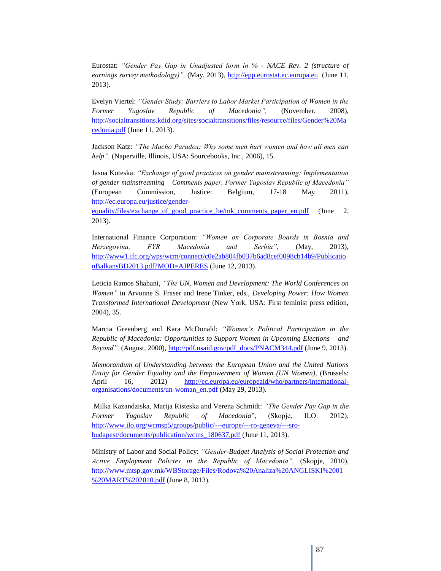Eurostat: *"Gender Pay Gap in Unadjusted form in % - NACE Rev. 2 (structure of earnings survey methodology)",* (May, 2013), [http://epp.eurostat.ec.europa.eu](http://epp.eurostat.ec.europa.eu/) (June 11, 2013).

Evelyn Viertel: *"Gender Study: Barriers to Labor Market Participation of Women in the Former Yugoslav Republic of Macedonia",* (November, 2008), [http://socialtransitions.kdid.org/sites/socialtransitions/files/resource/files/Gender%20Ma](http://socialtransitions.kdid.org/sites/socialtransitions/files/resource/files/Gender%20Macedonia.pdf) [cedonia.pdf](http://socialtransitions.kdid.org/sites/socialtransitions/files/resource/files/Gender%20Macedonia.pdf) (June 11, 2013).

Jackson Katz: *"The Macho Paradox: Why some men hurt women and how all men can help"*, (Naperville, Illinois, USA: Sourcebooks, Inc., 2006), 15.

Jasna Koteska: *"Exchange of good practices on gender mainstreaming: Implementation of gender mainstreaming – Comments paper, Former Yugoslav Republic of Macedonia"* (European Commission, Justice: Belgium, 17-18 May 2011), [http://ec.europa.eu/justice/gender-](http://ec.europa.eu/justice/gender-equality/files/exchange_of_good_practice_be/mk_comments_paper_en.pdf)

equality/files/exchange of good practice be/mk comments paper en.pdf (June 2, 2013).

International Finance Corporation: *"Women on Corporate Boards in Bosnia and Herzegovina, FYR Macedonia and Serbia",* (May, 2013), [http://www1.ifc.org/wps/wcm/connect/c0e2ab804fb037b6ad8cef0098cb14b9/Publicatio](http://www1.ifc.org/wps/wcm/connect/c0e2ab804fb037b6ad8cef0098cb14b9/PublicationBalkansBD2013.pdf?MOD=AJPERES) [nBalkansBD2013.pdf?MOD=AJPERES](http://www1.ifc.org/wps/wcm/connect/c0e2ab804fb037b6ad8cef0098cb14b9/PublicationBalkansBD2013.pdf?MOD=AJPERES) (June 12, 2013).

Leticia Ramos Shahani, *"The UN, Women and Development: The World Conferences on Women"* in Arvonne S. Fraser and Irene Tinker, eds., *Developing Power: How Women Transformed International Development* (New York, USA: First feminist press edition, 2004), 35.

Marcia Greenberg and Kara McDonald: *"Women's Political Participation in the Republic of Macedonia: Opportunities to Support Women in Upcoming Elections – and Beyond",* (August, 2000)[, http://pdf.usaid.gov/pdf\\_docs/PNACM344.pdf](http://pdf.usaid.gov/pdf_docs/PNACM344.pdf) (June 9, 2013).

*Memorandum of Understanding between the European Union and the United Nations Entity for Gender Equality and the Empowerment of Women (UN Women),* (Brussels: April 16, 2012) [http://ec.europa.eu/europeaid/who/partners/international](http://ec.europa.eu/europeaid/who/partners/international-organisations/documents/un-woman_en.pdf)[organisations/documents/un-woman\\_en.pdf](http://ec.europa.eu/europeaid/who/partners/international-organisations/documents/un-woman_en.pdf) (May 29, 2013).

Milka Kazandziska, Marija Risteska and Verena Schmidt: *"The Gender Pay Gap in the Former Yugoslav Republic of Macedonia*", (Skopje, ILO: 2012), [http://www.ilo.org/wcmsp5/groups/public/---europe/---ro-geneva/---sro](http://www.ilo.org/wcmsp5/groups/public/---europe/---ro-geneva/---sro-budapest/documents/publication/wcms_180637.pdf)[budapest/documents/publication/wcms\\_180637.pdf](http://www.ilo.org/wcmsp5/groups/public/---europe/---ro-geneva/---sro-budapest/documents/publication/wcms_180637.pdf) (June 11, 2013).

Ministry of Labor and Social Policy: *"Gender-Budget Analysis of Social Protection and Active Employment Policies in the Republic of Macedonia",* (Skopje, 2010), [http://www.mtsp.gov.mk/WBStorage/Files/Rodova%20Analiza%20ANGLISKI%2001](http://www.mtsp.gov.mk/WBStorage/Files/Rodova%20Analiza%20ANGLISKI%2001%20MART%202010.pdf) [%20MART%202010.pdf](http://www.mtsp.gov.mk/WBStorage/Files/Rodova%20Analiza%20ANGLISKI%2001%20MART%202010.pdf) (June 8, 2013).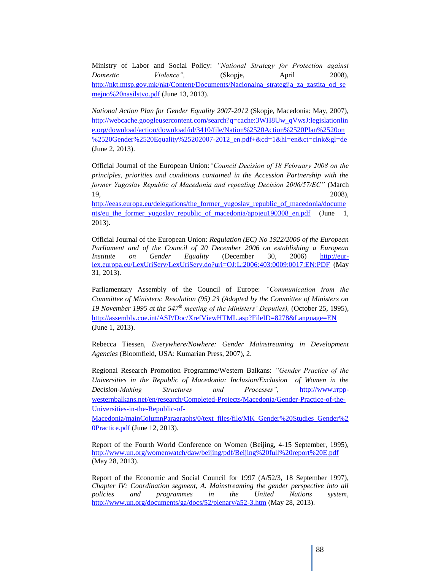Ministry of Labor and Social Policy: *"National Strategy for Protection against Domestic Violence"*, (Skopje, April 2008), http://nkt.mtsp.gov.mk/nkt/Content/Documents/Nacionalna strategija za zastita od se [mejno%20nasilstvo.pdf](http://nkt.mtsp.gov.mk/nkt/Content/Documents/Nacionalna_strategija_za_zastita_od_semejno%20nasilstvo.pdf) (June 13, 2013).

*National Action Plan for Gender Equality 2007-2012* (Skopje, Macedonia: May, 2007), [http://webcache.googleusercontent.com/search?q=cache:3WH8Uw\\_qVwsJ:legislationlin](http://webcache.googleusercontent.com/search?q=cache:3WH8Uw_qVwsJ:legislationline.org/download/action/download/id/3410/file/Nation%2520Action%2520Plan%2520on%2520Gender%2520Equality%25202007-2012_en.pdf+&cd=1&hl=en&ct=clnk&gl=de) [e.org/download/action/download/id/3410/file/Nation%2520Action%2520Plan%2520on](http://webcache.googleusercontent.com/search?q=cache:3WH8Uw_qVwsJ:legislationline.org/download/action/download/id/3410/file/Nation%2520Action%2520Plan%2520on%2520Gender%2520Equality%25202007-2012_en.pdf+&cd=1&hl=en&ct=clnk&gl=de) [%2520Gender%2520Equality%25202007-2012\\_en.pdf+&cd=1&hl=en&ct=clnk&gl=de](http://webcache.googleusercontent.com/search?q=cache:3WH8Uw_qVwsJ:legislationline.org/download/action/download/id/3410/file/Nation%2520Action%2520Plan%2520on%2520Gender%2520Equality%25202007-2012_en.pdf+&cd=1&hl=en&ct=clnk&gl=de) (June 2, 2013).

Official Journal of the European Union:*"Council Decision of 18 February 2008 on the principles, priorities and conditions contained in the Accession Partnership with the former Yugoslav Republic of Macedonia and repealing Decision 2006/57/EC"* (March 19, 2008),

[http://eeas.europa.eu/delegations/the\\_former\\_yugoslav\\_republic\\_of\\_macedonia/docume](http://eeas.europa.eu/delegations/the_former_yugoslav_republic_of_macedonia/documents/eu_the_former_yugoslav_republic_of_macedonia/apojeu190308_en.pdf) nts/eu the former yugoslav republic of macedonia/apojeu190308 en.pdf (June 1, 2013).

Official Journal of the European Union: *Regulation (EC) No 1922/2006 of the European Parliament and of the Council of 20 December 2006 on establishing a European Institute on Gender Equality* (December 30, 2006) [http://eur](http://eur-lex.europa.eu/LexUriServ/LexUriServ.do?uri=OJ:L:2006:403:0009:0017:EN:PDF)[lex.europa.eu/LexUriServ/LexUriServ.do?uri=OJ:L:2006:403:0009:0017:EN:PDF](http://eur-lex.europa.eu/LexUriServ/LexUriServ.do?uri=OJ:L:2006:403:0009:0017:EN:PDF) (May 31, 2013).

Parliamentary Assembly of the Council of Europe: *"Communication from the Committee of Ministers: Resolution (95) 23 (Adopted by the Committee of Ministers on 19 November 1995 at the 547th meeting of the Ministers' Deputies),* (October 25, 1995), <http://assembly.coe.int/ASP/Doc/XrefViewHTML.asp?FileID=8278&Language=EN> (June 1, 2013).

Rebecca Tiessen, *Everywhere/Nowhere: Gender Mainstreaming in Development Agencies* (Bloomfield, USA: Kumarian Press, 2007), 2.

Regional Research Promotion Programme/Western Balkans: *"Gender Practice of the Universities in the Republic of Macedonia: Inclusion/Exclusion of Women in the Decision-Making Structures and Processes",* [http://www.rrpp](http://www.rrpp-westernbalkans.net/en/research/Completed-Projects/Macedonia/Gender-Practice-of-the-Universities-in-the-Republic-of-Macedonia/mainColumnParagraphs/0/text_files/file/MK_Gender%20Studies_Gender%20Practice.pdf)[westernbalkans.net/en/research/Completed-Projects/Macedonia/Gender-Practice-of-the-](http://www.rrpp-westernbalkans.net/en/research/Completed-Projects/Macedonia/Gender-Practice-of-the-Universities-in-the-Republic-of-Macedonia/mainColumnParagraphs/0/text_files/file/MK_Gender%20Studies_Gender%20Practice.pdf)[Universities-in-the-Republic-of-](http://www.rrpp-westernbalkans.net/en/research/Completed-Projects/Macedonia/Gender-Practice-of-the-Universities-in-the-Republic-of-Macedonia/mainColumnParagraphs/0/text_files/file/MK_Gender%20Studies_Gender%20Practice.pdf)

[Macedonia/mainColumnParagraphs/0/text\\_files/file/MK\\_Gender%20Studies\\_Gender%2](http://www.rrpp-westernbalkans.net/en/research/Completed-Projects/Macedonia/Gender-Practice-of-the-Universities-in-the-Republic-of-Macedonia/mainColumnParagraphs/0/text_files/file/MK_Gender%20Studies_Gender%20Practice.pdf) [0Practice.pdf](http://www.rrpp-westernbalkans.net/en/research/Completed-Projects/Macedonia/Gender-Practice-of-the-Universities-in-the-Republic-of-Macedonia/mainColumnParagraphs/0/text_files/file/MK_Gender%20Studies_Gender%20Practice.pdf) (June 12, 2013).

Report of the Fourth World Conference on Women (Beijing, 4-15 September, 1995), <http://www.un.org/womenwatch/daw/beijing/pdf/Beijing%20full%20report%20E.pdf> (May 28, 2013).

Report of the Economic and Social Council for 1997 (A/52/3, 18 September 1997), *Chapter IV: Coordination segment, A. Mainstreaming the gender perspective into all policies and programmes in the United Nations system*, <http://www.un.org/documents/ga/docs/52/plenary/a52-3.htm> (May 28, 2013).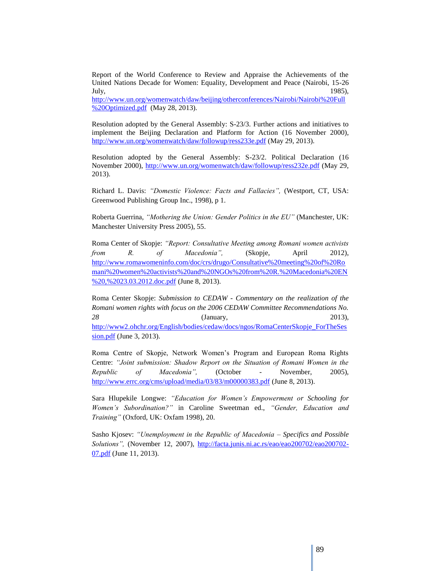Report of the World Conference to Review and Appraise the Achievements of the United Nations Decade for Women: Equality, Development and Peace (Nairobi, 15-26 July, 1985),

[http://www.un.org/womenwatch/daw/beijing/otherconferences/Nairobi/Nairobi%20Full](http://www.un.org/womenwatch/daw/beijing/otherconferences/Nairobi/Nairobi%20Full%20Optimized.pdf) [%20Optimized.pdf](http://www.un.org/womenwatch/daw/beijing/otherconferences/Nairobi/Nairobi%20Full%20Optimized.pdf) (May 28, 2013).

Resolution adopted by the General Assembly: S-23/3. Further actions and initiatives to implement the Beijing Declaration and Platform for Action (16 November 2000), <http://www.un.org/womenwatch/daw/followup/ress233e.pdf> (May 29, 2013).

Resolution adopted by the General Assembly: S-23/2. Political Declaration (16 November 2000),<http://www.un.org/womenwatch/daw/followup/ress232e.pdf> (May 29, 2013).

Richard L. Davis: *"Domestic Violence: Facts and Fallacies",* (Westport, CT, USA: Greenwood Publishing Group Inc., 1998), p 1.

Roberta Guerrina, *"Mothering the Union: Gender Politics in the EU"* (Manchester, UK: Manchester University Press 2005), 55.

Roma Center of Skopje: *"Report: Consultative Meeting among Romani women activists from R. of Macedonia",* (Skopje, April 2012), [http://www.romawomeninfo.com/doc/crs/drugo/Consultative%20meeting%20of%20Ro](http://www.romawomeninfo.com/doc/crs/drugo/Consultative%20meeting%20of%20Romani%20women%20activists%20and%20NGOs%20from%20R.%20Macedonia%20EN%20,%2023.03.2012.doc.pdf) [mani%20women%20activists%20and%20NGOs%20from%20R.%20Macedonia%20EN](http://www.romawomeninfo.com/doc/crs/drugo/Consultative%20meeting%20of%20Romani%20women%20activists%20and%20NGOs%20from%20R.%20Macedonia%20EN%20,%2023.03.2012.doc.pdf) [%20,%2023.03.2012.doc.pdf](http://www.romawomeninfo.com/doc/crs/drugo/Consultative%20meeting%20of%20Romani%20women%20activists%20and%20NGOs%20from%20R.%20Macedonia%20EN%20,%2023.03.2012.doc.pdf) (June 8, 2013).

Roma Center Skopje: *Submission to CEDAW - Commentary on the realization of the Romani women rights with focus on the 2006 CEDAW Committee Recommendations No. 28* (January, 2013), [http://www2.ohchr.org/English/bodies/cedaw/docs/ngos/RomaCenterSkopje\\_ForTheSes](http://www2.ohchr.org/English/bodies/cedaw/docs/ngos/RomaCenterSkopje_ForTheSession.pdf) [sion.pdf](http://www2.ohchr.org/English/bodies/cedaw/docs/ngos/RomaCenterSkopje_ForTheSession.pdf) (June 3, 2013).

Roma Centre of Skopje, Network Women"s Program and European Roma Rights Centre: *"Joint submission: Shadow Report on the Situation of Romani Women in the Republic of Macedonia",* (October - November, 2005), <http://www.errc.org/cms/upload/media/03/83/m00000383.pdf> (June 8, 2013).

Sara Hlupekile Longwe: *"Education for Women's Empowerment or Schooling for Women's Subordination?"* in Caroline Sweetman ed., *"Gender, Education and Training"* (Oxford, UK: Oxfam 1998), 20.

Sasho Kjosev: *"Unemployment in the Republic of Macedonia – Specifics and Possible Solutions",* (November 12, 2007), [http://facta.junis.ni.ac.rs/eao/eao200702/eao200702-](http://facta.junis.ni.ac.rs/eao/eao200702/eao200702-07.pdf) [07.pdf](http://facta.junis.ni.ac.rs/eao/eao200702/eao200702-07.pdf) (June 11, 2013).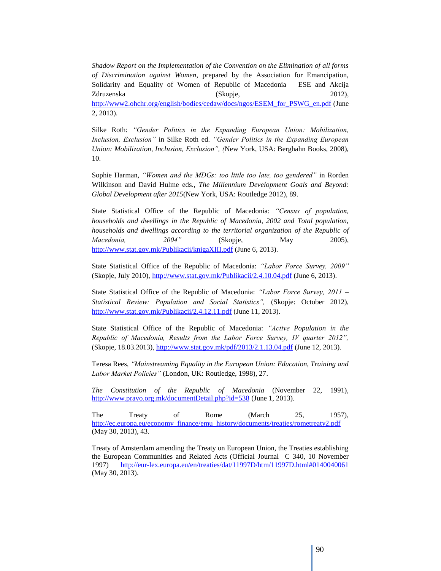*Shadow Report on the Implementation of the Convention on the Elimination of all forms of Discrimination against Women*, prepared by the Association for Emancipation, Solidarity and Equality of Women of Republic of Macedonia – ESE and Akcija Zdruzenska (Skopje, 2012), [http://www2.ohchr.org/english/bodies/cedaw/docs/ngos/ESEM\\_for\\_PSWG\\_en.pdf](http://www2.ohchr.org/english/bodies/cedaw/docs/ngos/ESEM_for_PSWG_en.pdf) (June 2, 2013).

Silke Roth: *"Gender Politics in the Expanding European Union: Mobilization, Inclusion, Exclusion"* in Silke Roth ed. *"Gender Politics in the Expanding European Union: Mobilization, Inclusion, Exclusion", (*New York, USA: Berghahn Books, 2008), 10.

Sophie Harman, *"Women and the MDGs: too little too late, too gendered"* in Rorden Wilkinson and David Hulme eds., *The Millennium Development Goals and Beyond: Global Development after 2015*(New York, USA: Routledge 2012), 89.

State Statistical Office of the Republic of Macedonia: *"Census of population, households and dwellings in the Republic of Macedonia, 2002 and Total population, households and dwellings according to the territorial organization of the Republic of Macedonia, 2004"* (Skopje, May 2005), <http://www.stat.gov.mk/Publikacii/knigaXIII.pdf> (June 6, 2013).

State Statistical Office of the Republic of Macedonia: *"Labor Force Survey, 2009"* (Skopje, July 2010),<http://www.stat.gov.mk/Publikacii/2.4.10.04.pdf> (June 6, 2013).

State Statistical Office of the Republic of Macedonia: *"Labor Force Survey, 2011 – Statistical Review: Population and Social Statistics",* (Skopje: October 2012), <http://www.stat.gov.mk/Publikacii/2.4.12.11.pdf> (June 11, 2013).

State Statistical Office of the Republic of Macedonia: *"Active Population in the Republic of Macedonia, Results from the Labor Force Survey, IV quarter 2012",* (Skopje, 18.03.2013),<http://www.stat.gov.mk/pdf/2013/2.1.13.04.pdf> (June 12, 2013).

Teresa Rees, *"Mainstreaming Equality in the European Union: Education, Training and Labor Market Policies"* (London, UK: Routledge, 1998), 27.

*The Constitution of the Republic of Macedonia* (November 22, 1991), <http://www.pravo.org.mk/documentDetail.php?id=538> (June 1, 2013).

The Treaty of Rome (March 25, 1957), [http://ec.europa.eu/economy\\_finance/emu\\_history/documents/treaties/rometreaty2.pdf](http://ec.europa.eu/economy_finance/emu_history/documents/treaties/rometreaty2.pdf) (May 30, 2013), 43.

Treaty of Amsterdam amending the Treaty on European Union, the Treaties establishing the European Communities and Related Acts (Official Journal C 340, 10 November 1997) <http://eur-lex.europa.eu/en/treaties/dat/11997D/htm/11997D.html#0140040061> (May 30, 2013).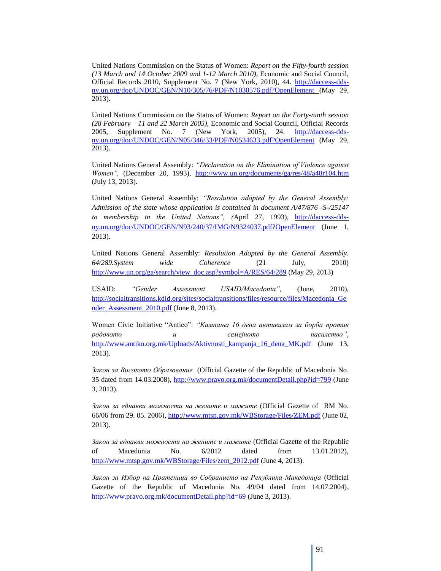United Nations Commission on the Status of Women: *Report on the Fifty-fourth session (13 March and 14 October 2009 and 1-12 March 2010),* Economic and Social Council, Official Records 2010, Supplement No. 7 (New York, 2010), 44. [http://daccess-dds](http://daccess-dds-ny.un.org/doc/UNDOC/GEN/N10/305/76/PDF/N1030576.pdf?OpenElement)[ny.un.org/doc/UNDOC/GEN/N10/305/76/PDF/N1030576.pdf?OpenElement](http://daccess-dds-ny.un.org/doc/UNDOC/GEN/N10/305/76/PDF/N1030576.pdf?OpenElement) (May 29, 2013).

United Nations Commission on the Status of Women: *Report on the Forty-ninth session (28 February – 11 and 22 March 2005),* Economic and Social Council, Official Records 2005, Supplement No. 7 (New York, 2005), 24. [http://daccess-dds](http://daccess-dds-ny.un.org/doc/UNDOC/GEN/N05/346/33/PDF/N0534633.pdf?OpenElement)[ny.un.org/doc/UNDOC/GEN/N05/346/33/PDF/N0534633.pdf?OpenElement](http://daccess-dds-ny.un.org/doc/UNDOC/GEN/N05/346/33/PDF/N0534633.pdf?OpenElement) (May 29, 2013).

United Nations General Assembly: *"Declaration on the Elimination of Violence against Women",* (December 20, 1993), <http://www.un.org/documents/ga/res/48/a48r104.htm> (July 13, 2013).

United Nations General Assembly: *"Resolution adopted by the General Assembly: Admission of the state whose application is contained in document A/47/876 -S-/25147*  to membership in the United Nations", (April 27, 1993), [http://daccess-dds](http://daccess-dds-ny.un.org/doc/UNDOC/GEN/N93/240/37/IMG/N9324037.pdf?OpenElement)[ny.un.org/doc/UNDOC/GEN/N93/240/37/IMG/N9324037.pdf?OpenElement](http://daccess-dds-ny.un.org/doc/UNDOC/GEN/N93/240/37/IMG/N9324037.pdf?OpenElement) (June 1, 2013).

United Nations General Assembly: *Resolution Adopted by the General Assembly. 64/289.System wide Coherence* (21 July, 2010) [http://www.un.org/ga/search/view\\_doc.asp?symbol=A/RES/64/289](http://www.un.org/ga/search/view_doc.asp?symbol=A/RES/64/289) (May 29, 2013)

USAID: *"Gender Assessment USAID/Macedonia",* (June, 2010), [http://socialtransitions.kdid.org/sites/socialtransitions/files/resource/files/Macedonia\\_Ge](http://socialtransitions.kdid.org/sites/socialtransitions/files/resource/files/Macedonia_Gender_Assessment_2010.pdf) nder Assessment 2010.pdf (June 8, 2013).

Women Civic Initiative "Antico": *"Кампања 16 дена активизам за борба против родовото и семејното насилство",* [http://www.antiko.org.mk/Uploads/Aktivnosti\\_kampanja\\_16\\_dena\\_MK.pdf](http://www.antiko.org.mk/Uploads/Aktivnosti_kampanja_16_dena_MK.pdf) (June 13, 2013).

*Закон за Високото Образование* (Official Gazette of the Republic of Macedonia No. 35 dated from 14.03.2008),<http://www.pravo.org.mk/documentDetail.php?id=799> (June 3, 2013).

*Закон за еднакви можности на жените и мажите* (Official Gazette of RM No. 66/06 from 29. 05. 2006)[, http://www.mtsp.gov.mk/WBStorage/Files/ZEM.pdf](http://www.mtsp.gov.mk/WBStorage/Files/ZEM.pdf) (June 02, 2013).

*Закон за еднакви можности на жените и мажите* (Official Gazette of the Republic of Macedonia No. 6/2012 dated from 13.01.2012), [http://www.mtsp.gov.mk/WBStorage/Files/zem\\_2012.pdf](http://www.mtsp.gov.mk/WBStorage/Files/zem_2012.pdf) (June 4, 2013).

*Закон за Избор на Пратеници во Собранието на Република Македонија* (Official Gazette of the Republic of Macedonia No. 49/04 dated from 14.07.2004), <http://www.pravo.org.mk/documentDetail.php?id=69> (June 3, 2013).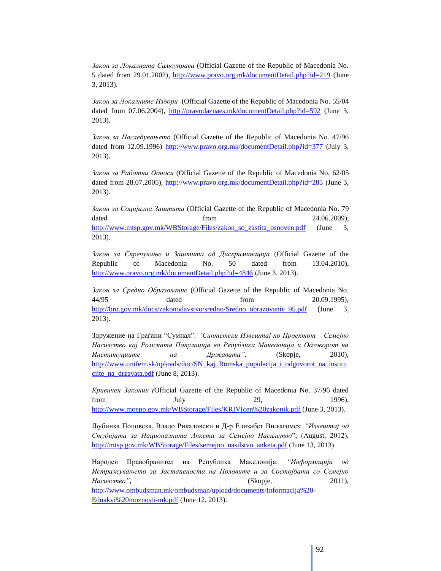*Закон за Локалната Самоуправа* (Official Gazette of the Republic of Macedonia No. 5 dated from 29.01.2002),<http://www.pravo.org.mk/documentDetail.php?id=219> (June 3, 2013).

*Закон за Локалните Избори* (Official Gazette of the Republic of Macedonia No. 55/04 dated from 07.06.2004),<http://pravodaznaes.mk/documentDetail.php?id=592> (June 3, 2013).

*Закон за Наследувањето* (Official Gazette of the Republic of Macedonia No. 47/96 dated from 12.09.1996)<http://www.pravo.org.mk/documentDetail.php?id=377> (July 3, 2013).

*Закон за Работни Односи* (Official Gazette of the Republic of Macedonia No. 62/05 dated from 28.07.2005),<http://www.pravo.org.mk/documentDetail.php?id=285> (June 3, 2013).

*Закон за Социјална Заштита* (Official Gazette of the Republic of Macedonia No. 79 dated from  $24.06.2009$ ), [http://www.mtsp.gov.mk/WBStorage/Files/zakon\\_so\\_zastita\\_osnoven.pdf](http://www.mtsp.gov.mk/WBStorage/Files/zakon_so_zastita_osnoven.pdf) (June 3, 2013).

*Закон за Спречување и Заштита од Дискриминација* (Official Gazette of the Republic of Macedonia No. 50 dated from 13.04.2010), <http://www.pravo.org.mk/documentDetail.php?id=4846> (June 3, 2013).

*Закон за Средно Образование* (Official Gazette of the Republic of Macedonia No. 44/95 dated from 20.09.1995), [http://bro.gov.mk/docs/zakonodavstvo/sredno/Sredno\\_obrazovanie\\_95.pdf](http://bro.gov.mk/docs/zakonodavstvo/sredno/Sredno_obrazovanie_95.pdf) (June 3, 2013).

Здружение на Граѓани "Сумнал": *"Синтетски Извештај по Проектот – Семејно Насилство кај Ромската Популација во Република Македонија и Одговорот на Институциите на Државата",* (Skopje, 2010), [http://www.unifem.sk/uploads/doc/SN\\_kaj\\_Romska\\_populacija\\_i\\_odgovorot\\_na\\_institu](http://www.unifem.sk/uploads/doc/SN_kaj_Romska_populacija_i_odgovorot_na_instituciite_na_drzavata.pdf) ciite na drzavata.pdf (June 8, 2013).

*Кривичен Законик (*Official Gazette of the Republic of Macedonia No. 37/96 dated from July 29, 1996), <http://www.moepp.gov.mk/WBStorage/Files/KRIVIcen%20zakonik.pdf> (June 3, 2013).

Љубинка Поповска, Владо Рикаловски и Д-р Елизабет Виљагомез: *"Извештај од Студијата за Националната Анкета за Семејно Насилство*", (August, 2012), [http://mtsp.gov.mk/WBStorage/Files/semejno\\_nasilstvo\\_anketa.pdf](http://mtsp.gov.mk/WBStorage/Files/semejno_nasilstvo_anketa.pdf) (June 13, 2013).

Народен Правобранител на Република Македонија: *"Информација од Истражувањето за Застапеноста на Половите и за Состојбата со Семејно Насилство",* (Skopje, 2011), [http://www.ombudsman.mk/ombudsman/upload/documents/Informacija%20-](http://www.ombudsman.mk/ombudsman/upload/documents/Informacija%20-Ednakvi%20moznosti-mk.pdf) [Ednakvi%20moznosti-mk.pdf](http://www.ombudsman.mk/ombudsman/upload/documents/Informacija%20-Ednakvi%20moznosti-mk.pdf) (June 12, 2013).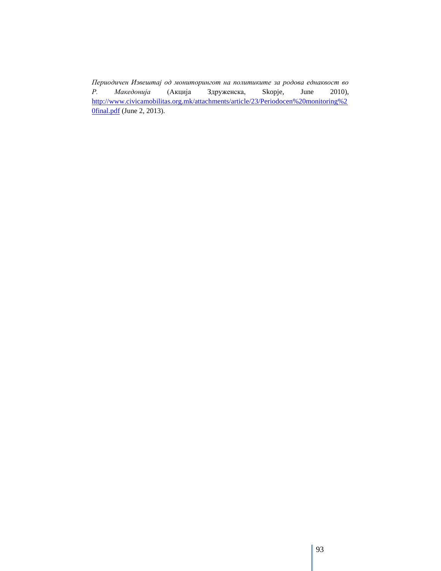*Периодичен Извештај од мониторингот на политиките за родова еднаквост во Р. Македонија* (Акција Здруженска, Skopje, June 2010), [http://www.civicamobilitas.org.mk/attachments/article/23/Periodocen%20monitoring%2](http://www.civicamobilitas.org.mk/attachments/article/23/Periodocen%20monitoring%20final.pdf) **Ofinal.pdf** (June 2, 2013).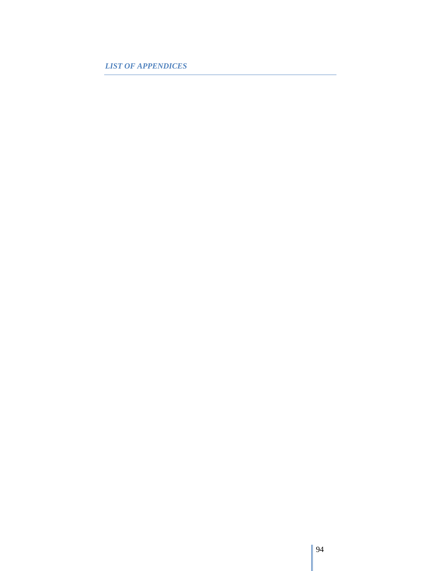*LIST OF APPENDICES*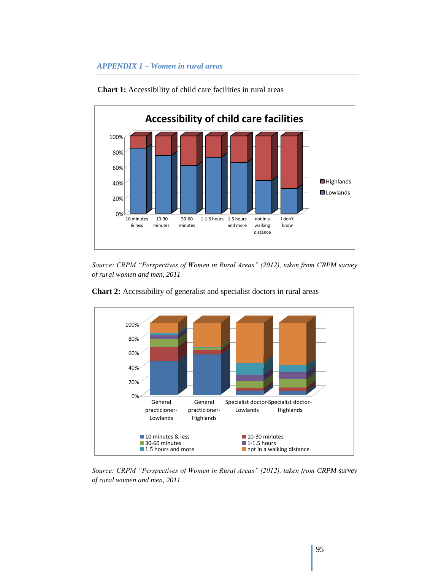## *APPENDIX 1 – Women in rural areas*



**Chart 1:** Accessibility of child care facilities in rural areas

*Source: CRPM "Perspectives of Women in Rural Areas" (2012), taken from CRPM survey of rural women and men, 2011*



**Chart 2:** Accessibility of generalist and specialist doctors in rural areas

*Source: CRPM "Perspectives of Women in Rural Areas" (2012), taken from CRPM survey of rural women and men, 2011*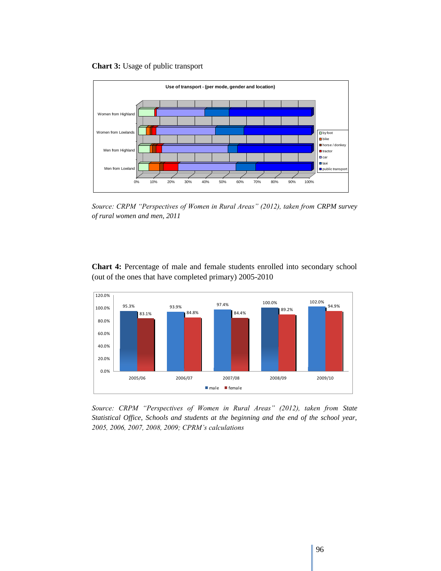**Chart 3:** Usage of public transport



*Source: CRPM "Perspectives of Women in Rural Areas" (2012), taken from CRPM survey of rural women and men, 2011*

**Chart 4:** Percentage of male and female students enrolled into secondary school (out of the ones that have completed primary) 2005-2010



*Source: CRPM "Perspectives of Women in Rural Areas" (2012), taken from State Statistical Office, Schools and students at the beginning and the end of the school year, 2005, 2006, 2007, 2008, 2009; CPRM's calculations*